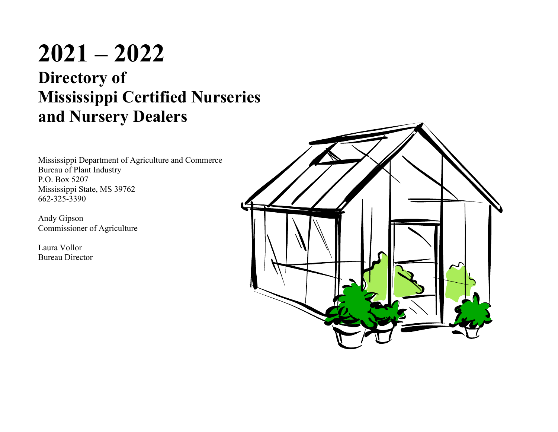# **2021 – 2022 Directory of Mississippi Certified Nurseries and Nursery Dealers**

Mississippi Department of Agriculture and Commerce Bureau of Plant Industry P.O. Box 5207 Mississippi State, MS 39762 662-325-3390

Andy Gipson Commissioner of Agriculture

Laura Vollor Bureau Director

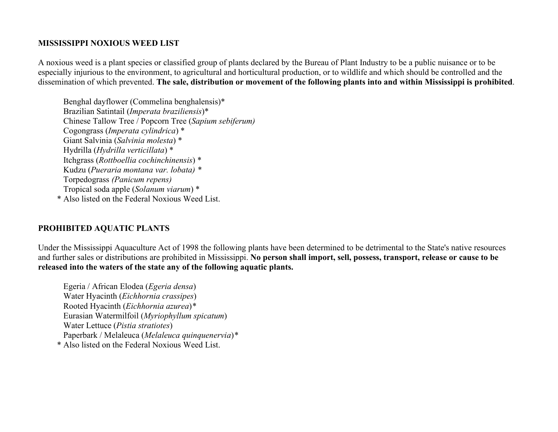#### **MISSISSIPPI NOXIOUS WEED LIST**

A noxious weed is a plant species or classified group of plants declared by the Bureau of Plant Industry to be a public nuisance or to be especially injurious to the environment, to agricultural and horticultural production, or to wildlife and which should be controlled and the dissemination of which prevented. **The sale, distribution or movement of the following plants into and within Mississippi is prohibited**.

Benghal dayflower (Commelina benghalensis)\* Brazilian Satintail (*Imperata braziliensis*)\* Chinese Tallow Tree / Popcorn Tree (*Sapium sebiferum)* Cogongrass (*Imperata cylindrica*) \* Giant Salvinia (*Salvinia molesta*) \* Hydrilla (*Hydrilla verticillata*) \* Itchgrass (*Rottboellia cochinchinensis*) \* Kudzu (*Pueraria montana var. lobata) \** Torpedograss *(Panicum repens)* Tropical soda apple (*Solanum viarum*) \* \* Also listed on the Federal Noxious Weed List.

### **PROHIBITED AQUATIC PLANTS**

Under the Mississippi Aquaculture Act of 1998 the following plants have been determined to be detrimental to the State's native resources and further sales or distributions are prohibited in Mississippi. **No person shall import, sell, possess, transport, release or cause to be released into the waters of the state any of the following aquatic plants.**

Egeria / African Elodea (*Egeria densa*) Water Hyacinth (*Eichhornia crassipes*) Rooted Hyacinth (*Eichhornia azurea*)*\** Eurasian Watermilfoil (*Myriophyllum spicatum*) Water Lettuce (*Pistia stratiotes*) Paperbark / Melaleuca (*Melaleuca quinquenervia*)*\** \* Also listed on the Federal Noxious Weed List.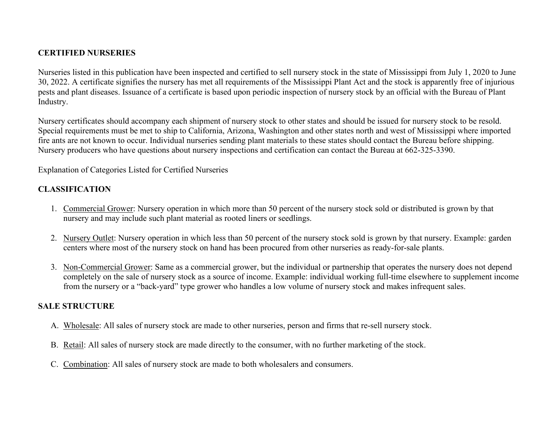#### **CERTIFIED NURSERIES**

Nurseries listed in this publication have been inspected and certified to sell nursery stock in the state of Mississippi from July 1, 2020 to June 30, 2022. A certificate signifies the nursery has met all requirements of the Mississippi Plant Act and the stock is apparently free of injurious pests and plant diseases. Issuance of a certificate is based upon periodic inspection of nursery stock by an official with the Bureau of Plant Industry.

Nursery certificates should accompany each shipment of nursery stock to other states and should be issued for nursery stock to be resold. Special requirements must be met to ship to California, Arizona, Washington and other states north and west of Mississippi where imported fire ants are not known to occur. Individual nurseries sending plant materials to these states should contact the Bureau before shipping. Nursery producers who have questions about nursery inspections and certification can contact the Bureau at 662-325-3390.

Explanation of Categories Listed for Certified Nurseries

### **CLASSIFICATION**

- 1. Commercial Grower: Nursery operation in which more than 50 percent of the nursery stock sold or distributed is grown by that nursery and may include such plant material as rooted liners or seedlings.
- 2. Nursery Outlet: Nursery operation in which less than 50 percent of the nursery stock sold is grown by that nursery. Example: garden centers where most of the nursery stock on hand has been procured from other nurseries as ready-for-sale plants.
- 3. Non-Commercial Grower: Same as a commercial grower, but the individual or partnership that operates the nursery does not depend completely on the sale of nursery stock as a source of income. Example: individual working full-time elsewhere to supplement income from the nursery or a "back-yard" type grower who handles a low volume of nursery stock and makes infrequent sales.

### **SALE STRUCTURE**

- A. Wholesale: All sales of nursery stock are made to other nurseries, person and firms that re-sell nursery stock.
- B. Retail: All sales of nursery stock are made directly to the consumer, with no further marketing of the stock.
- C. Combination: All sales of nursery stock are made to both wholesalers and consumers.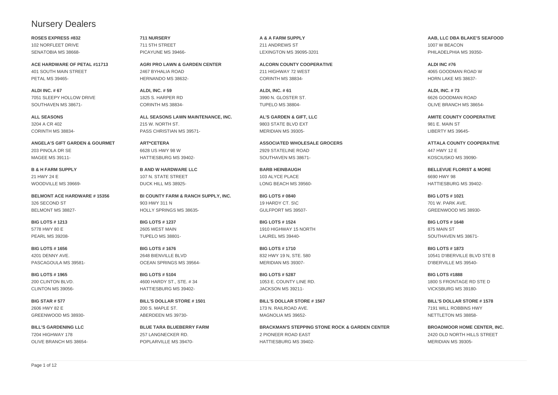#### Nursery Dealers

**ROSES EXPRESS #832** 102 NORFLEET DRIVE SENATOBIA MS 38668-

**ACE HARDWARE OF PETAL #11713** 401 SOUTH MAIN STREET PETAL MS 39465-

**ALDI INC. # 67** 7051 SLEEPY HOLLOW DRIVE SOUTHAVEN MS 38671-

**ALL SEASONS** 3204 A CR 402 CORINTH MS 38834-

**ANGELA'S GIFT GARDEN & GOURMET** 203 PINOLA DR SE MAGEE MS 39111-

**B & H FARM SUPPLY** 21 HWY 24 E WOODVILLE MS 39669-

**BELMONT ACE HARDWARE # 15356** 326 SECOND ST BELMONT MS 38827-

**BIG LOTS # 1213** 5778 HWY 80 E PEARL MS 39208-

**BIG LOTS # 1656** 4201 DENNY AVE. PASCAGOULA MS 39581-

**BIG LOTS # 1965** 200 CLINTON BLVD. CLINTON MS 39056-

**BIG STAR # 577** 2606 HWY 82 E GREENWOOD MS 38930-

**BILL'S GARDENING LLC** 7204 HIGHWAY 178 OLIVE BRANCH MS 38654**711 NURSERY** 711 5TH STREET PICAYUNE MS 39466-

**AGRI PRO LAWN & GARDEN CENTER** 2467 BYHALIA ROAD HERNANDO MS 38632-

**ALDI, INC. # 59** 1825 S. HARPER RD CORINTH MS 38834-

**ALL SEASONS LAWN MAINTENANCE, INC.** 215 W. NORTH ST. PASS CHRISTIAN MS 39571-

**ART\*CETERA** 6628 US HWY 98 W HATTIESBURG MS 39402-

**B AND W HARDWARE LLC** 107 N. STATE STREET DUCK HILL MS 38925-

**BI COUNTY FARM & RANCH SUPPLY, INC.** 903 HWY 311 N HOLLY SPRINGS MS 38635-

**BIG LOTS # 1237** 2605 WEST MAIN TUPELO MS 38801-

**BIG LOTS # 1676** 2648 BIENVILLE BLVD OCEAN SPRINGS MS 39564-

**BIG LOTS # 5104** 4600 HARDY ST., STE. # 34 HATTIESBURG MS 39402-

**BILL'S DOLLAR STORE # 1501** 200 S. MAPLE ST. ABERDEEN MS 39730-

**BLUE TARA BLUEBERRY FARM** 257 LANGNECKER RD. POPLARVILLE MS 39470**A & A FARM SUPPLY** 211 ANDREWS ST LEXINGTON MS 39095-3201

**ALCORN COUNTY COOPERATIVE** 211 HIGHWAY 72 WEST CORINTH MS 38834-

**ALDI, INC. # 61** 3990 N. GLOSTER ST. TUPELO MS 38804-

**AL'S GARDEN & GIFT, LLC** 9803 STATE BLVD EXT MERIDIAN MS 39305-

**ASSOCIATED WHOLESALE GROCERS** 2929 STATELINE ROAD SOUTHAVEN MS 38671-

**BARB HEINBAUGH** 103 ALYCE PLACE LONG BEACH MS 39560-

**BIG LOTS # 0840** 19 HARDY CT. S\C GULFPORT MS 39507-

**BIG LOTS # 1524** 1910 HIGHWAY 15 NORTH LAUREL MS 39440-

**BIG LOTS # 1710** 832 HWY 19 N, STE. 580 MERIDIAN MS 39307-

**BIG LOTS # 5287** 1053 E. COUNTY LINE RD. JACKSON MS 39211-

**BILL'S DOLLAR STORE # 1567** 173 N. RAILROAD AVE. MAGNOLIA MS 39652-

**BRACKMAN'S STEPPING STONE ROCK & GARDEN CENTER** 2 PIONEER ROAD EAST HATTIESBURG MS 39402**AAB, LLC DBA BLAKE'S SEAFOOD** 1007 W BEACON PHILADELPHIA MS 39350-

**ALDI INC #76** 4065 GOODMAN ROAD W HORN LAKE MS 38637-

**ALDI, INC. # 73** 6626 GOODMAN ROAD OLIVE BRANCH MS 38654-

**AMITE COUNTY COOPERATIVE** 981 E. MAIN ST LIBERTY MS 39645-

**ATTALA COUNTY COOPERATIVE** 447 HWY 12 E KOSCIUSKO MS 39090-

**BELLEVUE FLORIST & MORE** 6690 HWY 98 HATTIESBURG MS 39402-

**BIG LOTS # 1021** 701 W. PARK AVE. GREENWOOD MS 38930-

**BIG LOTS # 1648** 875 MAIN ST SOUTHAVEN MS 38671-

**BIG LOTS # 1873** 10541 D'IBERVILLE BLVD STE B D'IBERVILLE MS 39540-

**BIG LOTS #1888** 1800 S FRONTAGE RD STE D VICKSBURG MS 39180-

**BILL'S DOLLAR STORE # 1578** 7191 WILL ROBBINS HWY NETTLETON MS 38858-

**BROADMOOR HOME CENTER, INC.** 2420 OLD NORTH HILLS STREET MERIDIAN MS 39305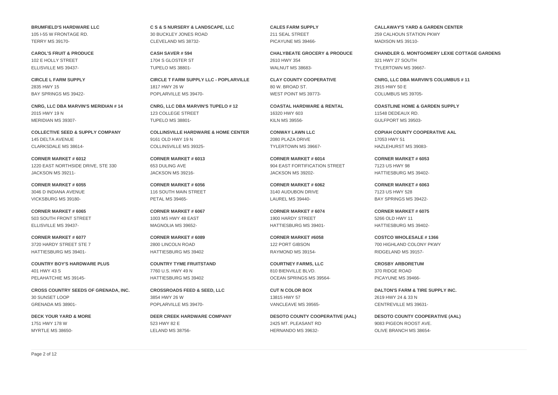**BRUMFIELD'S HARDWARE LLC** 105 I-55 W FRONTAGE RD. TERRY MS 39170-

**CAROL'S FRUIT & PRODUCE** 102 E HOLLY STREET ELLISVILLE MS 39437-

**CIRCLE L FARM SUPPLY** 2835 HWY 15 BAY SPRINGS MS 39422-

**CNRG, LLC DBA MARVIN'S MERIDIAN # 14** 2015 HWY 19 N MERIDIAN MS 39307-

**COLLECTIVE SEED & SUPPLY COMPANY** 145 DELTA AVENUE CLARKSDALE MS 38614-

**CORNER MARKET # 6012** 1220 EAST NORTHSIDE DRIVE, STE 330 JACKSON MS 39211-

**CORNER MARKET # 6055** 3046 D INDIANA AVENUE VICKSBURG MS 39180-

**CORNER MARKET # 6065** 503 SOUTH FRONT STREET ELLISVILLE MS 39437-

**CORNER MARKET # 6077** 3720 HARDY STREET STE 7 HATTIESBURG MS 39401-

**COUNTRY BOY'S HARDWARE PLUS** 401 HWY 43 S PELAHATCHIE MS 39145-

**CROSS COUNTRY SEEDS OF GRENADA, INC.** 30 SUNSET LOOP GRENADA MS 38901-

**DECK YOUR YARD & MORE** 1751 HWY 178 W MYRTLE MS 38650**C S & S NURSERY & LANDSCAPE, LLC** 30 BUCKLEY JONES ROAD CLEVELAND MS 38732-

**CASH SAVER # 594** 1704 S GLOSTER ST TUPELO MS 38801-

**CIRCLE T FARM SUPPLY LLC - POPLARVILLE** 1817 HWY 26 W POPLARVILLE MS 39470-

**CNRG, LLC DBA MARVIN'S TUPELO # 12** 123 COLLEGE STREET TUPELO MS 38801-

**COLLINSVILLE HARDWARE & HOME CENTER** 9161 OLD HWY 19 N COLLINSVILLE MS 39325-

**CORNER MARKET # 6013** 653 DULING AVE JACKSON MS 39216-

**CORNER MARKET # 6056** 116 SOUTH MAIN STREET PETAL MS 39465-

**CORNER MARKET # 6067** 1003 MS HWY 48 EAST MAGNOLIA MS 39652-

**CORNER MARKET # 6089** 2800 LINCOLN ROAD HATTIESBURG MS 39402

**COUNTRY TYME FRUITSTAND** 7760 U.S. HWY 49 N HATTIESBURG MS 39402

**CROSSROADS FEED & SEED, LLC** 3854 HWY 26 W POPLARVILLE MS 39470-

**DEER CREEK HARDWARE COMPANY** 523 HWY 82 E LELAND MS 38756**CALES FARM SUPPLY** 211 SEAL STREET PICAYUNE MS 39466-

**CHALYBEATE GROCERY & PRODUCE** 2610 HWY 354 WALNUT MS 38683-

**CLAY COUNTY COOPERATIVE** 80 W. BROAD ST. WEST POINT MS 39773-

**COASTAL HARDWARE & RENTAL** 16320 HWY 603 KILN MS 39556-

**CONWAY LAWN LLC** 2080 PLAZA DRIVE TYLERTOWN MS 39667-

**CORNER MARKET # 6014** 904 EAST FORTIFICATION STREET JACKSON MS 39202-

**CORNER MARKET # 6062** 3140 AUDUBON DRIVE LAUREL MS 39440-

**CORNER MARKET # 6074** 1900 HARDY STREET HATTIESBURG MS 39401-

**CORNER MARKET #6058** 122 PORT GIBSON RAYMOND MS 39154-

**COURTNEY FARMS, LLC** 810 BIENVILLE BLVD. OCEAN SPRINGS MS 39564-

**CUT N COLOR BOX** 13815 HWY 57 VANCLEAVE MS 39565-

**DESOTO COUNTY COOPERATIVE (AAL)** 2425 MT. PLEASANT RD HERNANDO MS 39632**CALLAWAY'S YARD & GARDEN CENTER** 259 CALHOUN STATION PKWY MADISON MS 39110-

**CHANDLER G. MONTGOMERY LEXIE COTTAGE GARDENS** 321 HWY 27 SOUTH TYLERTOWN MS 39667-

**CNRG, LLC DBA MARVIN'S COLUMBUS # 11** 2915 HWY 50 E COLUMBUS MS 39705-

**COASTLINE HOME & GARDEN SUPPLY** 11548 DEDEAUX RD. GULFPORT MS 39503-

**COPIAH COUNTY COOPERATIVE AAL** 17053 HWY 51 HAZLEHURST MS 39083-

**CORNER MARKET # 6053** 7123 US HWY 98 HATTIESBURG MS 39402-

**CORNER MARKET # 6063** 7123 US HWY 528 BAY SPRINGS MS 39422-

**CORNER MARKET # 6075** 5266 OLD HWY 11 HATTIESBURG MS 39402-

**COSTCO WHOLESALE # 1366** 700 HIGHLAND COLONY PKWY RIDGELAND MS 39157-

**CROSBY ARBORETUM** 370 RIDGE ROAD PICAYUNE MS 39466-

**DALTON'S FARM & TIRE SUPPLY INC.** 2619 HWY 24 & 33 N CENTREVILLE MS 39631-

**DESOTO COUNTY COOPERATIVE (AAL)** 9083 PIGEON ROOST AVE. OLIVE BRANCH MS 38654-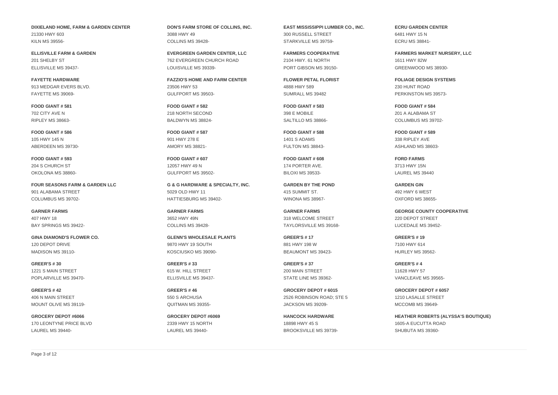Page 3 of 12

**DIXIELAND HOME, FARM & GARDEN CENTER** 21330 HWY 603 KILN MS 39556-

**ELLISVILLE FARM & GARDEN** 201 SHELBY ST ELLISVILLE MS 39437-

**FAYETTE HARDWARE** 913 MEDGAR EVERS BLVD. FAYETTE MS 39069-

**FOOD GIANT # 581** 702 CITY AVE N RIPLEY MS 38663-

**FOOD GIANT # 586** 105 HWY 145 N ABERDEEN MS 39730-

**FOOD GIANT # 593** 204 S CHURCH ST OKOLONA MS 38860-

**FOUR SEASONS FARM & GARDEN LLC** 901 ALABAMA STREET COLUMBUS MS 39702-

**GARNER FARMS** 407 HWY 18 BAY SPRINGS MS 39422-

**GINA DIAMOND'S FLOWER CO.** 120 DEPOT DRIVE MADISON MS 39110-

**GREER'S # 30** 1221 S MAIN STREET POPLARVILLE MS 39470-

**GREER'S # 42** 406 N MAIN STREET MOUNT OLIVE MS 39119-

**GROCERY DEPOT #6066** 170 LEONTYNE PRICE BLVD LAUREL MS 39440**DON'S FARM STORE OF COLLINS, INC.** 3088 HWY 49 COLLINS MS 39428-

**EVERGREEN GARDEN CENTER, LLC** 762 EVERGREEN CHURCH ROAD LOUISVILLE MS 39339-

**FAZZIO'S HOME AND FARM CENTER** 23506 HWY 53 GULFPORT MS 39503-

**FOOD GIANT # 582** 218 NORTH SECOND BALDWYN MS 38824-

**FOOD GIANT # 587** 901 HWY 278 E AMORY MS 38821-

**FOOD GIANT # 607** 12057 HWY 49 N GULFPORT MS 39502-

**G & G HARDWARE & SPECIALTY, INC.** 5029 OLD HWY 11 HATTIESBURG MS 39402-

**GARNER FARMS** 3652 HWY 49N COLLINS MS 39428-

**GLENN'S WHOLESALE PLANTS** 9870 HWY 19 SOUTH KOSCIUSKO MS 39090-

**GREER'S # 33** 615 W. HILL STREET ELLISVILLE MS 39437-

**GREER'S # 46** 550 S ARCHUSA QUITMAN MS 39355-

**GROCERY DEPOT #6069** 2339 HWY 15 NORTH LAUREL MS 39440**EAST MISSISSIPPI LUMBER CO., INC.** 300 RUSSELL STREET STARKVILLE MS 39759-

**FARMERS COOPERATIVE** 2104 HWY. 61 NORTH PORT GIBSON MS 39150-

**FLOWER PETAL FLORIST** 4888 HWY 589 SUMRALL MS 39482

**FOOD GIANT # 583** 398 E MOBILE SALTILLO MS 38866-

**FOOD GIANT # 588** 1401 S ADAMS FULTON MS 38843-

**FOOD GIANT # 608** 174 PORTER AVE. BILOXI MS 39533-

**GARDEN BY THE POND** 415 SUMMIT ST. WINONA MS 38967-

**GARNER FARMS** 318 WELCOME STREET TAYLORSVILLE MS 39168-

200 MAIN STREET

JACKSON MS 39209-

**HANCOCK HARDWARE** 18898 HWY 45 S BROOKSVILLE MS 39739**ECRU GARDEN CENTER** 6481 HWY 15 N ECRU MS 38841-

> **FARMERS MARKET NURSERY, LLC** 1611 HWY 82W GREENWOOD MS 38930-

**FOLIAGE DESIGN SYSTEMS** 230 HUNT ROAD PERKINSTON MS 39573-

**FOOD GIANT # 584** 201 A ALABAMA ST COLUMBUS MS 39702-

338 RIPLEY AVE ASHLAND MS 38603-

**FORD FARMS** LAUREL MS 39440

**GARDEN GIN** 492 HWY 6 WEST OXFORD MS 38655-

**GEORGE COUNTY COOPERATIVE** 220 DEPOT STREET LUCEDALE MS 39452-

**GREER'S # 19** 7100 HWY 614 HURLEY MS 39562-

**GREER'S # 4** 11628 HWY 57 VANCLEAVE MS 39565-

**GROCERY DEPOT # 6057** 1210 LASALLE STREET MCCOMB MS 39649-

**HEATHER ROBERTS (ALYSSA'S BOUTIQUE)** 1605-A EUCUTTA ROAD SHUBUTA MS 39360-

**GREER'S # 17** 881 HWY 198 W BEAUMONT MS 39423-

**GREER'S # 37**

STATE LINE MS 39362-

**GROCERY DEPOT # 6015** 2526 ROBINSON ROAD; STE 5

**FOOD GIANT # 589**

3713 HWY 15N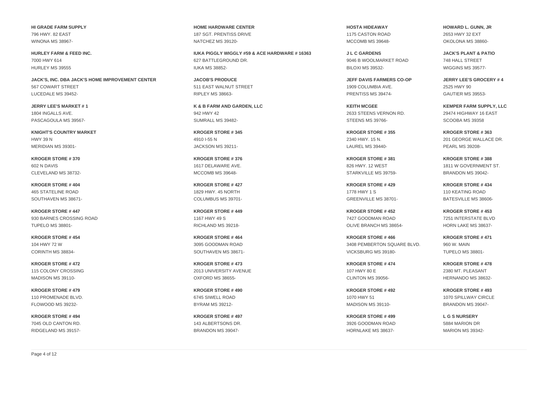**HI GRADE FARM SUPPLY** 796 HWY. 82 EAST WINONA MS 38967-

**HURLEY FARM & FEED INC.** 7000 HWY 614 HURLEY MS 39555

**JACK'S, INC. DBA JACK'S HOME IMPROVEMENT CENTER** 567 COWART STREET LUCEDALE MS 39452-

**JERRY LEE'S MARKET # 1** 1804 INGALLS AVE. PASCAGOULA MS 39567-

**KNIGHT'S COUNTRY MARKET** HWY 39 N MERIDIAN MS 39301-

**KROGER STORE # 370** 602 N DAVIS CLEVELAND MS 38732-

**KROGER STORE # 404** 465 STATELINE ROAD SOUTHAVEN MS 38671-

**KROGER STORE # 447** 930 BARNES CROSSING ROAD TUPELO MS 38801-

**KROGER STORE # 454** 104 HWY 72 W CORINTH MS 38834-

**KROGER STORE # 472** 115 COLONY CROSSING MADISON MS 39110-

**KROGER STORE # 479** 110 PROMENADE BLVD. FLOWOOD MS 39232-

**KROGER STORE # 494** 7045 OLD CANTON RD. RIDGELAND MS 39157**HOME HARDWARE CENTER** 187 SGT. PRENTISS DRIVE NATCHEZ MS 39120-

**IUKA PIGGLY WIGGLY #59 & ACE HARDWARE # 16363** 627 BATTLEGROUND DR. IUKA MS 38852-

**JACOB'S PRODUCE** 511 EAST WALNUT STREET RIPLEY MS 38663-

**K & B FARM AND GARDEN, LLC** 942 HWY 42 SUMRALL MS 39482-

**KROGER STORE # 345** 4910 I-55 N JACKSON MS 39211-

**KROGER STORE # 376** 1617 DELAWARE AVE. MCCOMB MS 39648-

**KROGER STORE # 427** 1829 HWY. 45 NORTH COLUMBUS MS 39701-

**KROGER STORE # 449** 1167 HWY 49 S RICHLAND MS 39218-

**KROGER STORE # 464** 3095 GOODMAN ROAD SOUTHAVEN MS 38671-

**KROGER STORE # 473** 2013 UNIVERSITY AVENUE OXFORD MS 38655-

**KROGER STORE # 490** 6745 SIWELL ROAD BYRAM MS 39212-

**KROGER STORE # 497** 143 ALBERTSONS DR. BRANDON MS 39047**HOSTA HIDEAWAY** 1175 CASTON ROAD MCCOMB MS 39648-

**J L C GARDENS** 9046 B WOOLMARKET ROAD BILOXI MS 39532-

**JEFF DAVIS FARMERS CO-OP** 1909 COLUMBIA AVE. PRENTISS MS 39474-

**KEITH MCGEE** 2633 STEENS VERNON RD. STEENS MS 39766-

**KROGER STORE # 355** 2340 HWY. 15 N. LAUREL MS 39440-

**KROGER STORE # 381** 826 HWY. 12 WEST STARKVILLE MS 39759-

**KROGER STORE # 429** 1778 HWY 1 S GREENVILLE MS 38701-

**KROGER STORE # 452** 7427 GOODMAN ROAD OLIVE BRANCH MS 38654-

**KROGER STORE # 466** 3408 PEMBERTON SQUARE BLVD. VICKSBURG MS 39180-

**KROGER STORE # 474** 107 HWY 80 E CLINTON MS 39056-

**KROGER STORE # 492** 1070 HWY 51 MADISON MS 39110-

**KROGER STORE # 499** 3926 GOODMAN ROAD HORNLAKE MS 38637**HOWARD L. GUNN, JR** 2653 HWY 32 EXT OKOLONA MS 38860-

**JACK'S PLANT & PATIO** 748 HALL STREET WIGGINS MS 39577-

**JERRY LEE'S GROCERY # 4** 2525 HWY 90 GAUTIER MS 39553-

**KEMPER FARM SUPPLY, LLC** 29474 HIGHWAY 16 EAST SCOOBA MS 39358

**KROGER STORE # 363** 201 GEORGE WALLACE DR. PEARL MS 39208-

**KROGER STORE # 388** 1811 W GOVERNMENT ST. BRANDON MS 39042-

**KROGER STORE # 434** 110 KEATING ROAD BATESVILLE MS 38606-

**KROGER STORE # 453** 7251 INTERSTATE BLVD HORN LAKE MS 38637-

**KROGER STORE # 471** 960 W. MAIN TUPELO MS 38801-

**KROGER STORE # 478** 2380 MT. PLEASANT HERNANDO MS 38632-

**KROGER STORE # 493** 1070 SPILLWAY CIRCLE BRANDON MS 39047-

**L G S NURSERY** 5884 MARION DR MARION MS 39342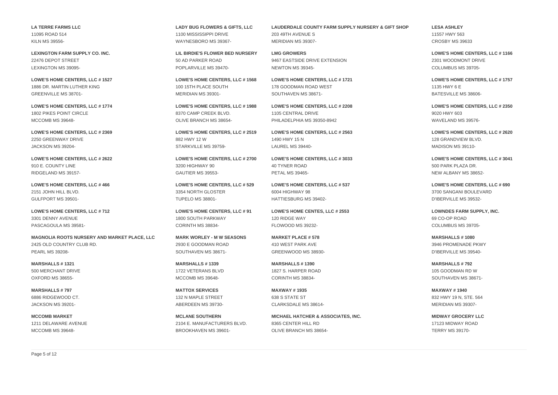**LA TERRE FARMS LLC** 11095 ROAD 514 KILN MS 39556-

**LEXINGTON FARM SUPPLY CO. INC.** 22476 DEPOT STREET LEXINGTON MS 39095-

**LOWE'S HOME CENTERS, LLC # 1527** 1886 DR. MARTIN LUTHER KING GREENVILLE MS 38701-

**LOWE'S HOME CENTERS, LLC # 1774** 1802 PIKES POINT CIRCLE MCCOMB MS 39648-

**LOWE'S HOME CENTERS, LLC # 2369** 2250 GREENWAY DRIVE JACKSON MS 39204-

**LOWE'S HOME CENTERS, LLC # 2622** 910 E. COUNTY LINE RIDGELAND MS 39157-

**LOWE'S HOME CENTERS, LLC # 466** 2151 JOHN HILL BLVD. GULFPORT MS 39501-

**LOWE'S HOME CENTERS, LLC # 712** 3301 DENNY AVENUE PASCAGOULA MS 39581-

**MAGNOLIA ROOTS NURSERY AND MARKET PLACE, LLC** 2425 OLD COUNTRY CLUB RD. PEARL MS 39208-

**MARSHALLS # 1321** 500 MERCHANT DRIVE OXFORD MS 38655-

**MARSHALLS # 797** 6886 RIDGEWOOD CT. JACKSON MS 39201-

**MCCOMB MARKET** 1211 DELAWARE AVENUE MCCOMB MS 39648**LADY BUG FLOWERS & GIFTS, LLC** 1100 MISSISSIPPI DRIVE WAYNESBORO MS 39367-

**LIL BIRDIE'S FLOWER BED NURSERY** 50 AD PARKER ROAD POPLARVILLE MS 39470-

**LOWE'S HOME CENTERS, LLC # 1568** 100 15TH PLACE SOUTH MERIDIAN MS 39301-

**LOWE'S HOME CENTERS, LLC # 1988** 8370 CAMP CREEK BLVD. OLIVE BRANCH MS 38654-

**LOWE'S HOME CENTERS, LLC # 2519** 882 HWY 12 W STARKVILLE MS 39759-

**LOWE'S HOME CENTERS, LLC # 2700** 3200 HIGHWAY 90 GAUTIER MS 39553-

**LOWE'S HOME CENTERS, LLC # 529** 3354 NORTH GLOSTER TUPELO MS 38801-

**LOWE'S HOME CENTERS, LLC # 91** 1800 SOUTH PARKWAY CORINTH MS 38834-

**MARK WORLEY - M W SEASONS** 2930 E GOODMAN ROAD SOUTHAVEN MS 38671-

**MARSHALLS # 1339** 1722 VETERANS BLVD MCCOMB MS 39648-

**MATTOX SERVICES** 132 N MAPLE STREET ABERDEEN MS 39730-

**MCLANE SOUTHERN** 2104 E. MANUFACTURERS BLVD. BROOKHAVEN MS 39601**LAUDERDALE COUNTY FARM SUPPLY NURSERY & GIFT SHOP** 203 49TH AVENUE S MERIDIAN MS 39307-

**LMG GROWERS** 9467 EASTSIDE DRIVE EXTENSION NEWTON MS 39345-

**LOWE'S HOME CENTERS, LLC # 1721** 178 GOODMAN ROAD WEST SOUTHAVEN MS 38671-

**LOWE'S HOME CENTERS, LLC # 2208** 1105 CENTRAL DRIVE PHILADELPHIA MS 39350-8942

**LOWE'S HOME CENTERS, LLC # 2563** 1490 HWY 15 N LAUREL MS 39440-

**LOWE'S HOME CENTERS, LLC # 3033** 40 TYNER ROAD PETAL MS 39465-

**LOWE'S HOME CENTERS, LLC # 537** 6004 HIGHWAY 98 HATTIESBURG MS 39402-

**LOWE'S HOME CENTES, LLC # 2553** 120 RIDGE WAY FLOWOOD MS 39232-

**MARKET PLACE # 578** 410 WEST PARK AVE GREENWOOD MS 38930-

**MARSHALLS # 1390** 1827 S. HARPER ROAD CORINTH MS 38834-

**MAXWAY # 1935** 638 S STATE ST CLARKSDALE MS 38614-

**MICHAEL HATCHER & ASSOCIATES, INC.** 8365 CENTER HILL RD OLIVE BRANCH MS 38654**LESA ASHLEY** 11557 HWY 563 CROSBY MS 39633

**LOWE'S HOME CENTERS, LLC # 1166** 2301 WOODMONT DRIVE COLUMBUS MS 39705-

**LOWE'S HOME CENTERS, LLC # 1757** 1135 HWY 6 E BATESVILLE MS 38606-

**LOWE'S HOME CENTERS, LLC # 2350** 9020 HWY 603 WAVELAND MS 39576-

**LOWE'S HOME CENTERS, LLC # 2620** 128 GRANDVIEW BLVD. MADISON MS 39110-

**LOWE'S HOME CENTERS, LLC # 3041** 500 PARK PLAZA DR. NEW ALBANY MS 38652-

**LOWE'S HOME CENTERS, LLC # 690** 3700 SANGANI BOULEVARD D'IBERVILLE MS 39532-

**LOWNDES FARM SUPPLY, INC.** 69 CO-OP ROAD COLUMBUS MS 39705-

**MARSHALLS # 1080** 3946 PROMENADE PKWY D'IBERVILLE MS 39540-

**MARSHALLS # 792** 105 GOODMAN RD W SOUTHAVEN MS 38671-

**MAXWAY # 1940** 832 HWY 19 N, STE. 564 MERIDIAN MS 39307-

**MIDWAY GROCERY LLC** 17123 MIDWAY ROAD TERRY MS 39170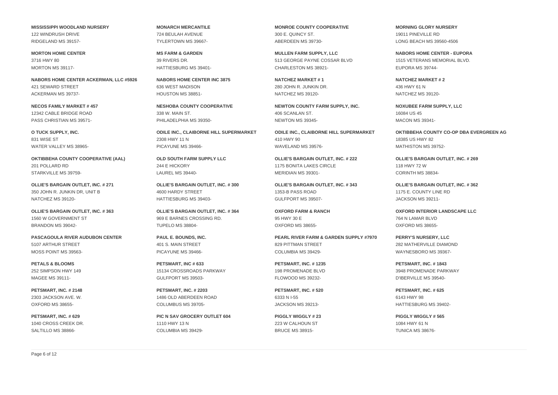**MISSISSIPPI WOODLAND NURSERY** 122 WINDRUSH DRIVE RIDGELAND MS 39157-

**MORTON HOME CENTER** 3716 HWY 80 MORTON MS 39117-

**NABORS HOME CENTER ACKERMAN, LLC #5926** 421 SEWARD STREET ACKERMAN MS 39737-

**NECOS FAMILY MARKET # 457** 12342 CABLE BRIDGE ROAD PASS CHRISTIAN MS 39571-

**O TUCK SUPPLY, INC.** 831 WISE ST WATER VALLEY MS 38965-

**OKTIBBEHA COUNTY COOPERATIVE (AAL)** 201 POLLARD RD STARKVILLE MS 39759-

**OLLIE'S BARGAIN OUTLET, INC. # 271** 350 JOHN R. JUNKIN DR, UNIT B NATCHEZ MS 39120-

**OLLIE'S BARGAIN OUTLET, INC. # 363** 1560 W GOVERNMENT ST BRANDON MS 39042-

**PASCAGOULA RIVER AUDUBON CENTER** 5107 ARTHUR STREET MOSS POINT MS 39563-

**PETALS & BLOOMS** 252 SIMPSON HWY 149 MAGEE MS 39111-

**PETSMART, INC. # 2148** 2303 JACKSON AVE. W. OXFORD MS 38655-

**PETSMART, INC. # 629** 1040 CROSS CREEK DR. SALTILLO MS 38866**MONARCH MERCANTILE** 724 BEULAH AVENUE TYLERTOWN MS 39667-

**MS FARM & GARDEN** 39 RIVERS DR. HATTIESBURG MS 39401-

**NABORS HOME CENTER INC 3875** 636 WEST MADISON HOUSTON MS 38851-

**NESHOBA COUNTY COOPERATIVE** 338 W. MAIN ST. PHILADELPHIA MS 39350-

**ODILE INC., CLAIBORNE HILL SUPERMARKET** 2308 HWY 11 N PICAYUNE MS 39466-

**OLD SOUTH FARM SUPPLY LLC** 244 E HICKORY LAUREL MS 39440-

**OLLIE'S BARGAIN OUTLET, INC. # 300** 4600 HARDY STREET HATTIESBURG MS 39403-

**OLLIE'S BARGAIN OUTLET, INC. # 364** 969 E BARNES CROSSING RD. TUPELO MS 38804-

**PAUL E. BOUNDS, INC.** 401 S. MAIN STREET PICAYUNE MS 39466-

**PETSMART, INC # 633** 15134 CROSSROADS PARKWAY GULFPORT MS 39503-

**PETSMART, INC. # 2203** 1486 OLD ABERDEEN ROAD COLUMBUS MS 39705-

**PIC N SAV GROCERY OUTLET 604** 1110 HWY 13 N COLUMBIA MS 39429**MONROE COUNTY COOPERATIVE** 300 E. QUINCY ST. ABERDEEN MS 39730-

**MULLEN FARM SUPPLY, LLC** 513 GEORGE PAYNE COSSAR BLVD CHARLESTON MS 38921-

**NATCHEZ MARKET # 1** 280 JOHN R. JUNKIN DR. NATCHEZ MS 39120-

**NEWTON COUNTY FARM SUPPLY, INC.** 406 SCANLAN ST. NEWTON MS 39345-

**ODILE INC., CLAIBORNE HILL SUPERMARKET** 410 HWY 90 WAVELAND MS 39576-

**OLLIE'S BARGAIN OUTLET, INC. # 222** 1175 BONITA LAKES CIRCLE MERIDIAN MS 39301-

**OLLIE'S BARGAIN OUTLET, INC. # 343** 1353-B PASS ROAD GULFPORT MS 39507-

**OXFORD FARM & RANCH** 95 HWY 30 E OXFORD MS 38655-

**PEARL RIVER FARM & GARDEN SUPPLY #7970** 829 PITTMAN STREET COLUMBIA MS 39429-

**PETSMART, INC. # 1235** 198 PROMENADE BLVD FLOWOOD MS 39232-

**PETSMART, INC. # 520** 6333 N I-55 JACKSON MS 39213-

**PIGGLY WIGGLY # 23** 223 W CALHOUN ST BRUCE MS 38915-

**MORNING GLORY NURSERY** 19011 PINEVILLE RD LONG BEACH MS 39560-4506

**NABORS HOME CENTER - EUPORA** 1515 VETERANS MEMORIAL BLVD. EUPORA MS 39744-

**NATCHEZ MARKET # 2** 436 HWY 61 N NATCHEZ MS 39120-

**NOXUBEE FARM SUPPLY, LLC** 16084 US 45 MACON MS 39341-

**OKTIBBEHA COUNTY CO-OP DBA EVERGREEN AG** 18385 US HWY 82 MATHISTON MS 39752-

**OLLIE'S BARGAIN OUTLET, INC. # 269** 118 HWY 72 W CORINTH MS 38834-

**OLLIE'S BARGAIN OUTLET, INC. # 362** 1175 E. COUNTY LINE RD JACKSON MS 39211-

**OXFORD INTERIOR LANDSCAPE LLC** 764 N LAMAR BLVD OXFORD MS 38655-

**PERRY'S NURSERY, LLC** 282 MATHERVILLE DIAMOND WAYNESBORO MS 39367-

**PETSMART, INC. # 1843** 3948 PROMENADE PARKWAY D'IBERVILLE MS 39540-

**PETSMART, INC. # 625** 6143 HWY 98 HATTIESBURG MS 39402-

**PIGGLY WIGGLY # 565** 1084 HWY 61 N TUNICA MS 38676-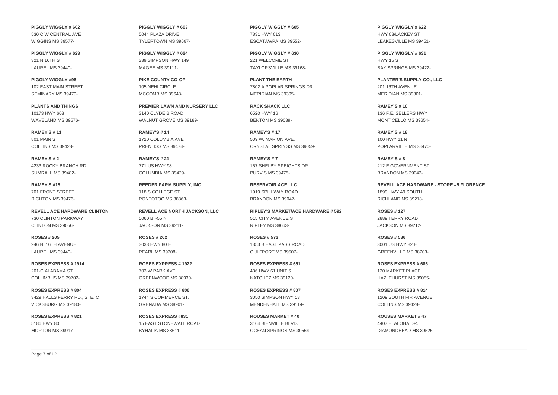**PIGGLY WIGGLY # 602** 530 C W CENTRAL AVE WIGGINS MS 39577-

**PIGGLY WIGGLY # 623** 321 N 16TH ST LAUREL MS 39440-

**PIGGLY WIGGLY #96** 102 EAST MAIN STREET SEMINARY MS 39479-

**PLANTS AND THINGS** 10173 HWY 603 WAVELAND MS 39576-

**RAMEY'S # 11** 801 MAIN ST COLLINS MS 39428-

**RAMEY'S # 2** 4233 ROCKY BRANCH RD SUMRALL MS 39482-

**RAMEY'S #15** 701 FRONT STREET RICHTON MS 39476-

**REVELL ACE HARDWARE CLINTON** 730 CLINTON PARKWAY CLINTON MS 39056-

**ROSES # 205** 946 N. 16TH AVENUE LAUREL MS 39440-

**ROSES EXPRESS # 1914** 201-C ALABAMA ST. COLUMBUS MS 39702-

**ROSES EXPRESS # 804** 3429 HALLS FERRY RD., STE. C VICKSBURG MS 39180-

**ROSES EXPRESS # 821** 5186 HWY 80 MORTON MS 39917**PIGGLY WIGGLY # 603** 5044 PLAZA DRIVE TYLERTOWN MS 39667-

**PIGGLY WIGGLY # 624** 339 SIMPSON HWY 149 MAGEE MS 39111-

**PIKE COUNTY CO-OP** 105 NEHI CIRCLE MCCOMB MS 39648-

**PREMIER LAWN AND NURSERY LLC** 3140 CLYDE B ROAD WALNUT GROVE MS 39189-

**RAMEY'S # 14** 1720 COLUMBIA AVE PRENTISS MS 39474-

**RAMEY'S # 21** 771 US HWY 98 COLUMBIA MS 39429-

**REEDER FARM SUPPLY, INC.** 118 S COLLEGE ST PONTOTOC MS 38863-

**REVELL ACE NORTH JACKSON, LLC** 5060 B I-55 N JACKSON MS 39211-

**ROSES # 262** 3033 HWY 80 E PEARL MS 39208-

**ROSES EXPRESS # 1922** 703 W PARK AVE. GREENWOOD MS 38930-

**ROSES EXPRESS # 806** 1744 S COMMERCE ST. GRENADA MS 38901-

**ROSES EXPRESS #831** 15 EAST STONEWALL ROAD BYHALIA MS 38611**PIGGLY WIGGLY # 605** 7831 HWY 613 ESCATAWPA MS 39552-

**PIGGLY WIGGLY # 630** 221 WELCOME ST TAYLORSVILLE MS 39168-

**PLANT THE EARTH** 7802 A POPLAR SPRINGS DR. MERIDIAN MS 39305-

**RACK SHACK LLC** 6520 HWY 16 BENTON MS 39039-

**RAMEY'S # 17** 509 W. MARION AVE. CRYSTAL SPRINGS MS 39059-

**RAMEY'S # 7** 157 SHELBY SPEIGHTS DR PURVIS MS 39475-

**RESERVOIR ACE LLC** 1919 SPILLWAY ROAD BRANDON MS 39047-

**RIPLEY'S MARKET/ACE HARDWARE # 592** 515 CITY AVENUE S RIPLEY MS 38663-

**ROSES # 573** 1353 B EAST PASS ROAD GULFPORT MS 39507-

**ROSES EXPRESS # 651** 436 HWY 61 UNIT 6 NATCHEZ MS 39120-

**ROSES EXPRESS # 807** 3050 SIMPSON HWY 13 MENDENHALL MS 39114-

**ROUSES MARKET # 40** 3164 BIENVILLE BLVD. OCEAN SPRINGS MS 39564-

**PIGGLY WIGGLY # 622** HWY 63/LACKEY ST LEAKESVILLE MS 39451-

**PIGGLY WIGGLY # 631** HWY 15 S BAY SPRINGS MS 39422-

**PLANTER'S SUPPLY CO., LLC** 201 16TH AVENUE MERIDIAN MS 39301-

**RAMEY'S # 10** 136 F.E. SELLERS HWY MONTICELLO MS 39654-

**RAMEY'S # 18** 100 HWY 11 N POPLARVILLE MS 38470-

**RAMEY'S # 8** 212 E GOVERNMENT ST BRANDON MS 39042-

**REVELL ACE HARDWARE - STORE #5 FLORENCE** 1899 HWY 49 SOUTH RICHLAND MS 39218-

**ROSES # 127** 2889 TERRY ROAD JACKSON MS 39212-

**ROSES # 586** 3001 US HWY 82 E GREENVILLE MS 38703-

**ROSES EXPRESS # 685** 120 MARKET PLACE HAZLEHURST MS 39085-

**ROSES EXPRESS # 814** 1209 SOUTH FIR AVENUE COLLINS MS 39428-

**ROUSES MARKET # 47** 4407 E. ALOHA DR. DIAMONDHEAD MS 39525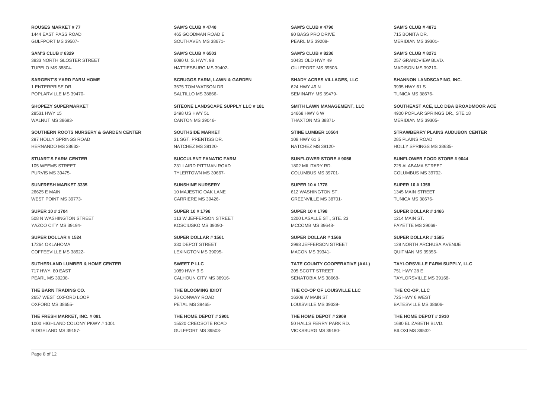**ROUSES MARKET # 77** 1444 EAST PASS ROAD GULFPORT MS 39507-

**SAM'S CLUB # 6329** 3833 NORTH GLOSTER STREET TUPELO MS 38804-

**SARGENT'S YARD FARM HOME** 1 ENTERPRISE DR. POPLARVILLE MS 39470-

**SHOPEZY SUPERMARKET** 28531 HWY 15 WALNUT MS 38683-

**SOUTHERN ROOTS NURSERY & GARDEN CENTER** 297 HOLLY SPRINGS ROAD HERNANDO MS 38632-

**STUART'S FARM CENTER** 105 WEEMS STREET PURVIS MS 39475-

**SUNFRESH MARKET 3335** 26625 E MAIN WEST POINT MS 39773-

**SUPER 10 # 1704** 508 N WASHINGTON STREET YAZOO CITY MS 39194-

**SUPER DOLLAR # 1524** 17264 OKLAHOMA COFFEEVILLE MS 38922-

**SUTHERLAND LUMBER & HOME CENTER** 717 HWY. 80 EAST PEARL MS 39208-

**THE BARN TRADING CO.** 2657 WEST OXFORD LOOP OXFORD MS 38655-

**THE FRESH MARKET, INC. # 091** 1000 HIGHLAND COLONY PKWY # 1001 RIDGELAND MS 39157**SAM'S CLUB # 4740** 465 GOODMAN ROAD E SOUTHAVEN MS 38671-

**SAM'S CLUB # 6503** 6080 U. S. HWY. 98 HATTIESBURG MS 39402-

**SCRUGGS FARM, LAWN & GARDEN** 3575 TOM WATSON DR. SALTILLO MS 38866-

**SITEONE LANDSCAPE SUPPLY LLC # 181** 2498 US HWY 51 CANTON MS 39046-

**SOUTHSIDE MARKET** 31 SGT. PRENTISS DR. NATCHEZ MS 39120-

**SUCCULENT FANATIC FARM** 231 LAIRD PITTMAN ROAD TYLERTOWN MS 39667-

**SUNSHINE NURSERY** 10 MAJESTIC OAK LANE CARRIERE MS 39426-

**SUPER 10 # 1796** 113 W JEFFERSON STREET KOSCIUSKO MS 39090-

**SUPER DOLLAR # 1561** 330 DEPOT STREET LEXINGTON MS 39095-

**SWEET P LLC** 1089 HWY 9 S CALHOUN CITY MS 38916-

**THE BLOOMING IDIOT** 26 CONWAY ROAD PETAL MS 39465-

**THE HOME DEPOT # 2901** 15520 CREOSOTE ROAD GULFPORT MS 39503**SAM'S CLUB # 4790** 90 BASS PRO DRIVE PEARL MS 39208-

**SAM'S CLUB # 8236** 10431 OLD HWY 49 GULFPORT MS 39503-

**SHADY ACRES VILLAGES, LLC** 624 HWY 49 N SEMINARY MS 39479-

**SMITH LAWN MANAGEMENT, LLC** 14668 HWY 6 W THAXTON MS 38871-

**STINE LUMBER 10564** 108 HWY 61 S NATCHEZ MS 39120-

**SUNFLOWER STORE # 9056** 1802 MILITARY RD. COLUMBUS MS 39701-

**SUPER 10 # 1778** 612 WASHINGTON ST. GREENVILLE MS 38701-

**SUPER 10 # 1798** 1200 LASALLE ST., STE. 23 MCCOMB MS 39648-

**SUPER DOLLAR # 1566** 2998 JEFFERSON STREET MACON MS 39341-

**TATE COUNTY COOPERATIVE (AAL)** 205 SCOTT STREET SENATOBIA MS 38668-

**THE CO-OP OF LOUISVILLE LLC** 16309 W MAIN ST LOUISVILLE MS 39339-

**THE HOME DEPOT # 2909** 50 HALLS FERRY PARK RD. VICKSBURG MS 39180-

**SAM'S CLUB # 4871** 715 BONITA DR. MERIDIAN MS 39301-

**SAM'S CLUB # 8271** 257 GRANDVIEW BLVD. MADISON MS 39210-

**SHANNON LANDSCAPING, INC.** 3995 HWY 61 S TUNICA MS 38676-

**SOUTHEAST ACE, LLC DBA BROADMOOR ACE** 4900 POPLAR SPRINGS DR., STE 18 MERIDIAN MS 39305-

**STRAWBERRY PLAINS AUDUBON CENTER** 285 PLAINS ROAD HOLLY SPRINGS MS 38635-

**SUNFLOWER FOOD STORE # 9044** 225 ALABAMA STREET COLUMBUS MS 39702-

**SUPER 10 # 1358** 1345 MAIN STREET TUNICA MS 38676-

**SUPER DOLLAR # 1466** 1214 MAIN ST. FAYETTE MS 39069-

**SUPER DOLLAR # 1595** 129 NORTH ARCHUSA AVENUE QUITMAN MS 39355-

**TAYLORSVILLE FARM SUPPLY, LLC** 751 HWY 28 E TAYLORSVILLE MS 39168-

**THE CO-OP, LLC** 725 HWY 6 WEST BATESVILLE MS 38606-

**THE HOME DEPOT # 2910** 1680 ELIZABETH BLVD. BILOXI MS 39532-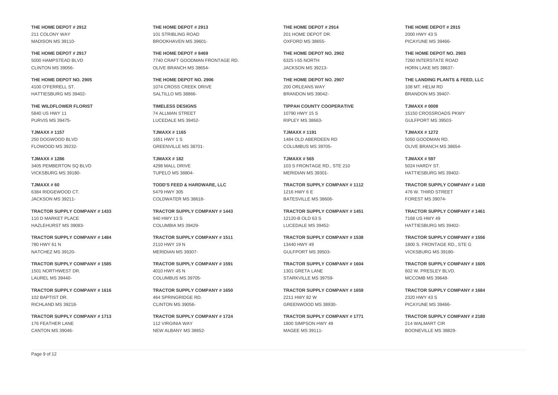**THE HOME DEPOT # 2912** 211 COLONY WAY MADISON MS 39110-

**THE HOME DEPOT # 2917** 5000 HAMPSTEAD BLVD CLINTON MS 39056-

**THE HOME DEPOT NO. 2905** 4100 O'FERRELL ST. HATTIESBURG MS 39402-

**THE WILDFLOWER FLORIST** 5840 US HWY 11 PURVIS MS 39475-

**TJMAXX # 1157** 250 DOGWOOD BLVD FLOWOOD MS 39232-

**TJMAXX # 1286** 3405 PEMBERTON SQ BLVD VICKSBURG MS 39180-

**TJMAXX # 60** 6384 RIDGEWOOD CT. JACKSON MS 39211-

**TRACTOR SUPPLY COMPANY # 1433** 110 D MARKET PLACE HAZLEHURST MS 39083-

**TRACTOR SUPPLY COMPANY # 1484** 780 HWY 61 N NATCHEZ MS 39120-

**TRACTOR SUPPLY COMPANY # 1585** 1501 NORTHWEST DR. LAUREL MS 39440-

**TRACTOR SUPPLY COMPANY # 1616** 102 BAPTIST DR. RICHLAND MS 39218-

**TRACTOR SUPPLY COMPANY # 1713** 176 FEATHER LANE CANTON MS 39046**THE HOME DEPOT # 2913** 101 STRIBLING ROAD BROOKHAVEN MS 39601-

**THE HOME DEPOT # 8469** 7740 CRAFT GOODMAN FRONTAGE RD. OLIVE BRANCH MS 38654-

**THE HOME DEPOT NO. 2906** 1074 CROSS CREEK DRIVE SALTILLO MS 38866-

**TIMELESS DESIGNS** 74 ALLMAN STREET LUCEDALE MS 39452-

**TJMAXX # 1165** 1651 HWY 1 S GREENVILLE MS 38701-

**TJMAXX # 182** 4298 MALL DRIVE TUPELO MS 38804-

**TODD'S FEED & HARDWARE, LLC** 5479 HWY 305 COLDWATER MS 38618-

**TRACTOR SUPPLY COMPANY # 1443** 940 HWY 13 S COLUMBIA MS 39429-

**TRACTOR SUPPLY COMPANY # 1511** 2110 HWY 19 N MERIDIAN MS 39307-

**TRACTOR SUPPLY COMPANY # 1591** 4010 HWY 45 N COLUMBUS MS 39705-

**TRACTOR SUPPLY COMPANY # 1650** 464 SPRINGRIDGE RD. CLINTON MS 39056-

**TRACTOR SUPPLY COMPANY # 1724** 112 VIRGINIA WAY NEW ALBANY MS 38652**THE HOME DEPOT # 2914** 201 HOME DEPOT DR. OXFORD MS 38655-

**THE HOME DEPOT NO. 2902** 6325 I-55 NORTH JACKSON MS 39213-

**THE HOME DEPOT NO. 2907** 200 ORLEANS WAY BRANDON MS 39042-

**TIPPAH COUNTY COOPERATIVE** 10790 HWY 15 S RIPLEY MS 38663-

**TJMAXX # 1191** 1484 OLD ABERDEEN RD COLUMBUS MS 39705-

**TJMAXX # 565** 103 S FRONTAGE RD., STE 210 MERIDIAN MS 39301-

**TRACTOR SUPPLY COMPANY # 1112** 1216 HWY 6 E BATESVILLE MS 38606-

**TRACTOR SUPPLY COMPANY # 1451** 12120-B OLD 63 S LUCEDALE MS 39452-

**TRACTOR SUPPLY COMPANY # 1538** 13440 HWY 49 GULFPORT MS 39503-

**TRACTOR SUPPLY COMPANY # 1604** 1301 GRETA LANE STARKVILLE MS 39759-

**TRACTOR SUPPLY COMPANY # 1659** 2211 HWY 82 W GREENWOOD MS 38930-

**TRACTOR SUPPLY COMPANY # 1771** 1800 SIMPSON HWY 49 MAGEE MS 39111**THE HOME DEPOT # 2915** 2000 HWY 43 S PICAYUNE MS 39466-

**THE HOME DEPOT NO. 2903** 7260 INTERSTATE ROAD HORN LAKE MS 38637-

**THE LANDING PLANTS & FEED, LLC** 108 MT. HELM RD BRANDON MS 39407-

**TJMAXX # 0008** 15150 CROSSROADS PKWY GULFPORT MS 39503-

**TJMAXX # 1272** 5050 GOODMAN RD. OLIVE BRANCH MS 38654-

**TJMAXX # 597** 5024 HARDY ST. HATTIESBURG MS 39402-

**TRACTOR SUPPLY COMPANY # 1430** 476 W. THIRD STREET FOREST MS 39074-

**TRACTOR SUPPLY COMPANY # 1461** 7168 US HWY 49 HATTIESBURG MS 39402-

**TRACTOR SUPPLY COMPANY # 1556** 1800 S. FRONTAGE RD., STE G VICKSBURG MS 39180-

**TRACTOR SUPPLY COMPANY # 1605** 602 W. PRESLEY BLVD. MCCOMB MS 39648-

**TRACTOR SUPPLY COMPANY # 1684** 2320 HWY 43 S PICAYUNE MS 39466-

**TRACTOR SUPPLY COMPANY # 2180** 214 WALMART CIR BOONEVILLE MS 38829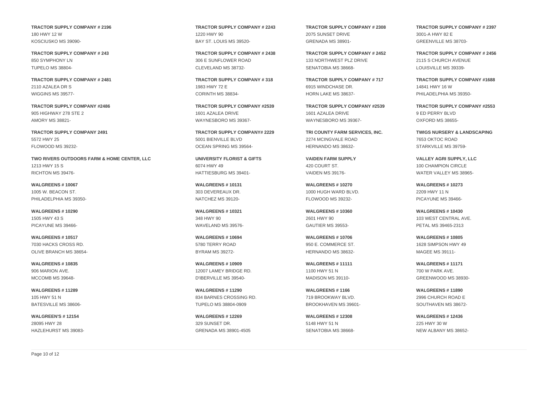**TRACTOR SUPPLY COMPANY # 2196** 180 HWY 12 W KOSCIUSKO MS 39090-

**TRACTOR SUPPLY COMPANY # 243** 850 SYMPHONY LN TUPELO MS 38804-

**TRACTOR SUPPLY COMPANY # 2481** 2110 AZALEA DR S WIGGINS MS 39577-

**TRACTOR SUPPLY COMPANY #2486** 905 HIGHWAY 278 STE 2 AMORY MS 38821-

**TRACTOR SUPPLY COMPANY 2491** 5572 HWY 25 FLOWOOD MS 39232-

**TWO RIVERS OUTDOORS FARM & HOME CENTER, LLC** 1213 HWY 15 S RICHTON MS 39476-

**WALGREENS # 10067** 1005 W. BEACON ST. PHILADELPHIA MS 39350-

**WALGREENS # 10290** 1505 HWY 43 S PICAYUNE MS 39466-

**WALGREENS # 10517** 7030 HACKS CROSS RD. OLIVE BRANCH MS 38654-

**WALGREENS # 10835** 906 MARION AVE. MCCOMB MS 39648-

**WALGREENS # 11289** 105 HWY 51 N BATESVILLE MS 38606-

**WALGREEN'S # 12154** 28095 HWY 28 HAZLEHURST MS 39083**TRACTOR SUPPLY COMPANY # 2243** 1220 HWY 90 BAY ST. LOUIS MS 39520-

**TRACTOR SUPPLY COMPANY # 2438** 306 E SUNFLOWER ROAD CLEVELAND MS 38732-

**TRACTOR SUPPLY COMPANY # 318** 1983 HWY 72 E CORINTH MS 38834-

**TRACTOR SUPPLY COMPANY #2539** 1601 AZALEA DRIVE WAYNESBORO MS 39367-

**TRACTOR SUPPLY COMPANY# 2229** 5001 BIENVILLE BLVD OCEAN SPRING MS 39564-

**UNIVERSITY FLORIST & GIFTS** 6074 HWY 49 HATTIESBURG MS 39401-

**WALGREENS # 10131** 303 DEVEREAUX DR. NATCHEZ MS 39120-

**WALGREENS # 10321** 348 HWY 90 WAVELAND MS 39576-

**WALGREENS # 10694** 5780 TERRY ROAD BYRAM MS 39272-

**WALGREENS # 10909** 12007 LAMEY BRIDGE RD. D'IBERVILLE MS 39540-

**WALGREENS # 11290** 834 BARNES CROSSING RD. TUPELO MS 38804-0909

**WALGREENS # 12269** 329 SUNSET DR. GRENADA MS 38901-4505 **TRACTOR SUPPLY COMPANY # 2308** 2075 SUNSET DRIVE GRENADA MS 38901-

**TRACTOR SUPPLY COMPANY # 2452** 133 NORTHWEST PLZ DRIVE SENATOBIA MS 38668-

**TRACTOR SUPPLY COMPANY # 717** 6915 WINDCHASE DR. HORN LAKE MS 38637-

**TRACTOR SUPPLY COMPANY #2539** 1601 AZALEA DRIVE WAYNESBORO MS 39367-

**TRI COUNTY FARM SERVICES, INC.** 2274 MCINGVALE ROAD HERNANDO MS 38632-

**VAIDEN FARM SUPPLY** 420 COURT ST. VAIDEN MS 39176-

**WALGREENS # 10270** 1000 HUGH WARD BLVD. FLOWOOD MS 39232-

**WALGREENS # 10360** 2601 HWY 90 GAUTIER MS 39553-

**WALGREENS # 10706** 950 E. COMMERCE ST. HERNANDO MS 38632-

**WALGREENS # 11111** 1100 HWY 51 N MADISON MS 39110-

**WALGREENS # 1166** 719 BROOKWAY BLVD. BROOKHAVEN MS 39601-

**WALGREENS # 12308** 5148 HWY 51 N SENATOBIA MS 38668**TRACTOR SUPPLY COMPANY # 2397** 3001-A HWY 82 E GREENVILLE MS 38703-

**TRACTOR SUPPLY COMPANY # 2456** 2115 S CHURCH AVENUE LOUISVILLE MS 39339-

**TRACTOR SUPPLY COMPANY #1688** 14841 HWY 16 W PHILADELPHIA MS 39350-

**TRACTOR SUPPLY COMPANY #2553** 9 ED PERRY BLVD OXFORD MS 38655-

**TWIGS NURSERY & LANDSCAPING** 7653 OKTOC ROAD STARKVILLE MS 39759-

**VALLEY AGRI SUPPLY, LLC** 100 CHAMPION CIRCLE WATER VALLEY MS 38965-

**WALGREENS # 10273** 2209 HWY 11 N PICAYUNE MS 39466-

**WALGREENS # 10430** 103 WEST CENTRAL AVE. PETAL MS 39465-2313

**WALGREENS # 10805** 1628 SIMPSON HWY 49 MAGEE MS 39111-

**WALGREENS # 11171** 700 W PARK AVE. GREENWOOD MS 38930-

**WALGREENS # 11890** 2996 CHURCH ROAD E SOUTHAVEN MS 38672-

**WALGREENS # 12436** 225 HWY 30 W NEW ALBANY MS 38652-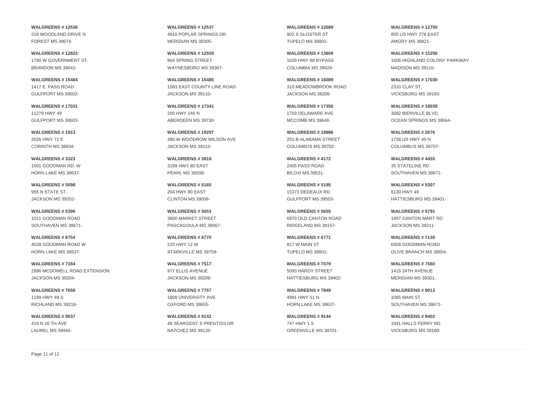**WALGREENS # 12536** 219 WOODLAND DRIVE N FOREST MS 39074-

**WALGREENS # 12822** 1790 W GOVERNMENT ST. BRANDON MS 39042-

**WALGREENS # 15484** 1417 E. PASS ROAD GULFPORT MS 39503-

**WALGREENS # 17031** 11279 HWY 49 GULFPORT MS 39503-

**WALGREENS # 1913** 2026 HWY 72 E CORINTH MS 38834-

**WALGREENS # 3323** 1501 GOODMAN RD. W HORN LAKE MS 38637-

**WALGREENS # 5098** 955 N STATE ST. JACKSON MS 39202-

**WALGREENS # 5396** 1011 GOODMAN ROAD SOUTHAVEN MS 38671-

**WALGREENS # 6754** 4028 GOODMAN ROAD W HORN LAKE MS 38637-

**WALGREENS # 7184** 2896 MCDOWELL ROAD EXTENSION JACKSON MS 39204-

**WALGREENS # 7656** 1199 HWY 49 S RICHLAND MS 39218-

**WALGREENS # 9037** 419 N 16 TH AVE LAUREL MS 39440**WALGREENS # 12537** 4910 POPLAR SPRINGS DR. MERIDIAN MS 39305-

**WALGREENS # 12929** 804 SPRING STREET WAYNESBORO MS 39367-

**WALGREENS # 15485** 1583 EAST COUNTY LINE ROAD JACKSON MS 39110-

**WALGREENS # 17341** 200 HWY 145 N ABERDEEN MS 39730-

**WALGREENS # 19297** 380 W WOODROW WILSON AVE JACKSON MS 39213-

**WALGREENS # 3918** 3189 HWY 80 EAST PEARL MS 39208-

**WALGREENS # 5165** 204 HWY 80 EAST CLINTON MS 39056-

**WALGREENS # 5653** 3800 MARKET STREET PASCAGOULA MS 39567-

**WALGREENS # 6770** 220 HWY 12 W STARKVILLE MS 39759-

**WALGREENS # 7517** 977 ELLIS AVENUE JACKSON MS 39209-

**WALGREENS # 7757** 1808 UNIVERSITY AVE. OXFORD MS 38655-

**WALGREENS # 9142** 49 SEARGENT S PRENTISS DR NATCHEZ MS 39120**WALGREENS # 12689** 902 S GLOSTER ST TUPELO MS 38801-

**WALGREENS # 13609** 1028 HWY 98 BYPASS COLUMBIA MS 39429-

**WALGREENS # 16089** 310 MEADOWBROOK ROAD JACKSON MS 39206-

**WALGREENS # 17350** 1703 DELAWARE AVE MCCOMB MS 39648-

**WALGREENS # 19986** 201-B ALABAMA STREET COLUMBUS MS 39702-

**WALGREENS # 4172** 2405 PASS ROAD BILOXI MS 39531-

**WALGREENS # 5195** 15371 DEDEAUX RD. GULFPORT MS 39503-

**WALGREENS # 5655** 6970 OLD CANTON ROAD RIDGELAND MS 39157-

**WALGREENS # 6771** 817 W MAIN ST. TUPELO MS 38801-

**WALGREENS # 7579** 5093 HARDY STREET HATTIESBURG MS 39402-

**WALGREENS # 7849** 4991 HWY 51 N HORN LAKE MS 38637-

**WALGREENS # 9144** 747 HWY 1 S GREENVILLE MS 38701**WALGREENS # 12750** 805 US HWY 278 EAST AMORY MS 38821-

**WALGREENS # 15250** 1606 HIGHLAND COLONY PARKWAY MADISON MS 39110-

**WALGREENS # 17030** 2310 CLAY ST. VICKSBURG MS 39183-

**WALGREENS # 18039** 3082 BIENVILLE BLVD. OCEAN SPRINGS MS 39564-

**WALGREENS # 2676** 1728 US HWY 45 N COLUMBUS MS 39707-

**WALGREENS # 4455** 35 STATELINE RD SOUTHAVEN MS 38671-

**WALGREENS # 5307** 6130 HWY 49 HATTIESBURG MS 39401-

**WALGREENS # 5791** 1497 CANTON MART RD JACKSON MS 39211-

**WALGREENS # 7130** 6958 GOODMAN ROAD OLIVE BRANCH MS 38654-

**WALGREENS # 7580** 1415 24TH AVENUE MERIDIAN MS 39301-

**WALGREENS # 9013** 1065 MAIN ST SOUTHAVEN MS 38671-

**WALGREENS # 9402** 3341 HALLS FERRY RD VICKSBURG MS 39180-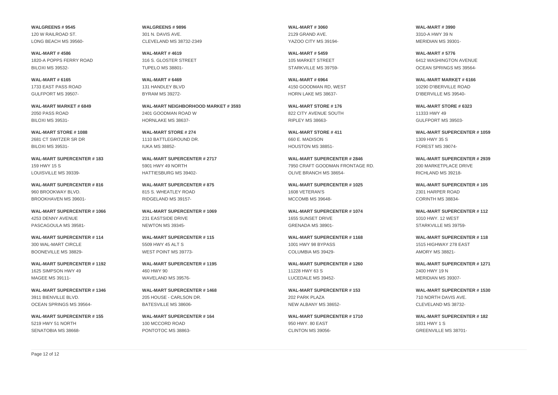**WALGREENS # 9545** 120 W RAILROAD ST. LONG BEACH MS 39560-

**WAL-MART # 4586** 1820-A POPPS FERRY ROAD BILOXI MS 39532-

**WAL-MART # 6165** 1733 EAST PASS ROAD GULFPORT MS 39507-

**WAL-MART MARKET # 6849** 2050 PASS ROAD BILOXI MS 39531-

**WAL-MART STORE # 1088** 2681 CT SWITZER SR DR BILOXI MS 39531-

**WAL-MART SUPERCENTER # 183** 159 HWY 15 S LOUISVILLE MS 39339-

**WAL-MART SUPERCENTER # 816** 960 BROOKWAY BLVD. BROOKHAVEN MS 39601-

**WAL-MART SUPERCENTER # 1066** 4253 DENNY AVENUE PASCAGOULA MS 39581-

**WAL-MART SUPERCENTER # 114** 300 WAL-MART CIRCLE BOONEVILLE MS 38829-

**WAL-MART SUPERCENTER # 1192** 1625 SIMPSON HWY 49 MAGEE MS 39111-

**WAL-MART SUPERCENTER # 1346** 3911 BIENVILLE BLVD. OCEAN SPRINGS MS 39564-

**WAL-MART SUPERCENTER # 155** 5219 HWY 51 NORTH SENATOBIA MS 38668**WALGREENS # 9896** 301 N. DAVIS AVE. CLEVELAND MS 38732-2349

**WAL-MART # 4619** 316 S. GLOSTER STREET TUPELO MS 38801-

**WAL-MART # 6469** 131 HANDLEY BLVD BYRAM MS 39272-

**WAL-MART NEIGHBORHOOD MARKET # 3593** 2401 GOODMAN ROAD W HORNLAKE MS 38637-

**WAL-MART STORE # 274** 1110 BATTLEGROUND DR. IUKA MS 38852-

**WAL-MART SUPERCENTER # 2717** 5901 HWY 49 NORTH HATTIESBURG MS 39402-

**WAL-MART SUPERCENTER # 875** 815 S. WHEATLEY ROAD RIDGELAND MS 39157-

**WAL-MART SUPERCENTER # 1069** 231 EASTSIDE DRIVE NEWTON MS 39345-

**WAL-MART SUPERCENTER # 115** 5509 HWY 45 ALT S WEST POINT MS 39773-

**WAL-MART SUPERCENTER # 1195** 460 HWY 90 WAVELAND MS 39576-

**WAL-MART SUPERCENTER # 1468** 205 HOUSE - CARLSON DR. BATESVILLE MS 38606-

**WAL-MART SUPERCENTER # 164** 100 MCCORD ROAD PONTOTOC MS 38863**WAL-MART # 3060** 2129 GRAND AVE. YAZOO CITY MS 39194-

**WAL-MART # 5459** 105 MARKET STREET STARKVILLE MS 39759-

**WAL-MART # 6964** 4150 GOODMAN RD, WEST HORN LAKE MS 38637-

**WAL-MART STORE # 176** 822 CITY AVENUE SOUTH RIPLEY MS 38663-

**WAL-MART STORE # 411** 660 E. MADISON HOUSTON MS 38851-

**WAL-MART SUPERCENTER # 2846** 7950 CRAFT GOODMAN FRONTAGE RD. OLIVE BRANCH MS 38654-

**WAL-MART SUPERCENTER # 1025** 1608 VETERAN'S MCCOMB MS 39648-

**WAL-MART SUPERCENTER # 1074** 1655 SUNSET DRIVE GRENADA MS 38901-

**WAL-MART SUPERCENTER # 1168** 1001 HWY 98 BYPASS COLUMBIA MS 39429-

**WAL-MART SUPERCENTER # 1260** 11228 HWY 63 S LUCEDALE MS 39452-

**WAL-MART SUPERCENTER # 153** 202 PARK PLAZA NEW ALBANY MS 38652-

**WAL-MART SUPERCENTER # 1710** 950 HWY. 80 EAST CLINTON MS 39056-

**WAL-MART # 3990** 3310-A HWY 39 N MERIDIAN MS 39301-

**WAL-MART # 5776** 6412 WASHINGTON AVENUE OCEAN SPRINGS MS 39564-

**WAL-MART MARKET # 6166** 10290 D'IBERVILLE ROAD D'IBERVILLE MS 39540-

**WAL-MART STORE # 6323** 11333 HWY 49 GULFPORT MS 39503-

**WAL-MART SUPERCENTER # 1059** 1309 HWY 35 S FOREST MS 39074-

**WAL-MART SUPERCENTER # 2939** 200 MARKETPLACE DRIVE RICHLAND MS 39218-

**WAL-MART SUPERCENTER # 105** 2301 HARPER ROAD CORINTH MS 38834-

**WAL-MART SUPERCENTER # 112** 1010 HWY. 12 WEST STARKVILLE MS 39759-

**WAL-MART SUPERCENTER # 118** 1515 HIGHWAY 278 EAST AMORY MS 38821-

**WAL-MART SUPERCENTER # 1271** 2400 HWY 19 N MERIDIAN MS 39307-

**WAL-MART SUPERCENTER # 1530** 710 NORTH DAVIS AVE. CLEVELAND MS 38732-

**WAL-MART SUPERCENTER # 182** 1831 HWY 1 S GREENVILLE MS 38701-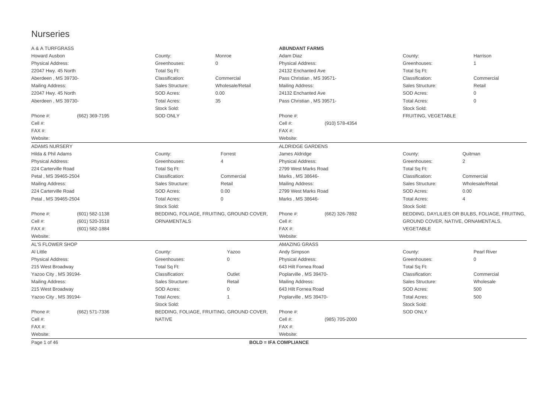## Nurseries

| A & A TURFGRASS          |                    |                     |                                           | <b>ABUNDANT FARMS</b>        |                |                     |                                                 |
|--------------------------|--------------------|---------------------|-------------------------------------------|------------------------------|----------------|---------------------|-------------------------------------------------|
| <b>Howard Ausbon</b>     |                    | County:             | Monroe                                    | Adam Diaz                    |                | County:             | Harrison                                        |
| Physical Address:        |                    | Greenhouses:        | $\mathbf 0$                               | Physical Address:            |                | Greenhouses:        | $\mathbf{1}$                                    |
| 22047 Hwy. 45 North      |                    | Total Sq Ft:        |                                           | 24132 Enchanted Ave          |                | Total Sq Ft:        |                                                 |
| Aberdeen, MS 39730-      |                    | Classification:     | Commercial                                | Pass Christian, MS 39571-    |                | Classification:     | Commercial                                      |
| <b>Mailing Address:</b>  |                    | Sales Structure:    | Wholesale/Retail                          | Mailing Address:             |                | Sales Structure:    | Retail                                          |
| 22047 Hwy. 45 North      |                    | SOD Acres:          | 0.00                                      | 24132 Enchanted Ave          |                | SOD Acres:          | $\mathsf{O}\xspace$                             |
| Aberdeen, MS 39730-      |                    | <b>Total Acres:</b> | 35                                        | Pass Christian, MS 39571-    |                | <b>Total Acres:</b> | $\mathbf 0$                                     |
|                          |                    | Stock Sold:         |                                           |                              |                | Stock Sold:         |                                                 |
| Phone #:                 | (662) 369-7195     | <b>SOD ONLY</b>     |                                           | Phone #:                     |                | FRUITING, VEGETABLE |                                                 |
| Cell #:                  |                    |                     |                                           | Cell #:                      | (910) 578-4354 |                     |                                                 |
| FAX#:                    |                    |                     |                                           | FAX#:                        |                |                     |                                                 |
| Website:                 |                    |                     |                                           | Website:                     |                |                     |                                                 |
| <b>ADAMS NURSERY</b>     |                    |                     |                                           | <b>ALDRIDGE GARDENS</b>      |                |                     |                                                 |
| Hilda & Phil Adams       |                    | County:             | Forrest                                   | James Aldridge               |                | County:             | Quitman                                         |
| Physical Address:        |                    | Greenhouses:        | $\overline{4}$                            | Physical Address:            |                | Greenhouses:        | 2                                               |
| 224 Carterville Road     |                    | Total Sq Ft:        |                                           | 2799 West Marks Road         |                | Total Sq Ft:        |                                                 |
| Petal . MS 39465-2504    |                    | Classification:     | Commercial                                | Marks . MS 38646-            |                | Classification:     | Commercial                                      |
| <b>Mailing Address:</b>  |                    | Sales Structure:    | Retail                                    | Mailing Address:             |                | Sales Structure:    | Wholesale/Retail                                |
| 224 Carterville Road     |                    | SOD Acres:          | 0.00                                      | 2799 West Marks Road         |                | SOD Acres:          | 0.00                                            |
| Petal, MS 39465-2504     |                    | <b>Total Acres:</b> | $\mathsf{O}\xspace$                       | Marks, MS 38646-             |                | <b>Total Acres:</b> | Δ                                               |
|                          |                    | Stock Sold:         |                                           |                              |                | Stock Sold:         |                                                 |
| Phone #:                 | $(601) 582 - 1138$ |                     | BEDDING, FOLIAGE, FRUITING, GROUND COVER, | Phone #:                     | (662) 326-7892 |                     | BEDDING, DAYLILIES OR BULBS, FOLIAGE, FRUITING, |
| Cell #:                  | (601) 520-3518     | ORNAMENTALS         |                                           | Cell #:                      |                |                     | GROUND COVER, NATIVE, ORNAMENTALS,              |
| FAX#:                    | (601) 582-1884     |                     |                                           | $FAX#$ :                     |                | VEGETABLE           |                                                 |
| Website:                 |                    |                     |                                           | Website:                     |                |                     |                                                 |
| AL'S FLOWER SHOP         |                    |                     |                                           | <b>AMAZING GRASS</b>         |                |                     |                                                 |
| Al Little                |                    | County:             | Yazoo                                     | Andy Simpson                 |                | County:             | Pearl River                                     |
| <b>Physical Address:</b> |                    | Greenhouses:        | 0                                         | <b>Physical Address:</b>     |                | Greenhouses:        | $\mathbf 0$                                     |
| 215 West Broadway        |                    | Total Sq Ft:        |                                           | 643 Hilt Fornea Road         |                | Total Sq Ft:        |                                                 |
| Yazoo City, MS 39194-    |                    | Classification:     | Outlet                                    | Poplarville, MS 39470-       |                | Classification:     | Commercial                                      |
| Mailing Address:         |                    | Sales Structure:    | Retail                                    | Mailing Address:             |                | Sales Structure:    | Wholesale                                       |
| 215 West Broadway        |                    | SOD Acres:          | $\mathbf{0}$                              | 643 Hilt Fornea Road         |                | SOD Acres:          | 500                                             |
| Yazoo City, MS 39194-    |                    | <b>Total Acres:</b> | 1                                         | Poplarville, MS 39470-       |                | <b>Total Acres:</b> | 500                                             |
|                          |                    | Stock Sold:         |                                           |                              |                | Stock Sold:         |                                                 |
| Phone #:                 | (662) 571-7336     |                     | BEDDING, FOLIAGE, FRUITING, GROUND COVER, | Phone #:                     |                | <b>SOD ONLY</b>     |                                                 |
| Cell #:                  |                    | <b>NATIVE</b>       |                                           | Cell #:                      | (985) 705-2000 |                     |                                                 |
| FAX#:                    |                    |                     |                                           | FAX#:                        |                |                     |                                                 |
| Website:                 |                    |                     |                                           | Website:                     |                |                     |                                                 |
| Page 1 of 46             |                    |                     |                                           | <b>BOLD = IFA COMPLIANCE</b> |                |                     |                                                 |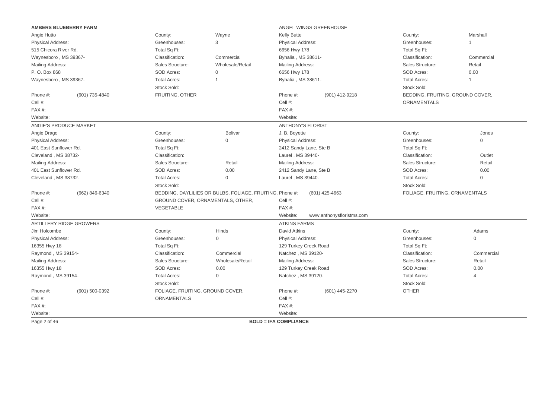| <b>AMBERS BLUEBERRY FARM</b>   |                                   |                                                          | ANGEL WINGS GREENHOUSE       |                           |                                  |                     |  |
|--------------------------------|-----------------------------------|----------------------------------------------------------|------------------------------|---------------------------|----------------------------------|---------------------|--|
| Angie Hutto                    | County:                           | Wayne                                                    | Kelly Butte                  |                           | County:                          | Marshall            |  |
| <b>Physical Address:</b>       | Greenhouses:                      | 3                                                        | Physical Address:            |                           | Greenhouses:                     | 1                   |  |
| 515 Chicora River Rd.          | Total Sq Ft:                      |                                                          | 6656 Hwy 178                 |                           | Total Sq Ft:                     |                     |  |
| Waynesboro, MS 39367-          | Classification:                   | Commercial                                               | Byhalia, MS 38611-           |                           | Classification:                  | Commercial          |  |
| Mailing Address:               | Sales Structure:                  | Wholesale/Retail                                         | <b>Mailing Address:</b>      |                           | Sales Structure:                 | Retail              |  |
| P. O. Box 868                  | SOD Acres:                        | $\mathbf 0$                                              | 6656 Hwy 178                 |                           | SOD Acres:                       | 0.00                |  |
| Waynesboro, MS 39367-          | <b>Total Acres:</b>               | $\overline{1}$                                           | Byhalia, MS 38611-           |                           | <b>Total Acres:</b>              | $\mathbf 1$         |  |
|                                | Stock Sold:                       |                                                          |                              |                           | Stock Sold:                      |                     |  |
| Phone #:<br>(601) 735-4840     | FRUITING, OTHER                   |                                                          | Phone #:                     | (901) 412-9218            | BEDDING, FRUITING, GROUND COVER, |                     |  |
| Cell #:                        |                                   |                                                          | Cell #:                      |                           | <b>ORNAMENTALS</b>               |                     |  |
| $FAX#$ :                       |                                   |                                                          | $FAX#$ :                     |                           |                                  |                     |  |
| Website:                       |                                   |                                                          | Website:                     |                           |                                  |                     |  |
| ANGIE'S PRODUCE MARKET         |                                   |                                                          | <b>ANTHONY'S FLORIST</b>     |                           |                                  |                     |  |
| Angie Drago                    | County:                           | <b>Bolivar</b>                                           | J. B. Boyette                |                           | County:                          | Jones               |  |
| <b>Physical Address:</b>       | Greenhouses:                      | $\Omega$                                                 | Physical Address:            |                           | Greenhouses:                     | 0                   |  |
| 401 East Sunflower Rd.         | Total Sq Ft:                      |                                                          | 2412 Sandy Lane, Ste B       |                           | Total Sq Ft:                     |                     |  |
| Cleveland, MS 38732-           | Classification:                   |                                                          | Laurel, MS 39440-            |                           | Classification:                  | Outlet              |  |
| Mailing Address:               | Sales Structure:                  | Retail                                                   | Mailing Address:             |                           | Sales Structure:                 | Retail              |  |
| 401 East Sunflower Rd.         | SOD Acres:                        | 0.00                                                     | 2412 Sandy Lane, Ste B       |                           | SOD Acres:                       | 0.00                |  |
| Cleveland, MS 38732-           | <b>Total Acres:</b>               | $\mathbf{0}$                                             | Laurel, MS 39440-            |                           | <b>Total Acres:</b>              | 0                   |  |
|                                | Stock Sold:                       |                                                          |                              |                           | Stock Sold:                      |                     |  |
| Phone #:<br>(662) 846-6340     |                                   | BEDDING, DAYLILIES OR BULBS, FOLIAGE, FRUITING, Phone #: |                              | $(601)$ 425-4663          | FOLIAGE, FRUITING, ORNAMENTALS   |                     |  |
| Cell #:                        | GROUND COVER, ORNAMENTALS, OTHER, |                                                          | Cell #:                      |                           |                                  |                     |  |
| $FAX#$ :                       | <b>VEGETABLE</b>                  |                                                          | FAX #:                       |                           |                                  |                     |  |
| Website:                       |                                   |                                                          | Website:                     | www.anthonysfloristms.com |                                  |                     |  |
| <b>ARTILLERY RIDGE GROWERS</b> |                                   |                                                          | <b>ATKINS FARMS</b>          |                           |                                  |                     |  |
| Jim Holcombe                   | County:                           | Hinds                                                    | David Atkins                 |                           | County:                          | Adams               |  |
| Physical Address:              | Greenhouses:                      | 0                                                        | Physical Address:            |                           | Greenhouses:                     | $\mathsf{O}\xspace$ |  |
| 16355 Hwy 18                   | Total Sq Ft:                      |                                                          | 129 Turkey Creek Road        |                           | Total Sq Ft:                     |                     |  |
| Raymond, MS 39154-             | Classification:                   | Commercial                                               | Natchez, MS 39120-           |                           | Classification:                  | Commercial          |  |
| Mailing Address:               | Sales Structure:                  | Wholesale/Retail                                         | <b>Mailing Address:</b>      |                           | Sales Structure:                 | Retail              |  |
| 16355 Hwy 18                   | SOD Acres:                        | 0.00                                                     | 129 Turkey Creek Road        |                           | SOD Acres:                       | 0.00                |  |
| Raymond, MS 39154-             | <b>Total Acres:</b>               | 0                                                        | Natchez, MS 39120-           |                           | <b>Total Acres:</b>              | $\overline{4}$      |  |
|                                | Stock Sold:                       |                                                          |                              |                           | Stock Sold:                      |                     |  |
| Phone #:<br>(601) 500-0392     | FOLIAGE, FRUITING, GROUND COVER,  |                                                          | Phone #:                     | (601) 445-2270            | <b>OTHER</b>                     |                     |  |
| Cell #:                        | ORNAMENTALS                       |                                                          | Cell #:                      |                           |                                  |                     |  |
| $FAX#$ :                       |                                   |                                                          | $FAX#$ :                     |                           |                                  |                     |  |
| Website:                       |                                   |                                                          | Website:                     |                           |                                  |                     |  |
| Page 2 of 46                   |                                   |                                                          | <b>BOLD = IFA COMPLIANCE</b> |                           |                                  |                     |  |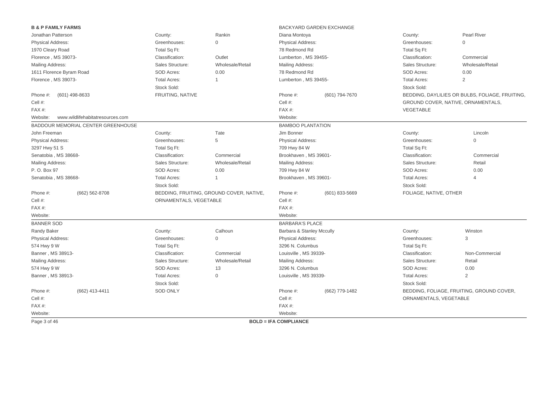| <b>B &amp; P FAMILY FARMS</b> |                                           |                        |                                             |                              | BACKYARD GARDEN EXCHANGE |                        |                                                 |
|-------------------------------|-------------------------------------------|------------------------|---------------------------------------------|------------------------------|--------------------------|------------------------|-------------------------------------------------|
| Jonathan Patterson            |                                           | County:                | Rankin                                      | Diana Montoya                |                          | County:                | <b>Pearl River</b>                              |
| Physical Address:             |                                           | Greenhouses:           | $\mathbf 0$                                 | <b>Physical Address:</b>     |                          | Greenhouses:           | 0                                               |
| 1970 Cleary Road              |                                           | Total Sq Ft:           |                                             | 78 Redmond Rd                |                          | Total Sq Ft:           |                                                 |
| Florence, MS 39073-           |                                           | Classification:        | Outlet                                      | Lumberton, MS 39455-         |                          | Classification:        | Commercial                                      |
| Mailing Address:              |                                           | Sales Structure:       | Wholesale/Retail                            | Mailing Address:             |                          | Sales Structure:       | Wholesale/Retail                                |
| 1611 Florence Byram Road      |                                           | SOD Acres:             | 0.00                                        | 78 Redmond Rd                |                          | SOD Acres:             | 0.00                                            |
| Florence, MS 39073-           |                                           | <b>Total Acres:</b>    | $\overline{1}$                              | Lumberton, MS 39455-         |                          | <b>Total Acres:</b>    | $\overline{2}$                                  |
|                               |                                           | Stock Sold:            |                                             |                              |                          | Stock Sold:            |                                                 |
| Phone #:                      | (601) 498-8633                            | FRUITING, NATIVE       |                                             | Phone #:                     | (601) 794-7670           |                        | BEDDING, DAYLILIES OR BULBS, FOLIAGE, FRUITING, |
| Cell #:                       |                                           |                        |                                             | Cell #:                      |                          |                        | GROUND COVER, NATIVE, ORNAMENTALS,              |
| FAX#:                         |                                           |                        |                                             | FAX #:                       |                          | VEGETABLE              |                                                 |
| Website:                      | www.wildlifehabitatresources.com          |                        |                                             | Website:                     |                          |                        |                                                 |
|                               | <b>BADDOUR MEMORIAL CENTER GREENHOUSE</b> |                        |                                             | <b>BAMBOO PLANTATION</b>     |                          |                        |                                                 |
| John Freeman                  |                                           | County:                | Tate                                        | Jim Bonner                   |                          | County:                | Lincoln                                         |
| <b>Physical Address:</b>      |                                           | Greenhouses:           | 5                                           | <b>Physical Address:</b>     |                          | Greenhouses:           | $\mathbf{0}$                                    |
| 3297 Hwy 51 S                 |                                           | Total Sq Ft:           |                                             | 709 Hwy 84 W                 |                          | Total Sq Ft:           |                                                 |
| Senatobia, MS 38668-          |                                           | Classification:        | Commercial                                  | Brookhaven, MS 39601-        |                          | Classification:        | Commercial                                      |
| Mailing Address:              |                                           | Sales Structure:       | Wholesale/Retail<br><b>Mailing Address:</b> |                              |                          | Sales Structure:       | Retail                                          |
| P. O. Box 97                  |                                           | SOD Acres:             | 0.00                                        | 709 Hwy 84 W                 |                          | SOD Acres:             | 0.00                                            |
| Senatobia, MS 38668-          |                                           | <b>Total Acres:</b>    | $\mathbf{1}$                                | Brookhaven, MS 39601-        |                          | <b>Total Acres:</b>    | 4                                               |
|                               |                                           | Stock Sold:            |                                             |                              |                          | Stock Sold:            |                                                 |
| Phone #:                      | (662) 562-8708                            |                        | BEDDING, FRUITING, GROUND COVER, NATIVE,    | Phone #:                     | (601) 833-5669           | FOLIAGE, NATIVE, OTHER |                                                 |
| Cell #:                       |                                           | ORNAMENTALS, VEGETABLE |                                             | Cell #:                      |                          |                        |                                                 |
| FAX#:                         |                                           |                        |                                             | FAX #:                       |                          |                        |                                                 |
| Website:                      |                                           |                        |                                             | Website:                     |                          |                        |                                                 |
| <b>BANNER SOD</b>             |                                           |                        |                                             | <b>BARBARA'S PLACE</b>       |                          |                        |                                                 |
| Randy Baker                   |                                           | County:                | Calhoun                                     | Barbara & Stanley Mccully    |                          | County:                | Winston                                         |
| <b>Physical Address:</b>      |                                           | Greenhouses:           | $\mathbf 0$                                 | Physical Address:            |                          | Greenhouses:           | 3                                               |
| 574 Hwy 9 W                   |                                           | Total Sq Ft:           |                                             | 3296 N. Columbus             |                          | Total Sq Ft:           |                                                 |
| Banner, MS 38913-             |                                           | Classification:        | Commercial                                  | Louisville, MS 39339-        |                          | Classification:        | Non-Commercial                                  |
| Mailing Address:              |                                           | Sales Structure:       | Wholesale/Retail                            | Mailing Address:             |                          | Sales Structure:       | Retail                                          |
| 574 Hwy 9 W                   |                                           | SOD Acres:             | 13                                          | 3296 N. Columbus             |                          | SOD Acres:             | 0.00                                            |
| Banner, MS 38913-             |                                           | <b>Total Acres:</b>    | $\mathbf 0$                                 | Louisville, MS 39339-        |                          | <b>Total Acres:</b>    | $\overline{2}$                                  |
|                               |                                           | Stock Sold:            |                                             |                              |                          | Stock Sold:            |                                                 |
| Phone #:                      | (662) 413-4411                            | <b>SOD ONLY</b>        |                                             | Phone #:                     | (662) 779-1482           |                        | BEDDING, FOLIAGE, FRUITING, GROUND COVER,       |
| Cell #:                       |                                           |                        |                                             | Cell #:                      |                          | ORNAMENTALS, VEGETABLE |                                                 |
| FAX#:                         |                                           |                        |                                             | FAX #:                       |                          |                        |                                                 |
| Website:                      |                                           |                        |                                             | Website:                     |                          |                        |                                                 |
| Page 3 of 46                  |                                           |                        |                                             | <b>BOLD = IFA COMPLIANCE</b> |                          |                        |                                                 |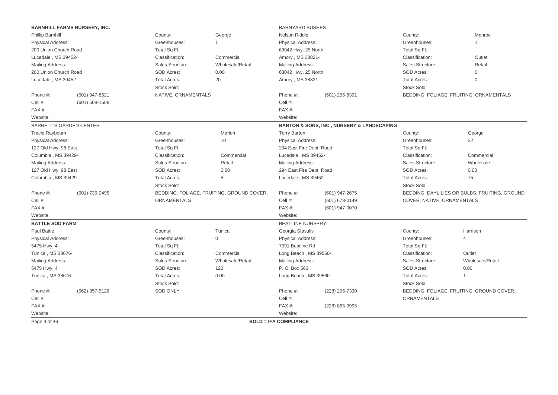|                                | <b>BARNHILL FARMS NURSERY, INC.</b> |                                          |                                           | <b>BARNYARD BUSHES</b>       |                                                           |                            |                                               |
|--------------------------------|-------------------------------------|------------------------------------------|-------------------------------------------|------------------------------|-----------------------------------------------------------|----------------------------|-----------------------------------------------|
| Phillip Barnhill               |                                     | County:                                  | George                                    | <b>Nelson Riddle</b>         |                                                           | County:                    | Monroe                                        |
| <b>Physical Address:</b>       |                                     | Greenhouses:                             | $\overline{1}$                            | <b>Physical Address:</b>     |                                                           | Greenhouses:               | -1                                            |
| 200 Union Church Road          |                                     | Total Sq Ft:                             |                                           | 63042 Hwy. 25 North          |                                                           | Total Sq Ft:               |                                               |
| Lucedale, MS 39452-            |                                     | Classification:                          | Commercial                                | Amory, MS 38821-             |                                                           | Classification:            | Outlet                                        |
| Mailing Address:               |                                     | Sales Structure:                         | Wholesale/Retail                          | Mailing Address:             |                                                           | Sales Structure:           | Retail                                        |
| 200 Union Church Road          |                                     | SOD Acres:                               | 0.00                                      | 63042 Hwy. 25 North          |                                                           | SOD Acres:                 | $\Omega$                                      |
| Lucedale, MS 39452-            |                                     | <b>Total Acres:</b>                      | 20                                        | Amory, MS 38821-             |                                                           | <b>Total Acres:</b>        | $\mathbf{0}$                                  |
|                                |                                     | Stock Sold:                              |                                           |                              |                                                           | Stock Sold:                |                                               |
| Phone #:                       | (601) 947-8621                      | NATIVE, ORNAMENTALS                      |                                           | Phone #:<br>(601) 256-8391   |                                                           |                            | BEDDING, FOLIAGE, FRUITING, ORNAMENTALS       |
| Cell #:                        | $(601)$ 508-1508                    |                                          |                                           | Cell #:                      |                                                           |                            |                                               |
| FAX#:                          |                                     |                                          |                                           | FAX#:                        |                                                           |                            |                                               |
| Website:                       |                                     |                                          |                                           | Website:                     |                                                           |                            |                                               |
| <b>BARRETT'S GARDEN CENTER</b> |                                     |                                          |                                           |                              | <b>BARTON &amp; SONS, INC., NURSERY &amp; LANDSCAPING</b> |                            |                                               |
| Tracie Raybourn                |                                     | County:                                  | Marion                                    | <b>Terry Barton</b>          |                                                           | County:                    | George                                        |
| <b>Physical Address:</b>       |                                     | Greenhouses:                             | 10                                        | Physical Address:            |                                                           | Greenhouses:               | 32                                            |
| 127 Old Hwy. 98 East           |                                     | Total Sq Ft:<br>294 East Fire Dept. Road |                                           |                              | Total Sq Ft:                                              |                            |                                               |
| Columbia, MS 39429-            |                                     | Classification:                          | Commercial                                | Lucedale, MS 39452-          |                                                           | Classification:            | Commercial                                    |
| Mailing Address:               |                                     | Sales Structure:                         | Retail                                    | Mailing Address:             |                                                           | Sales Structure:           | Wholesale                                     |
| 127 Old Hwy. 98 East           |                                     | SOD Acres:                               | 0.00                                      | 294 East Fire Dept. Road     |                                                           | SOD Acres:                 | 0.00                                          |
| Columbia, MS 39429-            |                                     | <b>Total Acres:</b>                      | 5                                         | Lucedale, MS 39452-          |                                                           | <b>Total Acres:</b>        | 75                                            |
|                                |                                     | Stock Sold:                              |                                           |                              |                                                           | Stock Sold:                |                                               |
| Phone #:                       | (601) 736-0495                      |                                          | BEDDING, FOLIAGE, FRUITING, GROUND COVER, | Phone #:                     | (601) 947-2675                                            |                            | BEDDING, DAYLILIES OR BULBS, FRUITING, GROUND |
| Cell #:                        |                                     | ORNAMENTALS                              |                                           | Cell #:                      | (601) 673-0149                                            | COVER, NATIVE, ORNAMENTALS |                                               |
| FAX#:                          |                                     |                                          |                                           | FAX#:                        | (601) 947-0070                                            |                            |                                               |
| Website:                       |                                     |                                          |                                           | Website:                     |                                                           |                            |                                               |
| <b>BATTLE SOD FARM</b>         |                                     |                                          |                                           | <b>BEATLINE NURSERY</b>      |                                                           |                            |                                               |
| Paul Battle                    |                                     | County:                                  | Tunica                                    | Georgia Stasulis             |                                                           | County:                    | Harrison                                      |
| Physical Address:              |                                     | Greenhouses:                             | $\mathbf 0$                               | <b>Physical Address:</b>     |                                                           | Greenhouses:               | $\overline{4}$                                |
| 5475 Hwy. 4                    |                                     | Total Sq Ft:                             |                                           | 7091 Beatline Rd             |                                                           | Total Sq Ft:               |                                               |
| Tunica, MS 38676-              |                                     | Classification:                          | Commercial                                | Long Beach, MS 39560-        |                                                           | Classification:            | Outlet                                        |
| Mailing Address:               |                                     | Sales Structure:                         | Wholesale/Retail                          | Mailing Address:             |                                                           | Sales Structure:           | Wholesale/Retail                              |
| 5475 Hwy. 4                    |                                     | SOD Acres:                               | 120                                       | P. O. Box 563                |                                                           | SOD Acres:                 | 0.00                                          |
| Tunica, MS 38676-              |                                     | <b>Total Acres:</b>                      | 0.00                                      | Long Beach, MS 39560-        |                                                           | <b>Total Acres:</b>        | $\overline{1}$                                |
|                                |                                     | Stock Sold:                              |                                           |                              |                                                           | Stock Sold:                |                                               |
| Phone #:                       | (662) 357-5126                      | <b>SOD ONLY</b>                          |                                           | Phone #:                     | (228) 206-7330                                            |                            | BEDDING, FOLIAGE, FRUITING, GROUND COVER,     |
| Cell #:                        |                                     |                                          |                                           | Cell #:                      |                                                           | <b>ORNAMENTALS</b>         |                                               |
| $FAX#$ :                       |                                     |                                          |                                           | $FAX#$ :                     | (228) 865-3995                                            |                            |                                               |
| Website:                       |                                     |                                          |                                           | Website:                     |                                                           |                            |                                               |
| Page 4 of 46                   |                                     |                                          |                                           | <b>BOLD = IFA COMPLIANCE</b> |                                                           |                            |                                               |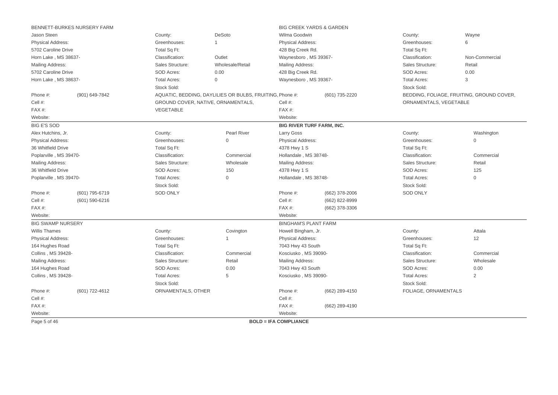|                                         | BENNETT-BURKES NURSERY FARM                              |                     |                                                          |                              | <b>BIG CREEK YARDS &amp; GARDEN</b> |                        |                                           |  |
|-----------------------------------------|----------------------------------------------------------|---------------------|----------------------------------------------------------|------------------------------|-------------------------------------|------------------------|-------------------------------------------|--|
| Jason Steen                             |                                                          | County:             | DeSoto                                                   | Wilma Goodwin                |                                     | County:                | Wayne                                     |  |
| Physical Address:                       |                                                          | Greenhouses:        | 1                                                        | <b>Physical Address:</b>     |                                     | Greenhouses:           | 6                                         |  |
| 5702 Caroline Drive                     |                                                          | Total Sq Ft:        |                                                          | 428 Big Creek Rd.            |                                     | Total Sq Ft:           |                                           |  |
| Horn Lake, MS 38637-                    |                                                          | Classification:     | Outlet                                                   | Waynesboro, MS 39367-        |                                     | Classification:        | Non-Commercial                            |  |
| <b>Mailing Address:</b>                 |                                                          | Sales Structure:    | Wholesale/Retail                                         | <b>Mailing Address:</b>      |                                     | Sales Structure:       | Retail                                    |  |
| 5702 Caroline Drive                     |                                                          | SOD Acres:          | 0.00                                                     | 428 Big Creek Rd.            |                                     | SOD Acres:             | 0.00                                      |  |
| Horn Lake, MS 38637-                    |                                                          | <b>Total Acres:</b> | $\overline{0}$                                           | Waynesboro, MS 39367-        |                                     | <b>Total Acres:</b>    | 3                                         |  |
|                                         |                                                          | Stock Sold:         |                                                          |                              |                                     | Stock Sold:            |                                           |  |
| Phone #:                                | (901) 649-7842                                           |                     | AQUATIC, BEDDING, DAYLILIES OR BULBS, FRUITING, Phone #: |                              | (601) 735-2220                      |                        | BEDDING, FOLIAGE, FRUITING, GROUND COVER, |  |
| Cell #:                                 |                                                          |                     | GROUND COVER, NATIVE, ORNAMENTALS,                       | Cell #:                      |                                     | ORNAMENTALS, VEGETABLE |                                           |  |
| FAX#:                                   |                                                          | VEGETABLE           |                                                          | FAX #:                       |                                     |                        |                                           |  |
| Website:                                |                                                          |                     |                                                          | Website:                     |                                     |                        |                                           |  |
| <b>BIG E'S SOD</b>                      |                                                          |                     |                                                          |                              | <b>BIG RIVER TURF FARM, INC.</b>    |                        |                                           |  |
| Alex Hutchins, Jr.                      |                                                          | County:             | <b>Pearl River</b>                                       | Larry Goss                   |                                     | County:                | Washington                                |  |
| <b>Physical Address:</b>                |                                                          | Greenhouses:        | $\mathbf{0}$                                             | <b>Physical Address:</b>     |                                     | Greenhouses:           | $\mathbf{0}$                              |  |
| 36 Whitfield Drive                      |                                                          | Total Sq Ft:        | 4378 Hwy 1 S                                             |                              | Total Sq Ft:                        |                        |                                           |  |
| Poplarville, MS 39470-                  |                                                          | Classification:     | Commercial                                               | Hollandale, MS 38748-        |                                     | Classification:        | Commercial                                |  |
| Mailing Address:                        | Sales Structure:<br>Wholesale<br><b>Mailing Address:</b> |                     | Sales Structure:                                         | Retail                       |                                     |                        |                                           |  |
| 36 Whitfield Drive<br>SOD Acres:<br>150 |                                                          |                     | 4378 Hwy 1 S                                             |                              | SOD Acres:                          | 125                    |                                           |  |
| Poplarville, MS 39470-                  |                                                          | <b>Total Acres:</b> | $\mathbf{0}$                                             | Hollandale, MS 38748-        |                                     | <b>Total Acres:</b>    | $\mathbf 0$                               |  |
|                                         |                                                          | Stock Sold:         |                                                          |                              |                                     | Stock Sold:            |                                           |  |
| Phone #:                                | (601) 795-6719                                           | <b>SOD ONLY</b>     |                                                          | Phone #:                     | (662) 378-2006                      | <b>SOD ONLY</b>        |                                           |  |
| Cell #:                                 | $(601)$ 590-6216                                         |                     |                                                          | Cell #:                      | (662) 822-8999                      |                        |                                           |  |
| $FAX#$ :                                |                                                          |                     |                                                          | FAX #:                       | (662) 378-3306                      |                        |                                           |  |
| Website:                                |                                                          |                     |                                                          | Website:                     |                                     |                        |                                           |  |
| <b>BIG SWAMP NURSERY</b>                |                                                          |                     |                                                          | <b>BINGHAM'S PLANT FARM</b>  |                                     |                        |                                           |  |
| <b>Willis Thames</b>                    |                                                          | County:             | Covington                                                | Howell Bingham, Jr.          |                                     | County:                | Attala                                    |  |
| <b>Physical Address:</b>                |                                                          | Greenhouses:        |                                                          | Physical Address:            |                                     | Greenhouses:           | 12                                        |  |
| 164 Hughes Road                         |                                                          | Total Sq Ft:        |                                                          | 7043 Hwy 43 South            |                                     | Total Sq Ft:           |                                           |  |
| <b>Collins, MS 39428-</b>               |                                                          | Classification:     | Commercial                                               | Kosciusko, MS 39090-         |                                     | Classification:        | Commercial                                |  |
| Mailing Address:                        |                                                          | Sales Structure:    | Retail                                                   | <b>Mailing Address:</b>      |                                     | Sales Structure:       | Wholesale                                 |  |
| 164 Hughes Road                         |                                                          | SOD Acres:          | 0.00                                                     | 7043 Hwy 43 South            |                                     | SOD Acres:             | 0.00                                      |  |
| Collins, MS 39428-                      |                                                          | <b>Total Acres:</b> | 5                                                        | Kosciusko, MS 39090-         |                                     | <b>Total Acres:</b>    | 2                                         |  |
|                                         |                                                          | Stock Sold:         |                                                          |                              |                                     | Stock Sold:            |                                           |  |
| Phone #:                                | (601) 722-4612                                           | ORNAMENTALS, OTHER  |                                                          | Phone #:                     | (662) 289-4150                      | FOLIAGE, ORNAMENTALS   |                                           |  |
| Cell #:                                 |                                                          |                     |                                                          | Cell #:                      |                                     |                        |                                           |  |
| FAX#:                                   |                                                          |                     |                                                          | FAX #:                       | (662) 289-4190                      |                        |                                           |  |
| Website:                                |                                                          |                     |                                                          | Website:                     |                                     |                        |                                           |  |
| Page 5 of 46                            |                                                          |                     |                                                          | <b>BOLD = IFA COMPLIANCE</b> |                                     |                        |                                           |  |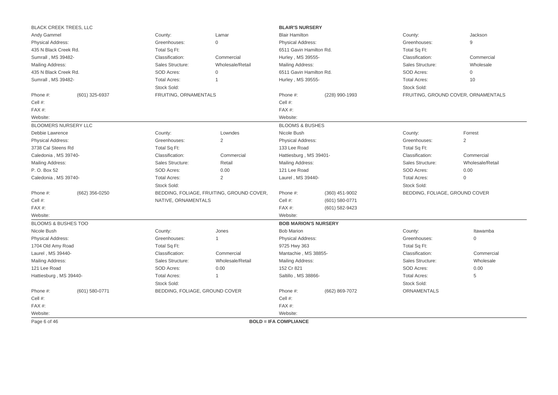| <b>BLACK CREEK TREES, LLC</b> |                                                            |                                |                                           | <b>BLAIR'S NURSERY</b>       |                    |                                |                                     |
|-------------------------------|------------------------------------------------------------|--------------------------------|-------------------------------------------|------------------------------|--------------------|--------------------------------|-------------------------------------|
| Andy Gammel                   |                                                            | County:                        | Lamar                                     | <b>Blair Hamilton</b>        |                    | County:                        | Jackson                             |
| Physical Address:             |                                                            | Greenhouses:                   | $\mathbf{0}$                              | Physical Address:            |                    | Greenhouses:                   | 9                                   |
| 435 N Black Creek Rd.         |                                                            | Total Sq Ft:                   |                                           | 6511 Gavin Hamilton Rd.      |                    | Total Sq Ft:                   |                                     |
| Sumrall, MS 39482-            |                                                            | Classification:                | Commercial                                | Hurley, MS 39555-            |                    | Classification:                | Commercial                          |
| Mailing Address:              |                                                            | Sales Structure:               | Wholesale/Retail                          | Mailing Address:             |                    | Sales Structure:               | Wholesale                           |
| 435 N Black Creek Rd.         |                                                            | <b>SOD Acres:</b>              | $\mathbf 0$                               | 6511 Gavin Hamilton Rd.      |                    | SOD Acres:                     | 0                                   |
| Sumrall, MS 39482-            |                                                            | <b>Total Acres:</b>            |                                           | Hurley, MS 39555-            |                    | <b>Total Acres:</b>            | 10                                  |
|                               |                                                            | Stock Sold:                    |                                           |                              |                    | Stock Sold:                    |                                     |
| Phone #:                      | (601) 325-6937                                             | FRUITING, ORNAMENTALS          |                                           | Phone #:<br>(228) 990-1993   |                    |                                | FRUITING, GROUND COVER, ORNAMENTALS |
| Cell #:                       |                                                            |                                |                                           | Cell #:                      |                    |                                |                                     |
| FAX#:                         |                                                            |                                |                                           | FAX#:                        |                    |                                |                                     |
| Website:                      |                                                            |                                |                                           | Website:                     |                    |                                |                                     |
| <b>BLOOMERS NURSERY LLC</b>   |                                                            |                                |                                           | <b>BLOOMS &amp; BUSHES</b>   |                    |                                |                                     |
| Debbie Lawrence               |                                                            | County:                        | Lowndes                                   | Nicole Bush                  |                    | County:                        | Forrest                             |
| <b>Physical Address:</b>      | $\overline{2}$<br>Greenhouses:<br><b>Physical Address:</b> |                                |                                           | Greenhouses:                 | $\overline{2}$     |                                |                                     |
| 3738 Cal Steens Rd            | Total Sq Ft:<br>133 Lee Road                               |                                |                                           | Total Sq Ft:                 |                    |                                |                                     |
| Caledonia, MS 39740-          |                                                            | Classification:                | Commercial                                | Hattiesburg, MS 39401-       |                    | Classification:                | Commercial                          |
| Mailing Address:              |                                                            | Sales Structure:               | Retail                                    | Mailing Address:             |                    | Sales Structure:               | Wholesale/Retail                    |
| P. O. Box 52                  | SOD Acres:<br>0.00<br>121 Lee Road                         |                                |                                           | SOD Acres:                   | 0.00               |                                |                                     |
| Caledonia, MS 39740-          |                                                            | <b>Total Acres:</b>            | $\overline{2}$                            | Laurel, MS 39440-            |                    | <b>Total Acres:</b>            | $\Omega$                            |
|                               |                                                            | Stock Sold:                    |                                           |                              |                    | Stock Sold:                    |                                     |
| Phone #:                      | (662) 356-0250                                             |                                | BEDDING, FOLIAGE, FRUITING, GROUND COVER, | Phone #:                     | (360) 451-9002     | BEDDING, FOLIAGE, GROUND COVER |                                     |
| Cell #:                       |                                                            | NATIVE, ORNAMENTALS            |                                           | Cell #:                      | $(601) 580 - 0771$ |                                |                                     |
| FAX#:                         |                                                            |                                |                                           | FAX#:                        | (601) 582-9423     |                                |                                     |
| Website:                      |                                                            |                                |                                           | Website:                     |                    |                                |                                     |
| BLOOMS & BUSHES TOO           |                                                            |                                |                                           | <b>BOB MARION'S NURSERY</b>  |                    |                                |                                     |
| Nicole Bush                   |                                                            | County:                        | Jones                                     | <b>Bob Marion</b>            |                    | County:                        | Itawamba                            |
| Physical Address:             |                                                            | Greenhouses:                   |                                           | Physical Address:            |                    | Greenhouses:                   | $\mathsf{O}\xspace$                 |
| 1704 Old Amy Road             |                                                            | Total Sq Ft:                   |                                           | 9725 Hwy 363                 |                    | Total Sq Ft:                   |                                     |
| Laurel, MS 39440-             |                                                            | Classification:                | Commercial                                | Mantachie, MS 38855-         |                    | Classification:                | Commercial                          |
| Mailing Address:              |                                                            | Sales Structure:               | Wholesale/Retail                          | Mailing Address:             |                    | Sales Structure:               | Wholesale                           |
| 121 Lee Road                  |                                                            | SOD Acres:                     | 0.00                                      | 152 Cr 821                   |                    | SOD Acres:                     | 0.00                                |
| Hattiesburg, MS 39440-        |                                                            | <b>Total Acres:</b>            |                                           | Saltillo, MS 38866-          |                    | <b>Total Acres:</b>            | 5                                   |
|                               |                                                            | Stock Sold:                    |                                           |                              |                    | Stock Sold:                    |                                     |
| Phone #:                      | (601) 580-0771                                             | BEDDING, FOLIAGE, GROUND COVER |                                           | Phone #:                     | (662) 869-7072     | <b>ORNAMENTALS</b>             |                                     |
| Cell #:                       |                                                            |                                |                                           | Cell #:                      |                    |                                |                                     |
| FAX#:                         |                                                            |                                |                                           | $FAX#$ :                     |                    |                                |                                     |
| Website:                      |                                                            |                                |                                           | Website:                     |                    |                                |                                     |
| Page 6 of 46                  |                                                            |                                |                                           | <b>BOLD = IFA COMPLIANCE</b> |                    |                                |                                     |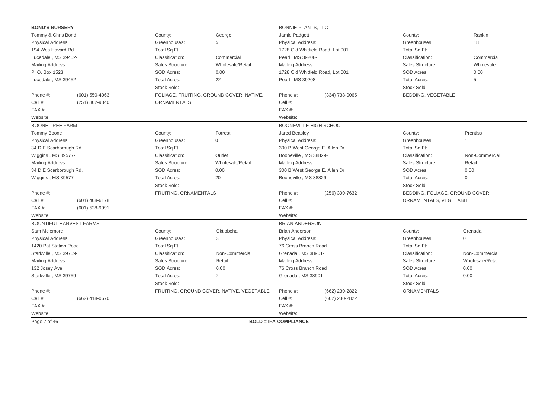| <b>BOND'S NURSERY</b>                  |                                                    |                                                          |                                           | <b>BONNIE PLANTS, LLC</b>    |                                  |                                 |                  |
|----------------------------------------|----------------------------------------------------|----------------------------------------------------------|-------------------------------------------|------------------------------|----------------------------------|---------------------------------|------------------|
| Tommy & Chris Bond                     |                                                    | County:                                                  | George                                    | Jamie Padgett                |                                  | County:                         | Rankin           |
| <b>Physical Address:</b>               |                                                    | Greenhouses:                                             | 5                                         | Physical Address:            |                                  | Greenhouses:                    | 18               |
| 194 Wes Havard Rd.                     |                                                    | Total Sq Ft:                                             |                                           |                              | 1728 Old Whitfield Road, Lot 001 | Total Sq Ft:                    |                  |
| Lucedale, MS 39452-                    |                                                    | Classification:                                          | Commercial                                | Pearl, MS 39208-             |                                  | Classification:                 | Commercial       |
| Mailing Address:                       |                                                    | Sales Structure:                                         | Wholesale/Retail                          | Mailing Address:             |                                  | Sales Structure:                | Wholesale        |
| P. O. Box 1523                         |                                                    | SOD Acres:                                               | 0.00                                      |                              | 1728 Old Whitfield Road, Lot 001 | SOD Acres:                      | 0.00             |
| Lucedale, MS 39452-                    |                                                    | <b>Total Acres:</b>                                      | 22                                        | Pearl, MS 39208-             |                                  | <b>Total Acres:</b>             | 5                |
|                                        |                                                    | Stock Sold:                                              |                                           |                              |                                  | Stock Sold:                     |                  |
| Phone #:                               | $(601)$ 550-4063                                   |                                                          | FOLIAGE, FRUITING, GROUND COVER, NATIVE,  | Phone #:<br>(334) 738-0065   |                                  | BEDDING, VEGETABLE              |                  |
| Cell #:                                | (251) 802-9340                                     | <b>ORNAMENTALS</b>                                       |                                           | Cell #:                      |                                  |                                 |                  |
| FAX#:                                  |                                                    |                                                          |                                           | FAX #:                       |                                  |                                 |                  |
| Website:                               |                                                    |                                                          |                                           | Website:                     |                                  |                                 |                  |
| <b>BOONE TREE FARM</b>                 |                                                    |                                                          |                                           |                              | <b>BOONEVILLE HIGH SCHOOL</b>    |                                 |                  |
| Tommy Boone                            |                                                    | County:                                                  | Forrest                                   | Jared Beasley                |                                  | County:                         | Prentiss         |
| Physical Address:                      |                                                    | Greenhouses:                                             | $\Omega$                                  | <b>Physical Address:</b>     |                                  | Greenhouses:                    |                  |
| 34 D E Scarborough Rd.<br>Total Sq Ft: |                                                    |                                                          | 300 B West George E. Allen Dr             | Total Sq Ft:                 |                                  |                                 |                  |
| Wiggins, MS 39577-                     | Classification:<br>Outlet<br>Booneville, MS 38829- |                                                          |                                           | Classification:              | Non-Commercial                   |                                 |                  |
| Mailing Address:                       |                                                    | Sales Structure:<br>Wholesale/Retail<br>Mailing Address: |                                           | Sales Structure:             | Retail                           |                                 |                  |
| 34 D E Scarborough Rd.                 |                                                    | SOD Acres:<br>0.00<br>300 B West George E. Allen Dr      |                                           | SOD Acres:                   | 0.00                             |                                 |                  |
| Wiggins, MS 39577-                     |                                                    | <b>Total Acres:</b>                                      | 20                                        | Booneville, MS 38829-        |                                  | <b>Total Acres:</b>             | $\mathbf{0}$     |
|                                        |                                                    | Stock Sold:                                              |                                           |                              |                                  | Stock Sold:                     |                  |
| Phone #:                               |                                                    | FRUITING, ORNAMENTALS                                    |                                           | Phone #:                     | (256) 390-7632                   | BEDDING, FOLIAGE, GROUND COVER, |                  |
| Cell #:                                | (601) 408-6178                                     |                                                          |                                           | Cell #:                      |                                  | ORNAMENTALS, VEGETABLE          |                  |
| FAX#:                                  | $(601)$ 528-9991                                   |                                                          |                                           | FAX#:                        |                                  |                                 |                  |
| Website:                               |                                                    |                                                          |                                           | Website:                     |                                  |                                 |                  |
|                                        | <b>BOUNTIFUL HARVEST FARMS</b>                     |                                                          |                                           | <b>BRIAN ANDERSON</b>        |                                  |                                 |                  |
| Sam Mclemore                           |                                                    | County:                                                  | Oktibbeha                                 | <b>Brian Anderson</b>        |                                  | County:                         | Grenada          |
| Physical Address:                      |                                                    | Greenhouses:                                             | 3                                         | <b>Physical Address:</b>     |                                  | Greenhouses:                    | $\mathbf{0}$     |
| 1420 Pat Station Road                  |                                                    | Total Sq Ft:                                             |                                           | 76 Cross Branch Road         |                                  | Total Sq Ft:                    |                  |
| Starkville, MS 39759-                  |                                                    | Classification:                                          | Non-Commercial                            | Grenada, MS 38901-           |                                  | Classification:                 | Non-Commercial   |
| Mailing Address:                       |                                                    | Sales Structure:                                         | Retail                                    | Mailing Address:             |                                  | Sales Structure:                | Wholesale/Retail |
| 132 Josey Ave                          |                                                    | SOD Acres:                                               | 0.00                                      | 76 Cross Branch Road         |                                  | SOD Acres:                      | 0.00             |
| Starkville, MS 39759-                  |                                                    | <b>Total Acres:</b>                                      | 2                                         | Grenada, MS 38901-           |                                  | <b>Total Acres:</b>             | 0.00             |
|                                        |                                                    | Stock Sold:                                              |                                           |                              |                                  | Stock Sold:                     |                  |
| Phone #:                               |                                                    |                                                          | FRUITING, GROUND COVER, NATIVE, VEGETABLE | Phone #:                     | (662) 230-2822                   | ORNAMENTALS                     |                  |
| Cell #:                                | (662) 418-0670                                     |                                                          |                                           | Cell #:                      | (662) 230-2822                   |                                 |                  |
| $FAX#$ :                               |                                                    |                                                          |                                           | FAX #:                       |                                  |                                 |                  |
| Website:                               |                                                    |                                                          |                                           | Website:                     |                                  |                                 |                  |
| Page 7 of 46                           |                                                    |                                                          |                                           | <b>BOLD = IFA COMPLIANCE</b> |                                  |                                 |                  |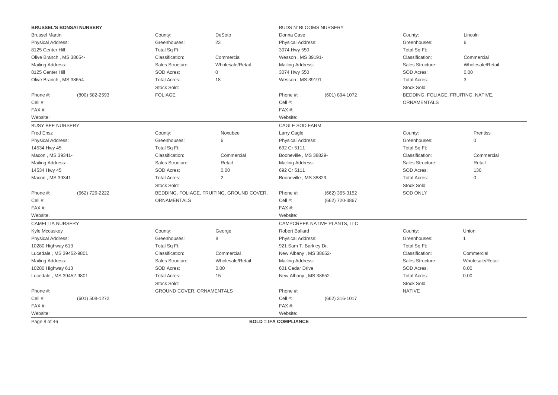| <b>BRUSSEL'S BONSAI NURSERY</b> |                                   |                                  |                                           | BUDS N' BLOOMS NURSERY       |                              |                                     |                     |  |
|---------------------------------|-----------------------------------|----------------------------------|-------------------------------------------|------------------------------|------------------------------|-------------------------------------|---------------------|--|
| <b>Brussel Martin</b>           |                                   | County:                          | DeSoto                                    | Donna Case                   |                              | County:                             | Lincoln             |  |
| Physical Address:               |                                   | Greenhouses:                     | 23                                        | <b>Physical Address:</b>     |                              | Greenhouses:                        | 6                   |  |
| 8125 Center Hill                |                                   | Total Sq Ft:                     |                                           | 3074 Hwy 550                 |                              | Total Sq Ft:                        |                     |  |
| Olive Branch, MS 38654-         |                                   | Classification:                  | Commercial                                | Wesson, MS 39191-            |                              | Classification:                     | Commercial          |  |
| Mailing Address:                |                                   | Sales Structure:                 | Wholesale/Retail                          | Mailing Address:             |                              | Sales Structure:                    | Wholesale/Retail    |  |
| 8125 Center Hill                |                                   | <b>SOD Acres:</b>                | $\mathbf{0}$                              | 3074 Hwy 550                 |                              | SOD Acres:                          | 0.00                |  |
| Olive Branch, MS 38654-         |                                   | <b>Total Acres:</b>              | 18                                        | Wesson, MS 39191-            |                              | <b>Total Acres:</b>                 | 3                   |  |
|                                 |                                   | Stock Sold:                      |                                           |                              |                              | Stock Sold:                         |                     |  |
| Phone #:                        | (800) 582-2593                    | <b>FOLIAGE</b>                   |                                           | Phone #:                     | (601) 894-1072               | BEDDING, FOLIAGE, FRUITING, NATIVE, |                     |  |
| Cell #:                         |                                   |                                  |                                           | Cell #:                      |                              | <b>ORNAMENTALS</b>                  |                     |  |
| FAX#:                           |                                   |                                  |                                           | FAX#:                        |                              |                                     |                     |  |
| Website:                        |                                   |                                  |                                           | Website:                     |                              |                                     |                     |  |
| <b>BUSY BEE NURSERY</b>         |                                   |                                  |                                           | CAGLE SOD FARM               |                              |                                     |                     |  |
| <b>Fred Ensz</b>                |                                   | County:                          | Noxubee                                   | Larry Cagle                  |                              | County:                             | Prentiss            |  |
| Physical Address:               |                                   | Greenhouses:                     | 6                                         | Physical Address:            |                              | Greenhouses:                        | $\mathbf{0}$        |  |
| 14534 Hwy 45                    |                                   | Total Sq Ft:                     |                                           | 692 Cr 5111                  |                              | Total Sq Ft:                        |                     |  |
| Macon, MS 39341-                |                                   | Classification:                  | Commercial                                | Booneville, MS 38829-        |                              | Classification:                     | Commercial          |  |
| Mailing Address:                |                                   | Sales Structure:                 | Retail                                    | <b>Mailing Address:</b>      |                              | Sales Structure:                    | Retail              |  |
| 14534 Hwy 45                    | SOD Acres:<br>0.00<br>692 Cr 5111 |                                  |                                           | SOD Acres:                   | 130                          |                                     |                     |  |
| Macon, MS 39341-                |                                   | <b>Total Acres:</b>              | 2                                         | Booneville, MS 38829-        |                              | <b>Total Acres:</b>                 | $\mathsf{O}\xspace$ |  |
|                                 |                                   | Stock Sold:                      |                                           |                              |                              | Stock Sold:                         |                     |  |
| Phone #:                        | (662) 726-2222                    |                                  | BEDDING, FOLIAGE, FRUITING, GROUND COVER, | Phone #:                     | (662) 365-3152               | <b>SOD ONLY</b>                     |                     |  |
| Cell #:                         |                                   | ORNAMENTALS                      |                                           | Cell #:                      | (662) 720-3867               |                                     |                     |  |
| FAX#:                           |                                   |                                  |                                           | FAX#:                        |                              |                                     |                     |  |
| Website:                        |                                   |                                  |                                           | Website:                     |                              |                                     |                     |  |
| <b>CAMELLIA NURSERY</b>         |                                   |                                  |                                           |                              | CAMPCREEK NATIVE PLANTS, LLC |                                     |                     |  |
| Kyle Mccaskey                   |                                   | County:                          | George                                    | <b>Robert Ballard</b>        |                              | County:                             | Union               |  |
| Physical Address:               |                                   | Greenhouses:                     | 8                                         | <b>Physical Address:</b>     |                              | Greenhouses:                        | $\overline{1}$      |  |
| 10280 Highway 613               |                                   | Total Sq Ft:                     |                                           | 921 Sam T. Barkley Dr.       |                              | Total Sq Ft:                        |                     |  |
| Lucedale, MS 39452-9801         |                                   | Classification:                  | Commercial                                | New Albany, MS 38652-        |                              | Classification:                     | Commercial          |  |
| Mailing Address:                |                                   | Sales Structure:                 | Wholesale/Retail                          | Mailing Address:             |                              | Sales Structure:                    | Wholesale/Retail    |  |
| 10280 Highway 613               |                                   | <b>SOD Acres:</b>                | 0.00                                      | 601 Cedar Drive              |                              | SOD Acres:                          | 0.00                |  |
| Lucedale, MS 39452-9801         |                                   | <b>Total Acres:</b>              | 15                                        | New Albany, MS 38652-        |                              | <b>Total Acres:</b>                 | 0.00                |  |
|                                 |                                   | Stock Sold:                      |                                           |                              |                              | Stock Sold:                         |                     |  |
| Phone #:                        |                                   | <b>GROUND COVER, ORNAMENTALS</b> |                                           | Phone #:                     |                              | <b>NATIVE</b>                       |                     |  |
| Cell #:                         | (601) 508-1272                    |                                  |                                           | Cell #:                      | (662) 316-1017               |                                     |                     |  |
| FAX#:                           |                                   |                                  |                                           | $FAX#$ :                     |                              |                                     |                     |  |
| Website:                        |                                   |                                  |                                           | Website:                     |                              |                                     |                     |  |
| Page 8 of 46                    |                                   |                                  |                                           | <b>BOLD = IFA COMPLIANCE</b> |                              |                                     |                     |  |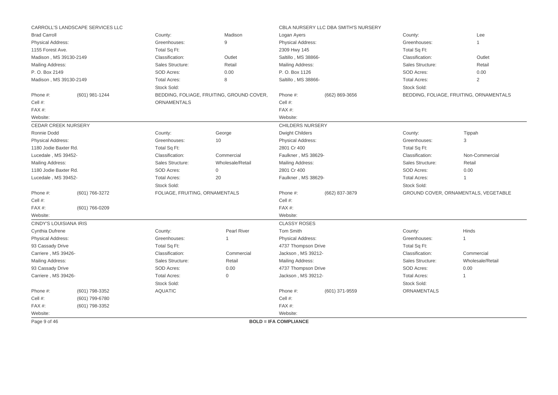|                               | CARROLL'S LANDSCAPE SERVICES LLC |                                                      |                                           | CBLA NURSERY LLC DBA SMITH'S NURSERY |                |                     |                                         |
|-------------------------------|----------------------------------|------------------------------------------------------|-------------------------------------------|--------------------------------------|----------------|---------------------|-----------------------------------------|
| <b>Brad Carroll</b>           |                                  | County:                                              | Madison                                   | Logan Ayers                          |                | County:             | Lee                                     |
| <b>Physical Address:</b>      |                                  | Greenhouses:                                         | 9                                         | <b>Physical Address:</b>             |                | Greenhouses:        | 1                                       |
| 1155 Forest Ave.              |                                  | Total Sq Ft:                                         |                                           | 2309 Hwy 145                         |                | Total Sq Ft:        |                                         |
| Madison, MS 39130-2149        |                                  | Classification:                                      | Outlet                                    | Saltillo, MS 38866-                  |                | Classification:     | Outlet                                  |
| Mailing Address:              |                                  | Sales Structure:                                     | Retail                                    | Mailing Address:                     |                | Sales Structure:    | Retail                                  |
| P. O. Box 2149                |                                  | SOD Acres:                                           | 0.00                                      | P. O. Box 1126                       |                | SOD Acres:          | 0.00                                    |
| Madison, MS 39130-2149        |                                  | <b>Total Acres:</b>                                  | 8                                         | Saltillo, MS 38866-                  |                | <b>Total Acres:</b> | $\overline{2}$                          |
|                               |                                  | Stock Sold:                                          |                                           |                                      |                | Stock Sold:         |                                         |
| Phone #:                      | (601) 981-1244                   |                                                      | BEDDING, FOLIAGE, FRUITING, GROUND COVER, | Phone #:<br>(662) 869-3656           |                |                     | BEDDING, FOLIAGE, FRUITING, ORNAMENTALS |
| Cell #:                       |                                  | <b>ORNAMENTALS</b>                                   |                                           | Cell #:                              |                |                     |                                         |
| FAX#:                         |                                  |                                                      |                                           | FAX#:                                |                |                     |                                         |
| Website:                      |                                  |                                                      |                                           | Website:                             |                |                     |                                         |
| <b>CEDAR CREEK NURSERY</b>    |                                  |                                                      |                                           | <b>CHILDERS NURSERY</b>              |                |                     |                                         |
| Ronnie Dodd                   |                                  | County:                                              | George                                    | <b>Dwight Childers</b>               |                | County:             | Tippah                                  |
| Physical Address:             |                                  | Greenhouses:                                         | 10                                        | <b>Physical Address:</b>             |                | Greenhouses:        | 3                                       |
| 1180 Jodie Baxter Rd.         |                                  | Total Sq Ft:<br>2801 Cr 400                          |                                           | Total Sq Ft:                         |                |                     |                                         |
| Lucedale, MS 39452-           |                                  | Classification:<br>Commercial<br>Faulkner, MS 38629- |                                           | Classification:                      | Non-Commercial |                     |                                         |
| Mailing Address:              |                                  | Sales Structure:                                     | Wholesale/Retail                          | <b>Mailing Address:</b>              |                | Sales Structure:    | Retail                                  |
| 1180 Jodie Baxter Rd.         |                                  | SOD Acres:                                           | $\mathbf 0$                               | 2801 Cr 400                          |                | SOD Acres:          | 0.00                                    |
| Lucedale, MS 39452-           |                                  | <b>Total Acres:</b>                                  | 20                                        | Faulkner, MS 38629-                  |                | <b>Total Acres:</b> | 1                                       |
|                               |                                  | Stock Sold:                                          |                                           |                                      |                | Stock Sold:         |                                         |
| Phone #:                      | (601) 766-3272                   | FOLIAGE, FRUITING, ORNAMENTALS                       |                                           | Phone #:                             | (662) 837-3879 |                     | GROUND COVER, ORNAMENTALS, VEGETABLE    |
| Cell #:                       |                                  |                                                      |                                           | Cell #:                              |                |                     |                                         |
| FAX#:                         | (601) 766-0209                   |                                                      |                                           | FAX#:                                |                |                     |                                         |
| Website:                      |                                  |                                                      |                                           | Website:                             |                |                     |                                         |
| <b>CINDY'S LOUISIANA IRIS</b> |                                  |                                                      |                                           | <b>CLASSY ROSES</b>                  |                |                     |                                         |
| Cynthia Dufrene               |                                  | County:                                              | Pearl River                               | Tom Smith                            |                | County:             | Hinds                                   |
| Physical Address:             |                                  | Greenhouses:                                         | $\mathbf{1}$                              | Physical Address:                    |                | Greenhouses:        | $\mathbf{1}$                            |
| 93 Cassady Drive              |                                  | Total Sq Ft:                                         |                                           | 4737 Thompson Drive                  |                | Total Sq Ft:        |                                         |
| Carriere, MS 39426-           |                                  | Classification:                                      | Commercial                                | Jackson, MS 39212-                   |                | Classification:     | Commercial                              |
| Mailing Address:              |                                  | Sales Structure:                                     | Retail                                    | Mailing Address:                     |                | Sales Structure:    | Wholesale/Retail                        |
| 93 Cassady Drive              |                                  | SOD Acres:                                           | 0.00                                      | 4737 Thompson Drive                  |                | SOD Acres:          | 0.00                                    |
| Carriere, MS 39426-           |                                  | <b>Total Acres:</b>                                  | $\Omega$                                  | Jackson, MS 39212-                   |                | <b>Total Acres:</b> |                                         |
|                               |                                  | Stock Sold:                                          |                                           |                                      |                | Stock Sold:         |                                         |
| Phone #:                      | (601) 798-3352                   | <b>AQUATIC</b>                                       |                                           | Phone #:                             | (601) 371-9559 | ORNAMENTALS         |                                         |
| Cell #:                       | (601) 799-6780                   |                                                      |                                           | Cell #:                              |                |                     |                                         |
| FAX#:                         | (601) 798-3352                   |                                                      |                                           | FAX#:                                |                |                     |                                         |
| Website:                      |                                  |                                                      |                                           | Website:                             |                |                     |                                         |
| Page 9 of 46                  |                                  |                                                      |                                           | <b>BOLD = IFA COMPLIANCE</b>         |                |                     |                                         |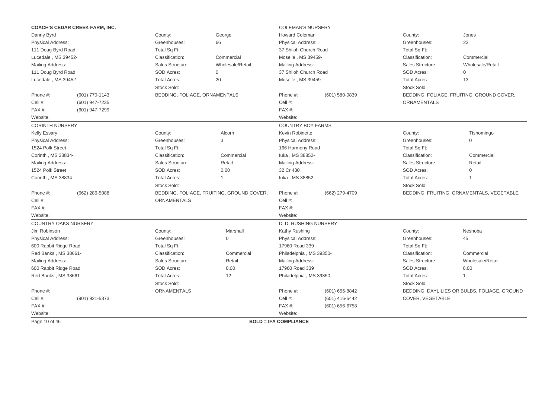|                             | <b>COACH'S CEDAR CREEK FARM, INC.</b> |                                                  |                                           | <b>COLEMAN'S NURSERY</b>     |                 |                     |                                              |
|-----------------------------|---------------------------------------|--------------------------------------------------|-------------------------------------------|------------------------------|-----------------|---------------------|----------------------------------------------|
| Danny Byrd                  |                                       | County:                                          | George                                    | <b>Howard Coleman</b>        |                 | County:             | Jones                                        |
| Physical Address:           |                                       | Greenhouses:                                     | 66                                        | Physical Address:            |                 | Greenhouses:        | 23                                           |
| 111 Doug Byrd Road          |                                       | Total Sq Ft:                                     |                                           | 37 Shiloh Church Road        |                 | Total Sq Ft:        |                                              |
| Lucedale, MS 39452-         |                                       | Classification:                                  | Commercial                                | Moselle, MS 39459-           |                 | Classification:     | Commercial                                   |
| Mailing Address:            |                                       | Sales Structure:                                 | Wholesale/Retail                          | Mailing Address:             |                 | Sales Structure:    | Wholesale/Retail                             |
| 111 Doug Byrd Road          |                                       | SOD Acres:                                       | $\mathbf{0}$                              | 37 Shiloh Church Road        |                 | SOD Acres:          | $\Omega$                                     |
| Lucedale, MS 39452-         |                                       | <b>Total Acres:</b>                              | 20                                        | Moselle, MS 39459-           |                 | <b>Total Acres:</b> | 13                                           |
|                             |                                       | Stock Sold:                                      |                                           |                              |                 | Stock Sold:         |                                              |
| Phone #:                    | (601) 770-1143                        | BEDDING, FOLIAGE, ORNAMENTALS                    |                                           | Phone #:                     | (601) 580-0839  |                     | BEDDING, FOLIAGE, FRUITING, GROUND COVER,    |
| Cell #:                     | (601) 947-7235                        |                                                  |                                           | Cell #:                      |                 | <b>ORNAMENTALS</b>  |                                              |
| FAX#:                       | (601) 947-7299                        |                                                  |                                           | FAX#:                        |                 |                     |                                              |
| Website:                    |                                       |                                                  |                                           | Website:                     |                 |                     |                                              |
| <b>CORINTH NURSERY</b>      |                                       |                                                  |                                           | <b>COUNTRY BOY FARMS</b>     |                 |                     |                                              |
| <b>Kelly Essary</b>         |                                       | County:                                          | Alcorn                                    | Kevin Robinette              |                 | County:             | Tishomingo                                   |
| <b>Physical Address:</b>    |                                       | 3<br>Greenhouses:<br><b>Physical Address:</b>    |                                           |                              | Greenhouses:    | $\Omega$            |                                              |
| 1524 Polk Street            |                                       | Total Sq Ft:                                     | 166 Harmony Road                          |                              | Total Sq Ft:    |                     |                                              |
| Corinth, MS 38834-          |                                       | Classification:<br>luka, MS 38852-<br>Commercial |                                           |                              | Classification: | Commercial          |                                              |
| Mailing Address:            |                                       | Sales Structure:                                 | Retail                                    | Mailing Address:             |                 | Sales Structure:    | Retail                                       |
| 1524 Polk Street            |                                       | SOD Acres:                                       | 0.00                                      | 32 Cr 430                    |                 | SOD Acres:          | $\mathbf 0$                                  |
| Corinth, MS 38834-          |                                       | <b>Total Acres:</b>                              | $\mathbf{1}$                              | luka, MS 38852-              |                 | <b>Total Acres:</b> | 1                                            |
|                             |                                       | Stock Sold:                                      |                                           |                              |                 | Stock Sold:         |                                              |
| Phone #:                    | (662) 286-5088                        |                                                  | BEDDING, FOLIAGE, FRUITING, GROUND COVER, | Phone #:                     | (662) 279-4709  |                     | BEDDING, FRUITING, ORNAMENTALS, VEGETABLE    |
| Cell #:                     |                                       | ORNAMENTALS                                      |                                           | Cell #:                      |                 |                     |                                              |
| FAX#:                       |                                       |                                                  |                                           | FAX#:                        |                 |                     |                                              |
| Website:                    |                                       |                                                  |                                           | Website:                     |                 |                     |                                              |
| <b>COUNTRY OAKS NURSERY</b> |                                       |                                                  |                                           | D. D. RUSHING NURSERY        |                 |                     |                                              |
| Jim Robinson                |                                       | County:                                          | Marshall                                  | Kathy Rushing                |                 | County:             | Neshoba                                      |
| Physical Address:           |                                       | Greenhouses:                                     | $\Omega$                                  | <b>Physical Address:</b>     |                 | Greenhouses:        | 45                                           |
| 600 Rabbit Ridge Road       |                                       | Total Sq Ft:                                     |                                           | 17960 Road 339               |                 | Total Sq Ft:        |                                              |
| Red Banks, MS 38661-        |                                       | Classification:                                  | Commercial                                | Philadelphia, MS 39350-      |                 | Classification:     | Commercial                                   |
| Mailing Address:            |                                       | Sales Structure:                                 | Retail                                    | Mailing Address:             |                 | Sales Structure:    | Wholesale/Retail                             |
| 600 Rabbit Ridge Road       |                                       | SOD Acres:                                       | 0.00                                      | 17960 Road 339               |                 | <b>SOD Acres:</b>   | 0.00                                         |
| Red Banks, MS 38661-        |                                       | <b>Total Acres:</b>                              | 12                                        | Philadelphia, MS 39350-      |                 | <b>Total Acres:</b> | 1                                            |
|                             |                                       | Stock Sold:                                      |                                           |                              |                 | Stock Sold:         |                                              |
| Phone #:                    |                                       | ORNAMENTALS                                      |                                           | Phone #:                     | (601) 656-8842  |                     | BEDDING, DAYLILIES OR BULBS, FOLIAGE, GROUND |
| Cell #:                     | (901) 921-5373                        |                                                  |                                           | Cell #:                      | (601) 416-5442  | COVER, VEGETABLE    |                                              |
| $FAX#$ :                    |                                       |                                                  |                                           | FAX #:                       | (601) 656-6758  |                     |                                              |
| Website:                    |                                       |                                                  |                                           | Website:                     |                 |                     |                                              |
| Page 10 of 46               |                                       |                                                  |                                           | <b>BOLD = IFA COMPLIANCE</b> |                 |                     |                                              |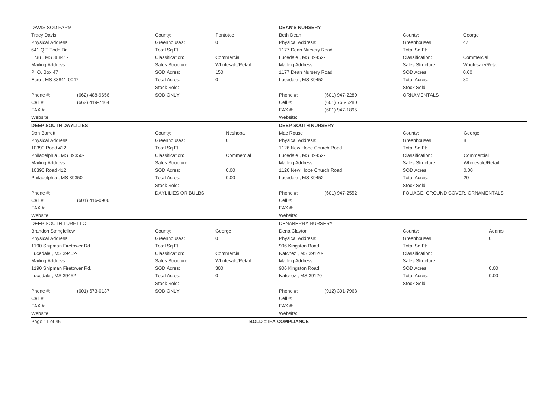| DAVIS SOD FARM              |                  |                                                         |                     | <b>DEAN'S NURSERY</b>        |                |                     |                                    |
|-----------------------------|------------------|---------------------------------------------------------|---------------------|------------------------------|----------------|---------------------|------------------------------------|
| <b>Tracy Davis</b>          |                  | County:                                                 | Pontotoc            | <b>Beth Dean</b>             |                | County:             | George                             |
| <b>Physical Address:</b>    |                  | Greenhouses:                                            | $\mathbf{0}$        | <b>Physical Address:</b>     |                | Greenhouses:        | 47                                 |
| 641 Q T Todd Dr             |                  | Total Sq Ft:                                            |                     | 1177 Dean Nursery Road       |                | Total Sq Ft:        |                                    |
| Ecru, MS 38841-             |                  | Classification:                                         | Commercial          | Lucedale, MS 39452-          |                | Classification:     | Commercial                         |
| Mailing Address:            |                  | Sales Structure:                                        | Wholesale/Retail    | Mailing Address:             |                | Sales Structure:    | Wholesale/Retail                   |
| P. O. Box 47                |                  | SOD Acres:                                              | 150                 | 1177 Dean Nursery Road       |                | SOD Acres:          | 0.00                               |
| Ecru, MS 38841-0047         |                  | <b>Total Acres:</b>                                     | $\mathsf{O}\xspace$ | Lucedale, MS 39452-          |                | <b>Total Acres:</b> | 80                                 |
|                             |                  | Stock Sold:                                             |                     |                              |                | Stock Sold:         |                                    |
| Phone #:                    | $(662)$ 488-9656 | <b>SOD ONLY</b>                                         |                     | Phone #:                     | (601) 947-2280 | <b>ORNAMENTALS</b>  |                                    |
| Cell #:                     | (662) 419-7464   |                                                         |                     | Cell #:                      | (601) 766-5280 |                     |                                    |
| FAX#:                       |                  |                                                         |                     | FAX #:                       | (601) 947-1895 |                     |                                    |
| Website:                    |                  |                                                         |                     | Website:                     |                |                     |                                    |
| <b>DEEP SOUTH DAYLILIES</b> |                  |                                                         |                     | <b>DEEP SOUTH NURSERY</b>    |                |                     |                                    |
| Don Barrett                 |                  | County:                                                 | Neshoba             | Mac Rouse                    |                | County:             | George                             |
| Physical Address:           |                  | Greenhouses:<br>$\mathbf 0$<br><b>Physical Address:</b> |                     | Greenhouses:                 | 8              |                     |                                    |
| 10390 Road 412              |                  | Total Sq Ft:                                            |                     | 1126 New Hope Church Road    |                | Total Sq Ft:        |                                    |
| Philadelphia, MS 39350-     |                  | Classification:                                         | Commercial          | Lucedale, MS 39452-          |                | Classification:     | Commercial                         |
| Mailing Address:            |                  | Sales Structure:                                        |                     | Mailing Address:             |                | Sales Structure:    | Wholesale/Retail                   |
| 10390 Road 412              |                  | SOD Acres:                                              | 0.00                | 1126 New Hope Church Road    |                | SOD Acres:          | 0.00                               |
| Philadelphia, MS 39350-     |                  | <b>Total Acres:</b>                                     | 0.00                | Lucedale, MS 39452-          |                | <b>Total Acres:</b> | 20                                 |
|                             |                  | Stock Sold:                                             |                     |                              |                | Stock Sold:         |                                    |
| Phone #:                    |                  | <b>DAYLILIES OR BULBS</b>                               |                     | Phone #:                     | (601) 947-2552 |                     | FOLIAGE, GROUND COVER, ORNAMENTALS |
| Cell #:                     | $(601)$ 416-0906 |                                                         |                     | Cell #:                      |                |                     |                                    |
| $FAX#$ :                    |                  |                                                         |                     | FAX #:                       |                |                     |                                    |
| Website:                    |                  |                                                         |                     | Website:                     |                |                     |                                    |
| DEEP SOUTH TURF LLC         |                  |                                                         |                     | <b>DENABERRY NURSERY</b>     |                |                     |                                    |
| <b>Brandon Stringfellow</b> |                  | County:                                                 | George              | Dena Clayton                 |                | County:             | Adams                              |
| <b>Physical Address:</b>    |                  | Greenhouses:                                            | $\mathbf{0}$        | <b>Physical Address:</b>     |                | Greenhouses:        | $\Omega$                           |
| 1190 Shipman Firetower Rd.  |                  | Total Sq Ft:                                            |                     | 906 Kingston Road            |                | Total Sq Ft:        |                                    |
| Lucedale, MS 39452-         |                  | Classification:                                         | Commercial          | Natchez, MS 39120-           |                | Classification:     |                                    |
| Mailing Address:            |                  | Sales Structure:                                        | Wholesale/Retail    | Mailing Address:             |                | Sales Structure:    |                                    |
| 1190 Shipman Firetower Rd.  |                  | SOD Acres:                                              | 300                 | 906 Kingston Road            |                | SOD Acres:          | 0.00                               |
| Lucedale, MS 39452-         |                  | <b>Total Acres:</b>                                     | $\mathbf{0}$        | Natchez, MS 39120-           |                | <b>Total Acres:</b> | 0.00                               |
|                             |                  | Stock Sold:                                             |                     |                              |                | Stock Sold:         |                                    |
| Phone #:                    | (601) 673-0137   | <b>SOD ONLY</b>                                         |                     | Phone #:                     | (912) 391-7968 |                     |                                    |
| Cell #:                     |                  |                                                         |                     | Cell #:                      |                |                     |                                    |
| FAX#:                       |                  |                                                         |                     | FAX#:                        |                |                     |                                    |
| Website:                    |                  |                                                         |                     | Website:                     |                |                     |                                    |
| Page 11 of 46               |                  |                                                         |                     | <b>BOLD = IFA COMPLIANCE</b> |                |                     |                                    |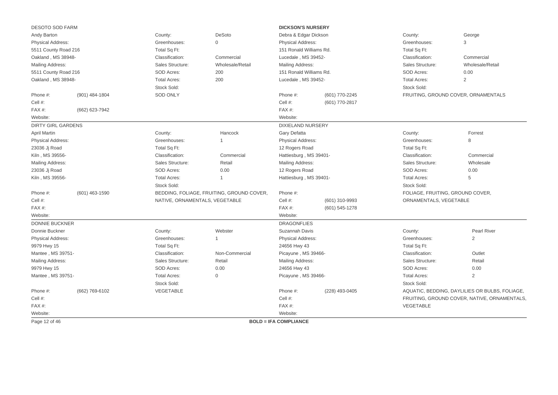| <b>DESOTO SOD FARM</b>    |                |                                                         |                                           | <b>DICKSON'S NURSERY</b>     |                |                                    |                                                |  |
|---------------------------|----------------|---------------------------------------------------------|-------------------------------------------|------------------------------|----------------|------------------------------------|------------------------------------------------|--|
| Andy Barton               | County:        | <b>DeSoto</b>                                           | Debra & Edgar Dickson                     |                              | County:        | George                             |                                                |  |
| <b>Physical Address:</b>  |                | Greenhouses:                                            | $\mathbf 0$                               | <b>Physical Address:</b>     |                | Greenhouses:                       | 3                                              |  |
| 5511 County Road 216      |                | Total Sq Ft:                                            |                                           | 151 Ronald Williams Rd.      |                | Total Sq Ft:                       |                                                |  |
| Oakland, MS 38948-        |                | Classification:                                         | Commercial                                | Lucedale, MS 39452-          |                | Classification:                    | Commercial                                     |  |
| Mailing Address:          |                | Sales Structure:                                        | Wholesale/Retail                          | Mailing Address:             |                | Sales Structure:                   | Wholesale/Retail                               |  |
| 5511 County Road 216      |                | SOD Acres:                                              | 200                                       | 151 Ronald Williams Rd.      |                | SOD Acres:                         | 0.00                                           |  |
| Oakland, MS 38948-        |                | <b>Total Acres:</b>                                     | 200                                       | Lucedale, MS 39452-          |                | <b>Total Acres:</b>                | $\overline{2}$                                 |  |
|                           |                | Stock Sold:                                             |                                           |                              |                | Stock Sold:                        |                                                |  |
| Phone #:                  | (901) 484-1804 | <b>SOD ONLY</b>                                         |                                           | Phone #:<br>(601) 770-2245   |                |                                    | FRUITING, GROUND COVER, ORNAMENTALS            |  |
| Cell #:                   |                |                                                         |                                           | Cell #:<br>(601) 770-2817    |                |                                    |                                                |  |
| FAX#:                     | (662) 623-7942 |                                                         |                                           | FAX#:                        |                |                                    |                                                |  |
| Website:                  |                |                                                         |                                           | Website:                     |                |                                    |                                                |  |
| <b>DIRTY GIRL GARDENS</b> |                |                                                         |                                           | <b>DIXIELAND NURSERY</b>     |                |                                    |                                                |  |
| <b>April Martin</b>       |                | County:                                                 | Hancock                                   | Gary Defatta                 |                | County:                            | Forrest                                        |  |
| <b>Physical Address:</b>  |                | Greenhouses:                                            | $\mathbf{1}$                              | Physical Address:            |                | Greenhouses:                       | 8                                              |  |
| 23036 Jj Road             |                | Total Sq Ft:<br>12 Rogers Road                          |                                           | Total Sq Ft:                 |                |                                    |                                                |  |
| Kiln, MS 39556-           |                | Classification:<br>Hattiesburg, MS 39401-<br>Commercial |                                           | Classification:              | Commercial     |                                    |                                                |  |
| Mailing Address:          |                | Sales Structure:                                        | Retail                                    | Mailing Address:             |                | Sales Structure:                   | Wholesale                                      |  |
| 23036 Jj Road             |                | SOD Acres:                                              | 0.00                                      | 12 Rogers Road               |                | SOD Acres:                         | 0.00                                           |  |
| Kiln, MS 39556-           |                | <b>Total Acres:</b><br>Stock Sold:                      | 1                                         | Hattiesburg, MS 39401-       |                | <b>Total Acres:</b><br>Stock Sold: | 5                                              |  |
| Phone #:                  | (601) 463-1590 |                                                         | BEDDING, FOLIAGE, FRUITING, GROUND COVER, | Phone #:                     |                | FOLIAGE, FRUITING, GROUND COVER,   |                                                |  |
| Cell #:                   |                | NATIVE, ORNAMENTALS, VEGETABLE                          |                                           | Cell #:                      | (601) 310-9993 | ORNAMENTALS, VEGETABLE             |                                                |  |
| FAX#:                     |                |                                                         |                                           | FAX#:                        | (601) 545-1278 |                                    |                                                |  |
| Website:                  |                |                                                         |                                           | Website:                     |                |                                    |                                                |  |
| <b>DONNIE BUCKNER</b>     |                |                                                         |                                           | <b>DRAGONFLIES</b>           |                |                                    |                                                |  |
| Donnie Buckner            |                | County:                                                 | Webster                                   | Suzannah Davis               |                | County:                            | Pearl River                                    |  |
| <b>Physical Address:</b>  |                | Greenhouses:                                            | $\overline{1}$                            | <b>Physical Address:</b>     |                | Greenhouses:                       | 2                                              |  |
| 9979 Hwy 15               |                | Total Sq Ft:                                            |                                           | 24656 Hwy 43                 |                | Total Sq Ft:                       |                                                |  |
| Mantee, MS 39751-         |                | Classification:                                         | Non-Commercial                            | Picayune, MS 39466-          |                | Classification:                    | Outlet                                         |  |
| Mailing Address:          |                | Sales Structure:                                        | Retail                                    | Mailing Address:             |                | Sales Structure:                   | Retail                                         |  |
| 9979 Hwy 15               |                | SOD Acres:                                              | 0.00                                      | 24656 Hwy 43                 |                | SOD Acres:                         | 0.00                                           |  |
| Mantee, MS 39751-         |                | <b>Total Acres:</b>                                     | $\mathbf 0$                               | Picayune, MS 39466-          |                | <b>Total Acres:</b>                | 2                                              |  |
|                           |                | Stock Sold:                                             |                                           |                              |                | Stock Sold:                        |                                                |  |
| Phone #:                  | (662) 769-6102 | VEGETABLE                                               |                                           | Phone #:                     | (228) 493-0405 |                                    | AQUATIC, BEDDING, DAYLILIES OR BULBS, FOLIAGE, |  |
| Cell #:                   |                |                                                         |                                           | Cell #:                      |                |                                    | FRUITING, GROUND COVER, NATIVE, ORNAMENTALS,   |  |
| $FAX#$ :                  |                |                                                         |                                           | $FAX#$ :                     |                | VEGETABLE                          |                                                |  |
| Website:                  |                |                                                         |                                           | Website:                     |                |                                    |                                                |  |
| Page 12 of 46             |                |                                                         |                                           | <b>BOLD = IFA COMPLIANCE</b> |                |                                    |                                                |  |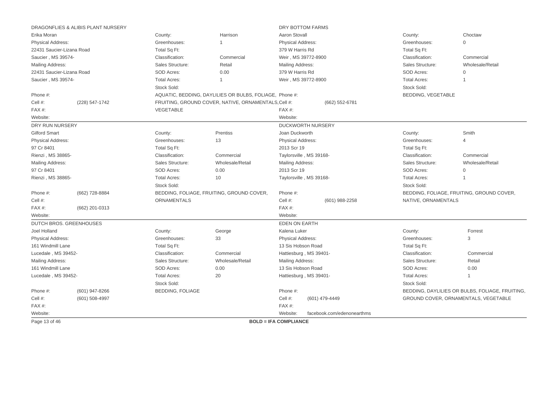|                           | DRAGONFLIES & ALIBIS PLANT NURSERY |                                    |                                                         | DRY BOTTOM FARMS                       |                                    |                                                 |
|---------------------------|------------------------------------|------------------------------------|---------------------------------------------------------|----------------------------------------|------------------------------------|-------------------------------------------------|
| Erika Moran               |                                    | County:                            | Harrison                                                | Aaron Stovall                          | County:                            | Choctaw                                         |
| Physical Address:         |                                    | Greenhouses:                       |                                                         | Physical Address:                      | Greenhouses:                       | $\Omega$                                        |
| 22431 Saucier-Lizana Road |                                    | Total Sq Ft:                       |                                                         | 379 W Harris Rd                        | Total Sq Ft:                       |                                                 |
| Saucier, MS 39574-        |                                    | Classification:                    | Commercial                                              | Weir, MS 39772-8900                    | Classification:                    | Commercial                                      |
| <b>Mailing Address:</b>   |                                    | Sales Structure:                   | Retail                                                  | Mailing Address:                       | Sales Structure:                   | Wholesale/Retail                                |
| 22431 Saucier-Lizana Road |                                    | SOD Acres:                         | 0.00                                                    | 379 W Harris Rd                        | SOD Acres:                         | $\Omega$                                        |
| Saucier, MS 39574-        |                                    | <b>Total Acres:</b>                | $\mathbf{1}$                                            | Weir, MS 39772-8900                    | <b>Total Acres:</b>                | $\mathbf{1}$                                    |
|                           |                                    | Stock Sold:                        |                                                         |                                        | Stock Sold:                        |                                                 |
| Phone #:                  |                                    |                                    | AQUATIC, BEDDING, DAYLILIES OR BULBS, FOLIAGE, Phone #: |                                        | BEDDING, VEGETABLE                 |                                                 |
| Cell #:                   | (228) 547-1742                     |                                    | FRUITING, GROUND COVER, NATIVE, ORNAMENTALS, Cell #:    | (662) 552-6781                         |                                    |                                                 |
| FAX#:                     |                                    | VEGETABLE                          |                                                         | FAX#:                                  |                                    |                                                 |
| Website:                  |                                    |                                    |                                                         | Website:                               |                                    |                                                 |
| DRY RUN NURSERY           |                                    |                                    |                                                         | <b>DUCKWORTH NURSERY</b>               |                                    |                                                 |
| <b>Gilford Smart</b>      |                                    | County:                            | Prentiss                                                | Joan Duckworth                         | County:                            | Smith                                           |
| <b>Physical Address:</b>  |                                    | Greenhouses:                       | 13                                                      | <b>Physical Address:</b>               | Greenhouses:                       | $\overline{4}$                                  |
| 97 Cr 8401                |                                    | Total Sq Ft:                       |                                                         | 2013 Scr 19                            | Total Sq Ft:                       |                                                 |
| Rienzi, MS 38865-         |                                    | Classification:                    | Commercial                                              | Taylorsville, MS 39168-                | Classification:                    | Commercial                                      |
| <b>Mailing Address:</b>   |                                    | Sales Structure:                   | Wholesale/Retail                                        | Mailing Address:                       | Sales Structure:                   | Wholesale/Retail                                |
| 97 Cr 8401                |                                    | SOD Acres:                         | 0.00                                                    | 2013 Scr 19                            | SOD Acres:                         | $\Omega$                                        |
| Rienzi, MS 38865-         |                                    | <b>Total Acres:</b><br>Stock Sold: | 10                                                      | Taylorsville, MS 39168-                | <b>Total Acres:</b><br>Stock Sold: |                                                 |
| Phone #:                  | (662) 728-8884                     |                                    | BEDDING, FOLIAGE, FRUITING, GROUND COVER,               | Phone #:                               |                                    | BEDDING, FOLIAGE, FRUITING, GROUND COVER,       |
| Cell #:                   |                                    | ORNAMENTALS                        |                                                         | Cell #:<br>(601) 988-2258              | NATIVE, ORNAMENTALS                |                                                 |
| FAX#:                     | (662) 201-0313                     |                                    |                                                         | FAX #:                                 |                                    |                                                 |
| Website:                  |                                    |                                    |                                                         | Website:                               |                                    |                                                 |
| DUTCH BROS. GREENHOUSES   |                                    |                                    |                                                         | EDEN ON EARTH                          |                                    |                                                 |
| Joel Holland              |                                    | County:                            | George                                                  | Kalena Luker                           | County:                            | Forrest                                         |
| <b>Physical Address:</b>  |                                    | Greenhouses:                       | 33                                                      | Physical Address:                      | Greenhouses:                       | 3                                               |
| 161 Windmill Lane         |                                    | Total Sq Ft:                       |                                                         | 13 Sis Hobson Road                     | Total Sq Ft:                       |                                                 |
| Lucedale, MS 39452-       |                                    | Classification:                    | Commercial                                              | Hattiesburg, MS 39401-                 | Classification:                    | Commercial                                      |
| <b>Mailing Address:</b>   |                                    | Sales Structure:                   | Wholesale/Retail                                        | Mailing Address:                       | Sales Structure:                   | Retail                                          |
| 161 Windmill Lane         |                                    | SOD Acres:                         | 0.00                                                    | 13 Sis Hobson Road                     | SOD Acres:                         | 0.00                                            |
| Lucedale, MS 39452-       |                                    | <b>Total Acres:</b>                | 20                                                      | Hattiesburg, MS 39401-                 | <b>Total Acres:</b>                | $\mathbf 1$                                     |
|                           |                                    | Stock Sold:                        |                                                         |                                        | Stock Sold:                        |                                                 |
| Phone #:                  | (601) 947-8266                     | <b>BEDDING, FOLIAGE</b>            |                                                         | Phone #:                               |                                    | BEDDING, DAYLILIES OR BULBS, FOLIAGE, FRUITING, |
| Cell #:                   | (601) 508-4997                     |                                    |                                                         | Cell #:<br>(601) 479-4449              |                                    | GROUND COVER, ORNAMENTALS, VEGETABLE            |
| FAX#:                     |                                    |                                    |                                                         | FAX #:                                 |                                    |                                                 |
| Website:                  |                                    |                                    |                                                         | Website:<br>facebook.com/edenonearthms |                                    |                                                 |
| Page 13 of 46             |                                    |                                    |                                                         | <b>BOLD = IFA COMPLIANCE</b>           |                                    |                                                 |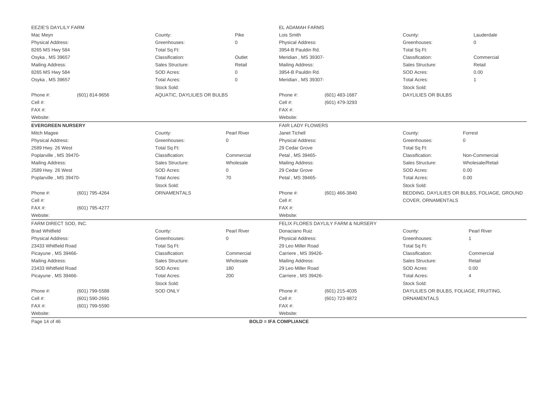| EEZIE'S DAYLILY FARM     |                    |                             |                    | EL ADAMAH FARMS              |                                     |                           |                                              |
|--------------------------|--------------------|-----------------------------|--------------------|------------------------------|-------------------------------------|---------------------------|----------------------------------------------|
| Mac Meyn                 |                    | County:                     | Pike               | Lois Smith                   |                                     | County:                   | Lauderdale                                   |
| <b>Physical Address:</b> |                    | Greenhouses:                | $\Omega$           | <b>Physical Address:</b>     |                                     | Greenhouses:              | $\mathbf 0$                                  |
| 8265 MS Hwy 584          |                    | Total Sq Ft:                |                    | 3954-B Pauldin Rd.           |                                     | Total Sq Ft:              |                                              |
| Osyka, MS 39657          |                    | Classification:             | Outlet             | Meridian, MS 39307-          |                                     | Classification:           | Commercial                                   |
| Mailing Address:         |                    | Sales Structure:            | Retail             | Mailing Address:             |                                     | Sales Structure:          | Retail                                       |
| 8265 MS Hwy 584          |                    | SOD Acres:                  | $\Omega$           | 3954-B Pauldin Rd.           |                                     | SOD Acres:                | 0.00                                         |
| Osyka, MS 39657          |                    | <b>Total Acres:</b>         | $\mathbf 0$        | Meridian, MS 39307-          |                                     | <b>Total Acres:</b>       | $\mathbf{1}$                                 |
|                          |                    | Stock Sold:                 |                    |                              |                                     | Stock Sold:               |                                              |
| Phone #:                 | (601) 814-9656     | AQUATIC, DAYLILIES OR BULBS |                    | Phone #:                     | $(601)$ 483-1687                    | <b>DAYLILIES OR BULBS</b> |                                              |
| Cell #:                  |                    |                             |                    | Cell #:                      | (601) 479-3293                      |                           |                                              |
| FAX#:                    |                    |                             |                    | FAX#:                        |                                     |                           |                                              |
| Website:                 |                    |                             |                    | Website:                     |                                     |                           |                                              |
| <b>EVERGREEN NURSERY</b> |                    |                             |                    | <b>FAIR LADY FLOWERS</b>     |                                     |                           |                                              |
| Mitch Magee              |                    | County:                     | <b>Pearl River</b> | Janet Tichell                |                                     | County:                   | Forrest                                      |
| Physical Address:        |                    | Greenhouses:                | $\Omega$           | <b>Physical Address:</b>     |                                     | Greenhouses:              | $\mathbf 0$                                  |
| 2589 Hwy. 26 West        |                    | Total Sq Ft:                |                    | 29 Cedar Grove               |                                     | Total Sq Ft:              |                                              |
| Poplarville, MS 39470-   |                    | Classification:             | Commercial         | Petal, MS 39465-             |                                     | Classification:           | Non-Commercial                               |
| Mailing Address:         |                    | Sales Structure:            | Wholesale          | Mailing Address:             |                                     | Sales Structure:          | Wholesale/Retail                             |
| 2589 Hwy. 26 West        |                    | SOD Acres:                  | $\mathbf 0$        | 29 Cedar Grove               |                                     | SOD Acres:                | 0.00                                         |
| Poplarville, MS 39470-   |                    | <b>Total Acres:</b>         | 70                 | Petal, MS 39465-             |                                     | <b>Total Acres:</b>       | 0.00                                         |
|                          |                    | Stock Sold:                 |                    |                              |                                     | Stock Sold:               |                                              |
| Phone #:                 | (601) 795-4264     | <b>ORNAMENTALS</b>          |                    | Phone #:                     | (601) 466-3840                      |                           | BEDDING, DAYLILIES OR BULBS, FOLIAGE, GROUND |
| Cell #:                  |                    |                             |                    | Cell #:                      |                                     | COVER, ORNAMENTALS        |                                              |
| FAX#:                    | (601) 795-4277     |                             |                    | FAX #:                       |                                     |                           |                                              |
| Website:                 |                    |                             |                    | Website:                     |                                     |                           |                                              |
| FARM DIRECT SOD, INC.    |                    |                             |                    |                              | FELIX FLORES DAYLILY FARM & NURSERY |                           |                                              |
| <b>Brad Whitfield</b>    |                    | County:                     | <b>Pearl River</b> | Donaciano Ruiz               |                                     | County:                   | <b>Pearl River</b>                           |
| <b>Physical Address:</b> |                    | Greenhouses:                | $\mathbf 0$        | <b>Physical Address:</b>     |                                     | Greenhouses:              | $\mathbf{1}$                                 |
| 23433 Whitfield Road     |                    | Total Sq Ft:                |                    | 29 Leo Miller Road           |                                     | Total Sq Ft:              |                                              |
| Picayune, MS 39466-      |                    | Classification:             | Commercial         | Carriere, MS 39426-          |                                     | Classification:           | Commercial                                   |
| Mailing Address:         |                    | Sales Structure:            | Wholesale          | Mailing Address:             |                                     | Sales Structure:          | Retail                                       |
| 23433 Whitfield Road     |                    | SOD Acres:                  | 180                | 29 Leo Miller Road           |                                     | SOD Acres:                | 0.00                                         |
| Picayune, MS 39466-      |                    | <b>Total Acres:</b>         | 200                | Carriere, MS 39426-          |                                     | <b>Total Acres:</b>       | $\overline{4}$                               |
|                          |                    | Stock Sold:                 |                    |                              |                                     | Stock Sold:               |                                              |
| Phone #:                 | (601) 799-5588     | <b>SOD ONLY</b>             |                    | Phone #:                     | (601) 215-4035                      |                           | DAYLILIES OR BULBS, FOLIAGE, FRUITING,       |
| Cell #:                  | $(601) 590 - 2691$ |                             |                    | Cell #:                      | (601) 723-9872                      | <b>ORNAMENTALS</b>        |                                              |
| FAX#:                    | (601) 799-5590     |                             |                    | FAX#:                        |                                     |                           |                                              |
| Website:                 |                    |                             |                    | Website:                     |                                     |                           |                                              |
| Page 14 of 46            |                    |                             |                    | <b>BOLD = IFA COMPLIANCE</b> |                                     |                           |                                              |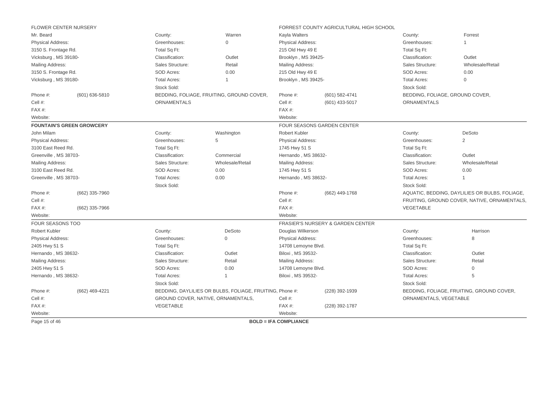|                                         | FLOWER CENTER NURSERY            |                     |                                                          |                              | FORREST COUNTY AGRICULTURAL HIGH SCHOOL |                                 |                                                |
|-----------------------------------------|----------------------------------|---------------------|----------------------------------------------------------|------------------------------|-----------------------------------------|---------------------------------|------------------------------------------------|
| Mr. Beard                               |                                  | County:             | Warren                                                   | Kayla Walters                |                                         | County:                         | Forrest                                        |
| <b>Physical Address:</b>                |                                  | Greenhouses:        | $\Omega$                                                 | <b>Physical Address:</b>     |                                         | Greenhouses:                    |                                                |
| 3150 S. Frontage Rd.                    |                                  | Total Sq Ft:        |                                                          | 215 Old Hwy 49 E             |                                         | Total Sq Ft:                    |                                                |
| Vicksburg, MS 39180-                    |                                  | Classification:     | Outlet                                                   | Brooklyn, MS 39425-          |                                         | Classification:                 | Outlet                                         |
| <b>Mailing Address:</b>                 |                                  | Sales Structure:    | Retail                                                   | Mailing Address:             |                                         | Sales Structure:                | Wholesale/Retail                               |
| 3150 S. Frontage Rd.                    |                                  | SOD Acres:          | 0.00                                                     | 215 Old Hwy 49 E             |                                         | SOD Acres:                      | 0.00                                           |
| Vicksburg, MS 39180-                    |                                  | <b>Total Acres:</b> | 1                                                        | Brooklyn, MS 39425-          |                                         | <b>Total Acres:</b>             | $\Omega$                                       |
|                                         |                                  | Stock Sold:         |                                                          |                              |                                         | Stock Sold:                     |                                                |
| Phone #:                                | (601) 636-5810                   |                     | BEDDING, FOLIAGE, FRUITING, GROUND COVER,                | Phone #:                     | (601) 582-4741                          | BEDDING, FOLIAGE, GROUND COVER, |                                                |
| Cell #:                                 |                                  | <b>ORNAMENTALS</b>  |                                                          | Cell #:                      | (601) 433-5017                          | ORNAMENTALS                     |                                                |
| FAX#:                                   |                                  |                     |                                                          | FAX #:                       |                                         |                                 |                                                |
| Website:                                |                                  |                     |                                                          | Website:                     |                                         |                                 |                                                |
|                                         | <b>FOUNTAIN'S GREEN GROWCERY</b> |                     |                                                          |                              | FOUR SEASONS GARDEN CENTER              |                                 |                                                |
| John Milam                              |                                  | County:             | Washington                                               | <b>Robert Kubler</b>         |                                         | County:                         | DeSoto                                         |
| <b>Physical Address:</b>                |                                  | Greenhouses:        | 5                                                        | <b>Physical Address:</b>     |                                         | Greenhouses:                    | 2                                              |
| 3100 East Reed Rd.                      |                                  | Total Sq Ft:        |                                                          | 1745 Hwy 51 S                |                                         | Total Sq Ft:                    |                                                |
| Greenville, MS 38703-                   |                                  | Classification:     | Commercial                                               | Hernando, MS 38632-          |                                         | Classification:                 | Outlet                                         |
| <b>Mailing Address:</b>                 |                                  | Sales Structure:    | Wholesale/Retail                                         | <b>Mailing Address:</b>      |                                         | Sales Structure:                | Wholesale/Retail                               |
| 3100 East Reed Rd.<br><b>SOD Acres:</b> |                                  | 0.00                | 1745 Hwy 51 S                                            |                              | SOD Acres:                              | 0.00                            |                                                |
| Greenville, MS 38703-                   |                                  | <b>Total Acres:</b> | 0.00                                                     | Hernando, MS 38632-          |                                         | <b>Total Acres:</b>             | $\overline{1}$                                 |
|                                         |                                  | Stock Sold:         |                                                          |                              |                                         | Stock Sold:                     |                                                |
| Phone #:                                | (662) 335-7960                   |                     |                                                          | Phone #:                     | (662) 449-1768                          |                                 | AQUATIC, BEDDING, DAYLILIES OR BULBS, FOLIAGE, |
| Cell #:                                 |                                  |                     |                                                          | Cell #:                      |                                         |                                 | FRUITING, GROUND COVER, NATIVE, ORNAMENTALS,   |
| FAX#:                                   | (662) 335-7966                   |                     |                                                          | FAX #:                       |                                         | VEGETABLE                       |                                                |
| Website:                                |                                  |                     |                                                          | Website:                     |                                         |                                 |                                                |
| FOUR SEASONS TOO                        |                                  |                     |                                                          |                              | FRASIER'S NURSERY & GARDEN CENTER       |                                 |                                                |
| Robert Kubler                           |                                  | County:             | DeSoto                                                   | Douglas Wilkerson            |                                         | County:                         | Harrison                                       |
| <b>Physical Address:</b>                |                                  | Greenhouses:        | $\mathbf{0}$                                             | Physical Address:            |                                         | Greenhouses:                    | 8                                              |
| 2405 Hwy 51 S                           |                                  | Total Sq Ft:        |                                                          | 14708 Lemoyne Blvd.          |                                         | Total Sq Ft:                    |                                                |
| Hernando, MS 38632-                     |                                  | Classification:     | Outlet                                                   | Biloxi, MS 39532-            |                                         | Classification:                 | Outlet                                         |
| <b>Mailing Address:</b>                 |                                  | Sales Structure:    | Retail                                                   | Mailing Address:             |                                         | Sales Structure:                | Retail                                         |
| 2405 Hwy 51 S                           |                                  | SOD Acres:          | 0.00                                                     | 14708 Lemoyne Blvd.          |                                         | SOD Acres:                      | $\mathbf{0}$                                   |
| Hernando, MS 38632-                     |                                  | <b>Total Acres:</b> | $\overline{1}$                                           | Biloxi, MS 39532-            |                                         | <b>Total Acres:</b>             | 5                                              |
|                                         |                                  | Stock Sold:         |                                                          |                              |                                         | Stock Sold:                     |                                                |
| Phone #:                                | (662) 469-4221                   |                     | BEDDING, DAYLILIES OR BULBS, FOLIAGE, FRUITING, Phone #: |                              | (228) 392-1939                          |                                 | BEDDING, FOLIAGE, FRUITING, GROUND COVER,      |
| Cell #:                                 |                                  |                     | GROUND COVER, NATIVE, ORNAMENTALS,                       | Cell #:                      |                                         | ORNAMENTALS, VEGETABLE          |                                                |
| FAX#:                                   |                                  | VEGETABLE           |                                                          | FAX #:                       | (228) 392-1787                          |                                 |                                                |
| Website:                                |                                  |                     |                                                          | Website:                     |                                         |                                 |                                                |
| Page 15 of 46                           |                                  |                     |                                                          | <b>BOLD = IFA COMPLIANCE</b> |                                         |                                 |                                                |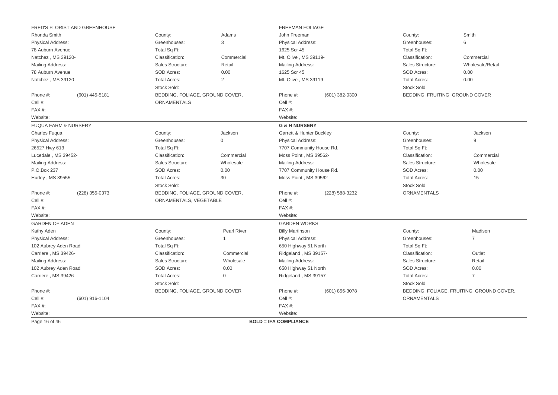|                                 | FRED'S FLORIST AND GREENHOUSE |                                 |                |                              | <b>FREEMAN FOLIAGE</b> |                                 |                                           |  |  |
|---------------------------------|-------------------------------|---------------------------------|----------------|------------------------------|------------------------|---------------------------------|-------------------------------------------|--|--|
| Rhonda Smith                    |                               | County:                         | Adams          | John Freeman                 |                        | County:                         | Smith                                     |  |  |
| <b>Physical Address:</b>        |                               | Greenhouses:                    | 3              | <b>Physical Address:</b>     |                        | Greenhouses:                    | 6                                         |  |  |
| 78 Auburn Avenue                |                               | Total Sq Ft:                    |                | 1625 Scr 45                  |                        | Total Sq Ft:                    |                                           |  |  |
| Natchez, MS 39120-              |                               | Classification:                 | Commercial     | Mt. Olive, MS 39119-         |                        | Classification:                 | Commercial                                |  |  |
| Mailing Address:                |                               | Sales Structure:                | Retail         | Mailing Address:             |                        | Sales Structure:                | Wholesale/Retail                          |  |  |
| 78 Auburn Avenue                |                               | <b>SOD Acres:</b>               | 0.00           | 1625 Scr 45                  |                        | SOD Acres:                      | 0.00                                      |  |  |
| Natchez, MS 39120-              |                               | <b>Total Acres:</b>             | 2              | Mt. Olive, MS 39119-         |                        | <b>Total Acres:</b>             | 0.00                                      |  |  |
|                                 |                               | Stock Sold:                     |                |                              |                        | Stock Sold:                     |                                           |  |  |
| Phone #:                        | (601) 445-5181                | BEDDING, FOLIAGE, GROUND COVER, |                | Phone #:                     | (601) 382-0300         | BEDDING, FRUITING, GROUND COVER |                                           |  |  |
| Cell #:                         |                               | <b>ORNAMENTALS</b>              |                | Cell #:                      |                        |                                 |                                           |  |  |
| FAX#:                           |                               |                                 |                | FAX#:                        |                        |                                 |                                           |  |  |
| Website:                        |                               |                                 |                | Website:                     |                        |                                 |                                           |  |  |
| <b>FUQUA FARM &amp; NURSERY</b> |                               |                                 |                | <b>G &amp; H NURSERY</b>     |                        |                                 |                                           |  |  |
| <b>Charles Fugua</b>            |                               | County:                         | Jackson        | Garrett & Hunter Buckley     |                        | County:                         | Jackson                                   |  |  |
| <b>Physical Address:</b>        |                               | Greenhouses:                    | $\mathbf{0}$   | <b>Physical Address:</b>     |                        | Greenhouses:                    | 9                                         |  |  |
| 26527 Hwy 613                   |                               | Total Sq Ft:                    |                | 7707 Community House Rd.     |                        | Total Sq Ft:                    |                                           |  |  |
| Lucedale, MS 39452-             |                               | Classification:                 | Commercial     | Moss Point, MS 39562-        |                        | Classification:                 | Commercial                                |  |  |
| Mailing Address:                |                               | Sales Structure:                | Wholesale      | Mailing Address:             |                        | Sales Structure:                | Wholesale                                 |  |  |
| P.O.Box 237                     |                               | SOD Acres:                      | 0.00           | 7707 Community House Rd.     |                        | SOD Acres:                      | 0.00                                      |  |  |
| Hurley, MS 39555-               |                               | <b>Total Acres:</b>             | 30             | Moss Point, MS 39562-        |                        | <b>Total Acres:</b>             | 15                                        |  |  |
|                                 |                               | Stock Sold:                     |                |                              |                        | Stock Sold:                     |                                           |  |  |
| Phone #:                        | (228) 355-0373                | BEDDING, FOLIAGE, GROUND COVER, |                | Phone #:                     | (228) 588-3232         | <b>ORNAMENTALS</b>              |                                           |  |  |
| Cell #:                         |                               | ORNAMENTALS, VEGETABLE          |                | Cell #:                      |                        |                                 |                                           |  |  |
| FAX#:                           |                               |                                 |                | FAX#:                        |                        |                                 |                                           |  |  |
| Website:                        |                               |                                 |                | Website:                     |                        |                                 |                                           |  |  |
| <b>GARDEN OF ADEN</b>           |                               |                                 |                | <b>GARDEN WORKS</b>          |                        |                                 |                                           |  |  |
| Kathy Aden                      |                               | County:                         | Pearl River    | <b>Billy Martinson</b>       |                        | County:                         | Madison                                   |  |  |
| Physical Address:               |                               | Greenhouses:                    | $\overline{1}$ | <b>Physical Address:</b>     |                        | Greenhouses:                    | $\overline{7}$                            |  |  |
| 102 Aubrey Aden Road            |                               | Total Sq Ft:                    |                | 650 Highway 51 North         |                        | Total Sq Ft:                    |                                           |  |  |
| Carriere, MS 39426-             |                               | Classification:                 | Commercial     | Ridgeland, MS 39157-         |                        | Classification:                 | Outlet                                    |  |  |
| Mailing Address:                |                               | Sales Structure:                | Wholesale      | Mailing Address:             |                        | Sales Structure:                | Retail                                    |  |  |
| 102 Aubrey Aden Road            |                               | SOD Acres:                      | 0.00           | 650 Highway 51 North         |                        | SOD Acres:                      | 0.00                                      |  |  |
| Carriere, MS 39426-             |                               | <b>Total Acres:</b>             | $\mathbf{0}$   | Ridgeland, MS 39157-         |                        | <b>Total Acres:</b>             | $\overline{7}$                            |  |  |
|                                 |                               | Stock Sold:                     |                |                              |                        | Stock Sold:                     |                                           |  |  |
| Phone #:                        |                               | BEDDING, FOLIAGE, GROUND COVER  |                | Phone #:                     | (601) 856-3078         |                                 | BEDDING, FOLIAGE, FRUITING, GROUND COVER, |  |  |
| Cell #:                         | (601) 916-1104                |                                 |                | Cell #:                      |                        | ORNAMENTALS                     |                                           |  |  |
| FAX#:                           |                               |                                 |                | FAX#:                        |                        |                                 |                                           |  |  |
| Website:                        |                               |                                 |                | Website:                     |                        |                                 |                                           |  |  |
| Page 16 of 46                   |                               |                                 |                | <b>BOLD = IFA COMPLIANCE</b> |                        |                                 |                                           |  |  |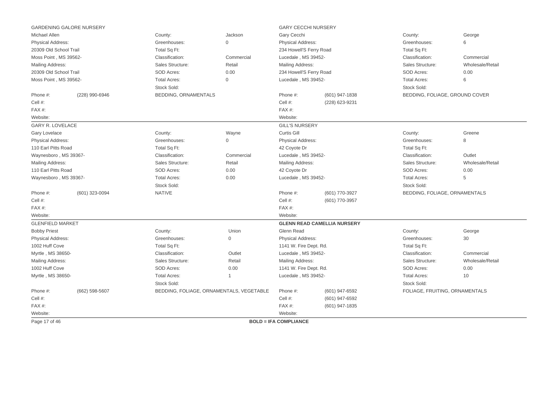|                          | <b>GARDENING GALORE NURSERY</b> |                      |                                          | <b>GARY CECCHI NURSERY</b>   |                                    |                                |                  |
|--------------------------|---------------------------------|----------------------|------------------------------------------|------------------------------|------------------------------------|--------------------------------|------------------|
| Michael Allen            |                                 | County:              | Jackson                                  | Gary Cecchi                  |                                    | County:                        | George           |
| <b>Physical Address:</b> |                                 | Greenhouses:         | $\mathbf{0}$                             | Physical Address:            |                                    | Greenhouses:                   | 6                |
| 20309 Old School Trail   |                                 | Total Sq Ft:         |                                          | 234 Howell'S Ferry Road      |                                    | Total Sq Ft:                   |                  |
| Moss Point, MS 39562-    |                                 | Classification:      | Commercial                               | Lucedale, MS 39452-          |                                    | Classification:                | Commercial       |
| <b>Mailing Address:</b>  |                                 | Sales Structure:     | Retail                                   | Mailing Address:             |                                    | Sales Structure:               | Wholesale/Retail |
| 20309 Old School Trail   |                                 | SOD Acres:           | 0.00                                     | 234 Howell'S Ferry Road      |                                    | SOD Acres:                     | 0.00             |
| Moss Point, MS 39562-    |                                 | <b>Total Acres:</b>  | $\Omega$                                 | Lucedale, MS 39452-          |                                    | <b>Total Acres:</b>            | 6                |
|                          |                                 | Stock Sold:          |                                          |                              |                                    | Stock Sold:                    |                  |
| Phone #:                 | (228) 990-6946                  | BEDDING, ORNAMENTALS |                                          | Phone #:                     | (601) 947-1838                     | BEDDING, FOLIAGE, GROUND COVER |                  |
| Cell #:                  |                                 |                      |                                          | Cell #:                      | (228) 623-9231                     |                                |                  |
| FAX#:                    |                                 |                      |                                          | FAX#:                        |                                    |                                |                  |
| Website:                 |                                 |                      |                                          | Website:                     |                                    |                                |                  |
| <b>GARY R. LOVELACE</b>  |                                 |                      |                                          | <b>GILL'S NURSERY</b>        |                                    |                                |                  |
| <b>Gary Lovelace</b>     |                                 | County:              | Wayne                                    | Curtis Gill                  |                                    | County:                        | Greene           |
| <b>Physical Address:</b> |                                 | Greenhouses:         | $\Omega$                                 | Physical Address:            |                                    | Greenhouses:                   | 8                |
| 110 Earl Pitts Road      |                                 | Total Sq Ft:         |                                          | 42 Coyote Dr                 |                                    | Total Sq Ft:                   |                  |
| Waynesboro, MS 39367-    |                                 | Classification:      | Commercial                               | Lucedale, MS 39452-          |                                    | Classification:                | Outlet           |
| <b>Mailing Address:</b>  |                                 | Sales Structure:     | Retail                                   | Mailing Address:             |                                    | Sales Structure:               | Wholesale/Retail |
| 110 Earl Pitts Road      |                                 | SOD Acres:           | 0.00                                     | 42 Coyote Dr                 |                                    | SOD Acres:                     | 0.00             |
| Waynesboro, MS 39367-    |                                 | <b>Total Acres:</b>  | 0.00                                     | Lucedale, MS 39452-          |                                    | <b>Total Acres:</b>            | 5                |
|                          |                                 | Stock Sold:          |                                          |                              |                                    | Stock Sold:                    |                  |
| Phone #:                 | (601) 323-0094                  | <b>NATIVE</b>        |                                          | Phone #:                     | (601) 770-3927                     | BEDDING, FOLIAGE, ORNAMENTALS  |                  |
| Cell #:                  |                                 |                      |                                          | Cell #:                      | (601) 770-3957                     |                                |                  |
| FAX#:                    |                                 |                      |                                          | FAX#:                        |                                    |                                |                  |
| Website:                 |                                 |                      |                                          | Website:                     |                                    |                                |                  |
| <b>GLENFIELD MARKET</b>  |                                 |                      |                                          |                              | <b>GLENN READ CAMELLIA NURSERY</b> |                                |                  |
| <b>Bobby Priest</b>      |                                 | County:              | Union                                    | Glenn Read                   |                                    | County:                        | George           |
| <b>Physical Address:</b> |                                 | Greenhouses:         | $\mathbf 0$                              | <b>Physical Address:</b>     |                                    | Greenhouses:                   | 30               |
| 1002 Huff Cove           |                                 | Total Sq Ft:         |                                          | 1141 W. Fire Dept. Rd.       |                                    | Total Sq Ft:                   |                  |
| Myrtle, MS 38650-        |                                 | Classification:      | Outlet                                   | Lucedale, MS 39452-          |                                    | Classification:                | Commercial       |
| <b>Mailing Address:</b>  |                                 | Sales Structure:     | Retail                                   | Mailing Address:             |                                    | Sales Structure:               | Wholesale/Retail |
| 1002 Huff Cove           |                                 | SOD Acres:           | 0.00                                     | 1141 W. Fire Dept. Rd.       |                                    | SOD Acres:                     | 0.00             |
| Myrtle, MS 38650-        |                                 | <b>Total Acres:</b>  | $\mathbf{1}$                             | Lucedale, MS 39452-          |                                    | <b>Total Acres:</b>            | 10               |
|                          |                                 | Stock Sold:          |                                          |                              |                                    | Stock Sold:                    |                  |
| Phone #:                 | (662) 598-5607                  |                      | BEDDING, FOLIAGE, ORNAMENTALS, VEGETABLE | Phone #:                     | (601) 947-6592                     | FOLIAGE, FRUITING, ORNAMENTALS |                  |
| Cell #:                  |                                 |                      |                                          | Cell #:                      | (601) 947-6592                     |                                |                  |
| $FAX#$ :                 |                                 |                      |                                          | FAX#:                        | (601) 947-1835                     |                                |                  |
| Website:                 |                                 |                      |                                          | Website:                     |                                    |                                |                  |
| Page 17 of 46            |                                 |                      |                                          | <b>BOLD = IFA COMPLIANCE</b> |                                    |                                |                  |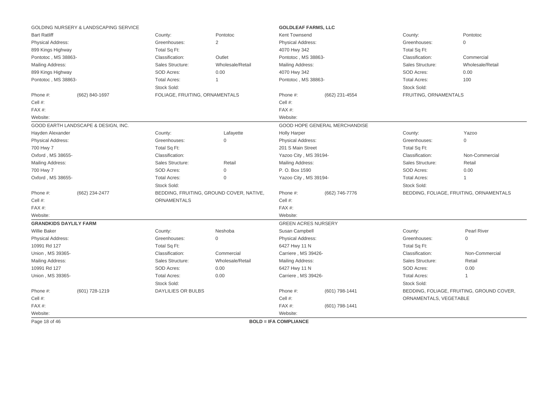|                               | GOLDING NURSERY & LANDSCAPING SERVICE |                                |                                          | <b>GOLDLEAF FARMS, LLC</b>   |                               |                        |                                           |
|-------------------------------|---------------------------------------|--------------------------------|------------------------------------------|------------------------------|-------------------------------|------------------------|-------------------------------------------|
| <b>Bart Ratliff</b>           |                                       | County:                        | Pontotoc                                 | Kent Townsend                |                               | County:                | Pontotoc                                  |
| Physical Address:             |                                       | Greenhouses:                   | $\overline{2}$                           | <b>Physical Address:</b>     |                               | Greenhouses:           | $\mathbf 0$                               |
| 899 Kings Highway             |                                       | Total Sq Ft:                   |                                          | 4070 Hwy 342                 |                               | Total Sq Ft:           |                                           |
| Pontotoc, MS 38863-           |                                       | Classification:                | Outlet                                   | Pontotoc, MS 38863-          |                               | Classification:        | Commercial                                |
| Mailing Address:              |                                       | Sales Structure:               | Wholesale/Retail                         | Mailing Address:             |                               | Sales Structure:       | Wholesale/Retail                          |
| 899 Kings Highway             |                                       | SOD Acres:                     | 0.00                                     | 4070 Hwy 342                 |                               | SOD Acres:             | 0.00                                      |
| Pontotoc, MS 38863-           |                                       | <b>Total Acres:</b>            | $\mathbf{1}$                             | Pontotoc, MS 38863-          |                               | <b>Total Acres:</b>    | 100                                       |
|                               |                                       | Stock Sold:                    |                                          |                              |                               | Stock Sold:            |                                           |
| Phone #:                      | (662) 840-1697                        | FOLIAGE, FRUITING, ORNAMENTALS |                                          | Phone #:                     | (662) 231-4554                | FRUITING, ORNAMENTALS  |                                           |
| Cell #:                       |                                       |                                |                                          | Cell #:                      |                               |                        |                                           |
| FAX#:                         |                                       |                                |                                          | FAX#:                        |                               |                        |                                           |
| Website:                      |                                       |                                |                                          | Website:                     |                               |                        |                                           |
|                               | GOOD EARTH LANDSCAPE & DESIGN, INC.   |                                |                                          |                              | GOOD HOPE GENERAL MERCHANDISE |                        |                                           |
| Hayden Alexander              |                                       | County:                        | Lafayette                                | <b>Holly Harper</b>          |                               | County:                | Yazoo                                     |
| <b>Physical Address:</b>      |                                       | Greenhouses:                   | $\overline{0}$                           | Physical Address:            |                               | Greenhouses:           | $\Omega$                                  |
| 700 Hwy 7                     |                                       | Total Sq Ft:                   |                                          | 201 S Main Street            |                               | Total Sq Ft:           |                                           |
| Oxford, MS 38655-             |                                       | Classification:                |                                          | Yazoo City, MS 39194-        |                               | Classification:        | Non-Commercial                            |
| Mailing Address:              |                                       | Sales Structure:               | Retail                                   | Mailing Address:             |                               | Sales Structure:       | Retail                                    |
| 700 Hwy 7                     |                                       | SOD Acres:                     | $\mathsf{O}\xspace$                      | P. O. Box 1590               |                               | SOD Acres:             | 0.00                                      |
| Oxford, MS 38655-             |                                       | <b>Total Acres:</b>            | $\mathbf{0}$                             | Yazoo City, MS 39194-        |                               | <b>Total Acres:</b>    | 1                                         |
|                               |                                       | Stock Sold:                    |                                          |                              |                               | Stock Sold:            |                                           |
| Phone #:                      | (662) 234-2477                        |                                | BEDDING, FRUITING, GROUND COVER, NATIVE, | Phone #:                     | (662) 746-7776                |                        | BEDDING, FOLIAGE, FRUITING, ORNAMENTALS   |
| Cell #:                       |                                       | <b>ORNAMENTALS</b>             |                                          | Cell #:                      |                               |                        |                                           |
| FAX#:                         |                                       |                                |                                          | FAX#:                        |                               |                        |                                           |
| Website:                      |                                       |                                |                                          | Website:                     |                               |                        |                                           |
| <b>GRANDKIDS DAYLILY FARM</b> |                                       |                                |                                          | <b>GREEN ACRES NURSERY</b>   |                               |                        |                                           |
| <b>Willie Baker</b>           |                                       | County:                        | Neshoba                                  | Susan Campbell               |                               | County:                | <b>Pearl River</b>                        |
| Physical Address:             |                                       | Greenhouses:                   | 0                                        | <b>Physical Address:</b>     |                               | Greenhouses:           | 0                                         |
| 10991 Rd 127                  |                                       | Total Sq Ft:                   |                                          | 6427 Hwy 11 N                |                               | Total Sq Ft:           |                                           |
| Union, MS 39365-              |                                       | Classification:                | Commercial                               | Carriere, MS 39426-          |                               | Classification:        | Non-Commercial                            |
| Mailing Address:              |                                       | Sales Structure:               | Wholesale/Retail                         | Mailing Address:             |                               | Sales Structure:       | Retail                                    |
| 10991 Rd 127                  |                                       | SOD Acres:                     | 0.00                                     | 6427 Hwy 11 N                |                               | SOD Acres:             | 0.00                                      |
| Union, MS 39365-              |                                       | <b>Total Acres:</b>            | 0.00                                     | Carriere, MS 39426-          |                               | <b>Total Acres:</b>    | 1                                         |
|                               |                                       | Stock Sold:                    |                                          |                              |                               | Stock Sold:            |                                           |
| Phone #:                      | (601) 728-1219                        | <b>DAYLILIES OR BULBS</b>      |                                          | Phone #:                     | (601) 798-1441                |                        | BEDDING, FOLIAGE, FRUITING, GROUND COVER, |
| Cell #:                       |                                       |                                |                                          | Cell #:                      |                               | ORNAMENTALS, VEGETABLE |                                           |
| FAX#:                         |                                       |                                |                                          | FAX#:                        | (601) 798-1441                |                        |                                           |
| Website:                      |                                       |                                |                                          | Website:                     |                               |                        |                                           |
| Page 18 of 46                 |                                       |                                |                                          | <b>BOLD = IFA COMPLIANCE</b> |                               |                        |                                           |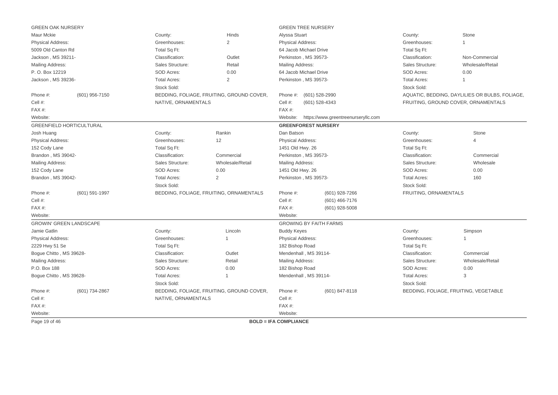| <b>GREEN OAK NURSERY</b>       |                                 |                                    |                                           | <b>GREEN TREE NURSERY</b>     |                                     |                                    |                                                |
|--------------------------------|---------------------------------|------------------------------------|-------------------------------------------|-------------------------------|-------------------------------------|------------------------------------|------------------------------------------------|
| Maur Mckie                     |                                 | County:                            | Hinds                                     | Alyssa Stuart                 |                                     | County:                            | Stone                                          |
| Physical Address:              |                                 | Greenhouses:                       | $\sqrt{2}$                                | Physical Address:             |                                     | Greenhouses:                       |                                                |
| 5009 Old Canton Rd             |                                 | Total Sq Ft:                       |                                           | 64 Jacob Michael Drive        |                                     | Total Sq Ft:                       |                                                |
| Jackson, MS 39211-             |                                 | Classification:                    | Outlet                                    | Perkinston, MS 39573-         |                                     | Classification:                    | Non-Commercial                                 |
| Mailing Address:               |                                 | Sales Structure:                   | Retail                                    | Mailing Address:              |                                     | Sales Structure:                   | Wholesale/Retail                               |
| P.O. Box 12219                 |                                 | SOD Acres:                         | 0.00                                      | 64 Jacob Michael Drive        |                                     | SOD Acres:                         | 0.00                                           |
| Jackson, MS 39236-             |                                 | <b>Total Acres:</b>                | 2                                         | Perkinston, MS 39573-         |                                     | <b>Total Acres:</b>                | 1                                              |
|                                |                                 | Stock Sold:                        |                                           |                               |                                     | Stock Sold:                        |                                                |
| Phone #:                       | (601) 956-7150                  |                                    | BEDDING, FOLIAGE, FRUITING, GROUND COVER, | Phone #:                      | (601) 528-2990                      |                                    | AQUATIC, BEDDING, DAYLILIES OR BULBS, FOLIAGE. |
| Cell #:                        |                                 | NATIVE, ORNAMENTALS                |                                           | Cell #:                       | (601) 528-4343                      |                                    | FRUITING, GROUND COVER, ORNAMENTALS            |
| FAX#:                          |                                 |                                    |                                           | FAX#:                         |                                     |                                    |                                                |
| Website:                       |                                 |                                    |                                           | Website:                      | https://www.greentreenurseryllc.com |                                    |                                                |
|                                | <b>GREENFIELD HORTICULTURAL</b> |                                    |                                           | <b>GREENFOREST NURSERY</b>    |                                     |                                    |                                                |
| Josh Huang                     |                                 | County:                            | Rankin                                    | Dan Batson                    |                                     | County:                            | Stone                                          |
| <b>Physical Address:</b>       |                                 | Greenhouses:                       | 12                                        | <b>Physical Address:</b>      |                                     | Greenhouses:                       | 4                                              |
| 152 Cody Lane                  |                                 | Total Sq Ft:                       |                                           | 1451 Old Hwy. 26              |                                     | Total Sq Ft:                       |                                                |
| Brandon, MS 39042-             |                                 | Classification:                    | Commercial                                | Perkinston, MS 39573-         |                                     | Classification:                    | Commercial                                     |
| Mailing Address:               |                                 | Sales Structure:                   | Wholesale/Retail                          | Mailing Address:              |                                     | Sales Structure:                   | Wholesale                                      |
| 152 Cody Lane                  |                                 | SOD Acres:                         | 0.00                                      | 1451 Old Hwy. 26              |                                     | SOD Acres:                         | 0.00                                           |
| Brandon, MS 39042-             |                                 | <b>Total Acres:</b><br>Stock Sold: | 2                                         | Perkinston, MS 39573-         |                                     | <b>Total Acres:</b><br>Stock Sold: | 160                                            |
| Phone #:                       | $(601)$ 591-1997                |                                    | BEDDING, FOLIAGE, FRUITING, ORNAMENTALS   | Phone #:                      | (601) 928-7266                      | FRUITING, ORNAMENTALS              |                                                |
| Cell #:                        |                                 |                                    |                                           | Cell #:                       | $(601)$ 466-7176                    |                                    |                                                |
| FAX#:                          |                                 |                                    |                                           | FAX #:                        | $(601)$ 928-5008                    |                                    |                                                |
| Website:                       |                                 |                                    |                                           | Website:                      |                                     |                                    |                                                |
| <b>GROWIN' GREEN LANDSCAPE</b> |                                 |                                    |                                           | <b>GROWING BY FAITH FARMS</b> |                                     |                                    |                                                |
| Jamie Gatlin                   |                                 | County:                            | Lincoln                                   | <b>Buddy Keyes</b>            |                                     | County:                            | Simpson                                        |
| Physical Address:              |                                 | Greenhouses:                       | $\overline{1}$                            | Physical Address:             |                                     | Greenhouses:                       | $\mathbf{1}$                                   |
| 2229 Hwy 51 Se                 |                                 | Total Sq Ft:                       |                                           | 182 Bishop Road               |                                     | Total Sq Ft:                       |                                                |
| Bogue Chitto, MS 39628-        |                                 | Classification:                    | Outlet                                    | Mendenhall, MS 39114-         |                                     | Classification:                    | Commercial                                     |
| <b>Mailing Address:</b>        |                                 | Sales Structure:                   | Retail                                    | Mailing Address:              |                                     | Sales Structure:                   | Wholesale/Retail                               |
| P.O. Box 188                   |                                 | SOD Acres:                         | 0.00                                      | 182 Bishop Road               |                                     | SOD Acres:                         | 0.00                                           |
| Bogue Chitto, MS 39628-        |                                 | <b>Total Acres:</b>                | $\mathbf 1$                               | Mendenhall, MS 39114-         |                                     | <b>Total Acres:</b>                | 3                                              |
|                                |                                 | Stock Sold:                        |                                           |                               |                                     | Stock Sold:                        |                                                |
| Phone #:                       | (601) 734-2867                  |                                    | BEDDING, FOLIAGE, FRUITING, GROUND COVER, | Phone #:                      | (601) 847-8118                      |                                    | BEDDING, FOLIAGE, FRUITING, VEGETABLE          |
| Cell #:                        |                                 | NATIVE, ORNAMENTALS                |                                           | Cell #:                       |                                     |                                    |                                                |
| FAX#:                          |                                 |                                    |                                           | FAX#:                         |                                     |                                    |                                                |
| Website:                       |                                 |                                    |                                           | Website:                      |                                     |                                    |                                                |
| Page 19 of 46                  |                                 |                                    |                                           | <b>BOLD = IFA COMPLIANCE</b>  |                                     |                                    |                                                |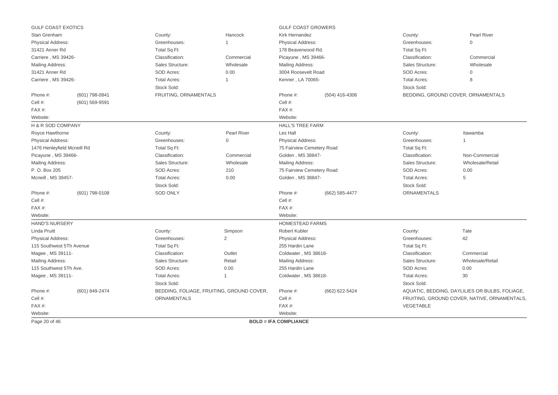| <b>GULF COAST EXOTICS</b>   |                                                      |                       |                                           | <b>GULF COAST GROWERS</b>    |                |                     |                                                |
|-----------------------------|------------------------------------------------------|-----------------------|-------------------------------------------|------------------------------|----------------|---------------------|------------------------------------------------|
| Stan Grenham                |                                                      | County:               | Hancock                                   | Kirk Hernandez               |                | County:             | <b>Pearl River</b>                             |
| <b>Physical Address:</b>    |                                                      | Greenhouses:          | $\overline{1}$                            | Physical Address:            |                | Greenhouses:        | 0                                              |
| 31421 Anner Rd              |                                                      | Total Sq Ft:          |                                           | 178 Beaverwood Rd.           |                | Total Sq Ft:        |                                                |
| Carriere, MS 39426-         |                                                      | Classification:       | Commercial                                | Picayune, MS 39466-          |                | Classification:     | Commercial                                     |
| Mailing Address:            |                                                      | Sales Structure:      | Wholesale                                 | Mailing Address:             |                | Sales Structure:    | Wholesale                                      |
| 31421 Anner Rd              |                                                      | SOD Acres:            | 0.00                                      | 3004 Roosevelt Road          |                | SOD Acres:          | $\mathbf{0}$                                   |
| Carriere, MS 39426-         |                                                      | <b>Total Acres:</b>   | 1                                         | Kenner, LA 70065-            |                | <b>Total Acres:</b> | 8                                              |
|                             |                                                      | Stock Sold:           |                                           |                              |                | Stock Sold:         |                                                |
| Phone #:                    | (601) 798-0841                                       | FRUITING, ORNAMENTALS |                                           | Phone #:<br>(504) 416-4306   |                |                     | BEDDING, GROUND COVER, ORNAMENTALS             |
| Cell #:                     | (601) 569-9591                                       |                       |                                           | Cell #:                      |                |                     |                                                |
| FAX#:                       |                                                      |                       |                                           | FAX#:                        |                |                     |                                                |
| Website:                    |                                                      |                       |                                           | Website:                     |                |                     |                                                |
| H & R SOD COMPANY           |                                                      |                       |                                           | <b>HALL'S TREE FARM</b>      |                |                     |                                                |
| Royce Hawthorne             |                                                      | County:               | <b>Pearl River</b>                        | Les Hall                     |                | County:             | Itawamba                                       |
| <b>Physical Address:</b>    | Greenhouses:<br>$\Omega$<br><b>Physical Address:</b> |                       |                                           | Greenhouses:                 |                |                     |                                                |
| 1476 Henleyfield Mcneill Rd |                                                      | Total Sq Ft:          | 75 Fairview Cemetery Road                 |                              | Total Sq Ft:   |                     |                                                |
| Picayune, MS 39466-         |                                                      | Classification:       | Commercial                                | Golden, MS 38847-            |                | Classification:     | Non-Commercial                                 |
| Mailing Address:            |                                                      | Sales Structure:      | Wholesale                                 | Mailing Address:             |                | Sales Structure:    | Wholesale/Retail                               |
| P. O. Box 205               |                                                      | SOD Acres:            | 210                                       | 75 Fairview Cemetery Road    |                | SOD Acres:          | 0.00                                           |
| Mcneill, MS 39457-          |                                                      | <b>Total Acres:</b>   | 0.00                                      | Golden, MS 38847-            |                | <b>Total Acres:</b> | 5                                              |
|                             |                                                      | Stock Sold:           |                                           |                              |                | Stock Sold:         |                                                |
| Phone #:                    | (601) 798-0108                                       | <b>SOD ONLY</b>       |                                           | Phone #:                     | (662) 585-4477 | <b>ORNAMENTALS</b>  |                                                |
| Cell #:                     |                                                      |                       |                                           | Cell #:                      |                |                     |                                                |
| FAX#:                       |                                                      |                       |                                           | FAX#:                        |                |                     |                                                |
| Website:                    |                                                      |                       |                                           | Website:                     |                |                     |                                                |
| <b>HAND'S NURSERY</b>       |                                                      |                       |                                           | <b>HOMESTEAD FARMS</b>       |                |                     |                                                |
| <b>Linda Pruitt</b>         |                                                      | County:               | Simpson                                   | Robert Kubler                |                | County:             | Tate                                           |
| <b>Physical Address:</b>    |                                                      | Greenhouses:          | $\overline{2}$                            | <b>Physical Address:</b>     |                | Greenhouses:        | 42                                             |
| 115 Southwest 5Th Avenue    |                                                      | Total Sq Ft:          |                                           | 255 Hardin Lane              |                | Total Sq Ft:        |                                                |
| Magee, MS 39111-            |                                                      | Classification:       | Outlet                                    | Coldwater, MS 38618-         |                | Classification:     | Commercial                                     |
| Mailing Address:            |                                                      | Sales Structure:      | Retail                                    | Mailing Address:             |                | Sales Structure:    | Wholesale/Retail                               |
| 115 Southwest 5Th Ave.      |                                                      | SOD Acres:            | 0.00                                      | 255 Hardin Lane              |                | SOD Acres:          | 0.00                                           |
| Magee, MS 39111-            |                                                      | <b>Total Acres:</b>   | $\mathbf{1}$                              | Coldwater, MS 38618-         |                | <b>Total Acres:</b> | 30                                             |
|                             |                                                      | Stock Sold:           |                                           |                              |                | Stock Sold:         |                                                |
| Phone #:                    | (601) 849-2474                                       |                       | BEDDING, FOLIAGE, FRUITING, GROUND COVER, | Phone #:                     | (662) 622-5424 |                     | AQUATIC, BEDDING, DAYLILIES OR BULBS, FOLIAGE, |
| Cell #:                     |                                                      | <b>ORNAMENTALS</b>    |                                           | Cell #:                      |                |                     | FRUITING, GROUND COVER, NATIVE, ORNAMENTALS,   |
| $FAX#$ :                    |                                                      |                       |                                           | FAX #:                       |                | VEGETABLE           |                                                |
| Website:                    |                                                      |                       |                                           | Website:                     |                |                     |                                                |
| Page 20 of 46               |                                                      |                       |                                           | <b>BOLD = IFA COMPLIANCE</b> |                |                     |                                                |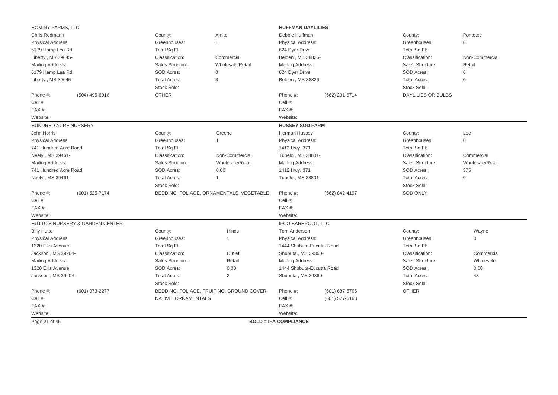|                          | HOMINY FARMS, LLC<br><b>HUFFMAN DAYLILIES</b> |                     |                                           |                              |                                       |                           |                     |
|--------------------------|-----------------------------------------------|---------------------|-------------------------------------------|------------------------------|---------------------------------------|---------------------------|---------------------|
| Chris Redmann            |                                               | County:             | Amite                                     |                              | Debbie Huffman<br>County:<br>Pontotoc |                           |                     |
| Physical Address:        |                                               | Greenhouses:        | 1                                         | Physical Address:            |                                       | Greenhouses:              | $\mathbf{0}$        |
| 6179 Hamp Lea Rd.        |                                               | Total Sq Ft:        |                                           | 624 Dyer Drive               |                                       | Total Sq Ft:              |                     |
| Liberty, MS 39645-       |                                               | Classification:     | Commercial                                | Belden, MS 38826-            |                                       | Classification:           | Non-Commercial      |
| Mailing Address:         |                                               | Sales Structure:    | Wholesale/Retail                          | Mailing Address:             |                                       | Sales Structure:          | Retail              |
| 6179 Hamp Lea Rd.        |                                               | SOD Acres:          | $\mathsf{O}\xspace$                       | 624 Dyer Drive               |                                       | SOD Acres:                | $\mathsf{O}\xspace$ |
| Liberty, MS 39645-       |                                               | <b>Total Acres:</b> | 3                                         | Belden, MS 38826-            |                                       | <b>Total Acres:</b>       | 0                   |
|                          |                                               | Stock Sold:         |                                           |                              |                                       | Stock Sold:               |                     |
| Phone #:                 | (504) 495-6916                                | <b>OTHER</b>        |                                           | Phone #:                     | (662) 231-6714                        | <b>DAYLILIES OR BULBS</b> |                     |
| Cell #:                  |                                               |                     |                                           | Cell #:                      |                                       |                           |                     |
| FAX#:                    |                                               |                     |                                           | FAX #:                       |                                       |                           |                     |
| Website:                 |                                               |                     |                                           | Website:                     |                                       |                           |                     |
| HUNDRED ACRE NURSERY     |                                               |                     |                                           | <b>HUSSEY SOD FARM</b>       |                                       |                           |                     |
| John Norris              |                                               | County:             | Greene                                    | Herman Hussey                |                                       | County:                   | Lee                 |
| <b>Physical Address:</b> |                                               | Greenhouses:        | $\mathbf 1$                               | Physical Address:            |                                       | Greenhouses:              | $\mathbf 0$         |
| 741 Hundred Acre Road    |                                               | Total Sq Ft:        |                                           | 1412 Hwy. 371                |                                       | Total Sq Ft:              |                     |
| Neely, MS 39461-         |                                               | Classification:     | Non-Commercial                            | Tupelo, MS 38801-            |                                       | Classification:           | Commercial          |
| Mailing Address:         |                                               | Sales Structure:    | Wholesale/Retail                          | Mailing Address:             |                                       | Sales Structure:          | Wholesale/Retail    |
| 741 Hundred Acre Road    | SOD Acres:<br>0.00<br>1412 Hwy. 371           |                     |                                           | SOD Acres:                   | 375                                   |                           |                     |
| Neely, MS 39461-         |                                               | <b>Total Acres:</b> | -1                                        | Tupelo, MS 38801-            |                                       | <b>Total Acres:</b>       | $\mathsf{O}\xspace$ |
|                          |                                               | Stock Sold:         |                                           |                              |                                       | Stock Sold:               |                     |
| Phone #:                 | (601) 525-7174                                |                     | BEDDING, FOLIAGE, ORNAMENTALS, VEGETABLE  | Phone #:                     | (662) 842-4197                        | <b>SOD ONLY</b>           |                     |
| Cell #:                  |                                               |                     |                                           | Cell #:                      |                                       |                           |                     |
| FAX#:                    |                                               |                     |                                           | FAX #:                       |                                       |                           |                     |
| Website:                 |                                               |                     |                                           | Website:                     |                                       |                           |                     |
|                          | HUTTO'S NURSERY & GARDEN CENTER               |                     |                                           | IFCO BAREROOT, LLC           |                                       |                           |                     |
| <b>Billy Hutto</b>       |                                               | County:             | Hinds                                     | Tom Anderson                 |                                       | County:                   | Wayne               |
| Physical Address:        |                                               | Greenhouses:        | 1                                         | Physical Address:            |                                       | Greenhouses:              | $\mathsf{O}\xspace$ |
| 1320 Ellis Avenue        |                                               | Total Sq Ft:        |                                           | 1444 Shubuta-Eucutta Road    |                                       | Total Sq Ft:              |                     |
| Jackson, MS 39204-       |                                               | Classification:     | Outlet                                    | Shubuta, MS 39360-           |                                       | Classification:           | Commercial          |
| Mailing Address:         |                                               | Sales Structure:    | Retail                                    | Mailing Address:             |                                       | Sales Structure:          | Wholesale           |
| 1320 Ellis Avenue        |                                               | SOD Acres:          | 0.00                                      | 1444 Shubuta-Eucutta Road    |                                       | SOD Acres:                | 0.00                |
| Jackson, MS 39204-       |                                               | <b>Total Acres:</b> | $\overline{2}$                            | Shubuta, MS 39360-           |                                       | <b>Total Acres:</b>       | 43                  |
|                          |                                               | Stock Sold:         |                                           |                              |                                       | Stock Sold:               |                     |
| Phone #:                 | (601) 973-2277                                |                     | BEDDING, FOLIAGE, FRUITING, GROUND COVER, | Phone #:                     | (601) 687-5766                        | <b>OTHER</b>              |                     |
| Cell #:                  |                                               | NATIVE, ORNAMENTALS |                                           | Cell #:                      | (601) 577-6163                        |                           |                     |
| FAX#:                    |                                               |                     |                                           | FAX#:                        |                                       |                           |                     |
| Website:                 |                                               |                     |                                           | Website:                     |                                       |                           |                     |
| Page 21 of 46            |                                               |                     |                                           | <b>BOLD = IFA COMPLIANCE</b> |                                       |                           |                     |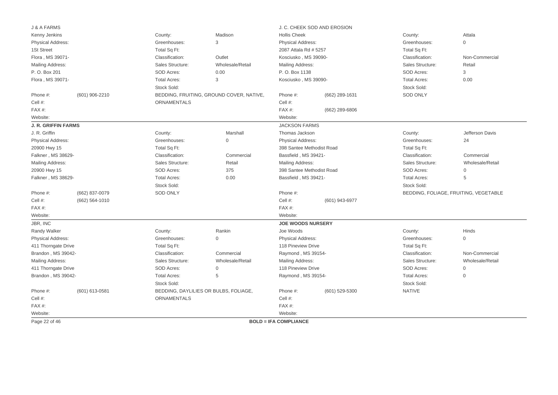| J & A FARMS                                                                    |                    |                     |                                          |                            | J. C. CHEEK SOD AND EROSION |                     |                                       |
|--------------------------------------------------------------------------------|--------------------|---------------------|------------------------------------------|----------------------------|-----------------------------|---------------------|---------------------------------------|
| Kenny Jenkins                                                                  |                    | County:             | Madison                                  | <b>Hollis Cheek</b>        |                             | County:             | Attala                                |
| Physical Address:                                                              |                    | Greenhouses:        | 3                                        | <b>Physical Address:</b>   |                             | Greenhouses:        | $\mathbf{0}$                          |
| 1St Street                                                                     |                    | Total Sq Ft:        |                                          | 2087 Attala Rd # 5257      |                             | Total Sq Ft:        |                                       |
| Flora, MS 39071-                                                               |                    | Classification:     | Outlet                                   | Kosciusko, MS 39090-       |                             | Classification:     | Non-Commercial                        |
| <b>Mailing Address:</b>                                                        |                    | Sales Structure:    | Wholesale/Retail                         | Mailing Address:           |                             | Sales Structure:    | Retail                                |
| P. O. Box 201                                                                  |                    | SOD Acres:          | 0.00                                     | P. O. Box 1138             |                             | SOD Acres:          | 3                                     |
| Flora, MS 39071-                                                               |                    | <b>Total Acres:</b> | 3                                        | Kosciusko, MS 39090-       |                             | <b>Total Acres:</b> | 0.00                                  |
|                                                                                |                    | Stock Sold:         |                                          |                            |                             | Stock Sold:         |                                       |
| Phone #:                                                                       | (601) 906-2210     |                     | BEDDING, FRUITING, GROUND COVER, NATIVE, | Phone #:<br>(662) 289-1631 |                             | <b>SOD ONLY</b>     |                                       |
| Cell #:                                                                        |                    | <b>ORNAMENTALS</b>  |                                          | Cell #:                    |                             |                     |                                       |
| FAX#:                                                                          |                    |                     |                                          | FAX#:                      | (662) 289-6806              |                     |                                       |
| Website:                                                                       |                    |                     |                                          | Website:                   |                             |                     |                                       |
| <b>J. R. GRIFFIN FARMS</b>                                                     |                    |                     |                                          | <b>JACKSON FARMS</b>       |                             |                     |                                       |
| J. R. Griffin                                                                  |                    | County:             | Marshall                                 | Thomas Jackson             |                             | County:             | Jefferson Davis                       |
| Physical Address:                                                              |                    | Greenhouses:        | $\Omega$                                 | <b>Physical Address:</b>   |                             | Greenhouses:        | 24                                    |
| 20900 Hwy 15                                                                   |                    | Total Sq Ft:        |                                          | 398 Santee Methodist Road  |                             | Total Sq Ft:        |                                       |
| Falkner, MS 38629-                                                             |                    | Classification:     | Commercial                               | Bassfield, MS 39421-       |                             | Classification:     | Commercial                            |
| Mailing Address:                                                               |                    | Sales Structure:    | Retail                                   | <b>Mailing Address:</b>    |                             | Sales Structure:    | Wholesale/Retail                      |
| 20900 Hwy 15                                                                   |                    | <b>SOD Acres:</b>   | 375                                      | 398 Santee Methodist Road  |                             | SOD Acres:          | $\mathbf 0$                           |
| Falkner, MS 38629-                                                             |                    | <b>Total Acres:</b> | 0.00                                     | Bassfield, MS 39421-       |                             | <b>Total Acres:</b> | 5                                     |
|                                                                                |                    | Stock Sold:         |                                          |                            |                             | Stock Sold:         |                                       |
| Phone #:                                                                       | (662) 837-0079     | <b>SOD ONLY</b>     |                                          | Phone #:                   |                             |                     | BEDDING, FOLIAGE, FRUITING, VEGETABLE |
| Cell #:                                                                        | $(662) 564 - 1010$ |                     |                                          | Cell #:                    | (601) 943-6977              |                     |                                       |
| FAX#:                                                                          |                    |                     |                                          | FAX #:                     |                             |                     |                                       |
|                                                                                |                    |                     |                                          | Website:                   |                             |                     |                                       |
|                                                                                |                    |                     |                                          | <b>JOE WOODS NURSERY</b>   |                             |                     |                                       |
| Website:                                                                       |                    | County:             | Rankin                                   | Joe Woods                  |                             | County:             | Hinds                                 |
|                                                                                |                    |                     | $\Omega$                                 | <b>Physical Address:</b>   |                             | Greenhouses:        | $\mathbf{0}$                          |
| Physical Address:                                                              |                    | Greenhouses:        |                                          | 118 Pineview Drive         |                             |                     |                                       |
|                                                                                |                    | Total Sq Ft:        |                                          |                            |                             | Total Sq Ft:        |                                       |
| Brandon, MS 39042-                                                             |                    | Classification:     | Commercial                               | Raymond, MS 39154-         |                             | Classification:     | Non-Commercial                        |
|                                                                                |                    | Sales Structure:    | Wholesale/Retail                         | <b>Mailing Address:</b>    |                             | Sales Structure:    | Wholesale/Retail                      |
|                                                                                |                    | SOD Acres:          | $\mathbf{0}$                             | 118 Pineview Drive         |                             | SOD Acres:          | $\mathbf{0}$                          |
| Brandon, MS 39042-                                                             |                    | <b>Total Acres:</b> | 5                                        | Raymond, MS 39154-         |                             | <b>Total Acres:</b> | $\mathbf{0}$                          |
|                                                                                |                    | Stock Sold:         |                                          |                            |                             | Stock Sold:         |                                       |
| Phone #:                                                                       | (601) 613-0581     |                     | BEDDING, DAYLILIES OR BULBS, FOLIAGE,    | Phone #:                   | $(601)$ 529-5300            | <b>NATIVE</b>       |                                       |
| JBR, INC<br>Randy Walker<br>411 Thorngate Drive<br>Mailing Address:<br>Cell #: |                    | ORNAMENTALS         |                                          | Cell #:                    |                             |                     |                                       |
| 411 Thorngate Drive<br>FAX#:                                                   |                    |                     |                                          | FAX#:                      |                             |                     |                                       |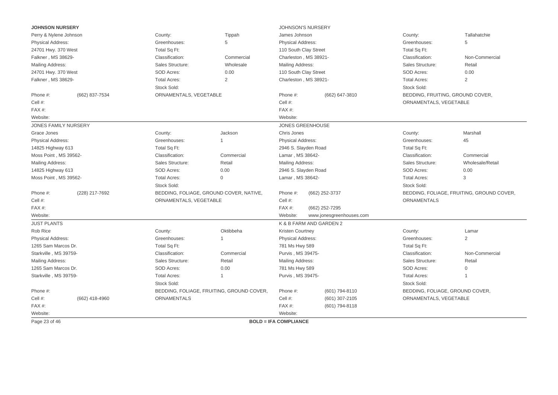| <b>JOHNSON NURSERY</b>     |                        |                                           | <b>JOHNSON'S NURSERY</b>     |                          |                                  |                                           |
|----------------------------|------------------------|-------------------------------------------|------------------------------|--------------------------|----------------------------------|-------------------------------------------|
| Perry & Nylene Johnson     | County:                | Tippah                                    | James Johnson                |                          | County:                          | Tallahatchie                              |
| <b>Physical Address:</b>   | Greenhouses:           | 5                                         | Physical Address:            |                          | Greenhouses:                     | 5                                         |
| 24701 Hwy. 370 West        | Total Sq Ft:           |                                           | 110 South Clay Street        |                          | Total Sq Ft:                     |                                           |
| Falkner, MS 38629-         | Classification:        | Commercial                                | Charleston, MS 38921-        |                          | Classification:                  | Non-Commercial                            |
| Mailing Address:           | Sales Structure:       | Wholesale                                 | <b>Mailing Address:</b>      |                          | Sales Structure:                 | Retail                                    |
| 24701 Hwy. 370 West        | <b>SOD Acres:</b>      | 0.00                                      | 110 South Clay Street        |                          | SOD Acres:                       | 0.00                                      |
| Falkner, MS 38629-         | <b>Total Acres:</b>    | 2                                         | Charleston, MS 38921-        |                          | <b>Total Acres:</b>              | $\overline{2}$                            |
|                            | Stock Sold:            |                                           |                              |                          | Stock Sold:                      |                                           |
| Phone #:<br>(662) 837-7534 | ORNAMENTALS, VEGETABLE |                                           | Phone #:                     | (662) 647-3810           | BEDDING, FRUITING, GROUND COVER, |                                           |
| Cell #:                    |                        |                                           | Cell #:                      |                          | ORNAMENTALS, VEGETABLE           |                                           |
| FAX#:                      |                        |                                           | FAX#:                        |                          |                                  |                                           |
| Website:                   |                        |                                           | Website:                     |                          |                                  |                                           |
| JONES FAMILY NURSERY       |                        |                                           | <b>JONES GREENHOUSE</b>      |                          |                                  |                                           |
| Grace Jones                | County:                | Jackson                                   | Chris Jones                  |                          | County:                          | Marshall                                  |
| Physical Address:          | Greenhouses:           |                                           | <b>Physical Address:</b>     |                          | Greenhouses:                     | 45                                        |
| 14825 Highway 613          | Total Sq Ft:           |                                           | 2946 S. Slayden Road         |                          | Total Sq Ft:                     |                                           |
| Moss Point, MS 39562-      | Classification:        | Commercial                                | Lamar, MS 38642-             |                          | Classification:                  | Commercial                                |
| Mailing Address:           | Sales Structure:       | Retail                                    | Mailing Address:             |                          | Sales Structure:                 | Wholesale/Retail                          |
| 14825 Highway 613          | <b>SOD Acres:</b>      | 0.00                                      | 2946 S. Slayden Road         |                          | SOD Acres:                       | 0.00                                      |
| Moss Point, MS 39562-      | <b>Total Acres:</b>    | $\mathbf 0$                               | Lamar, MS 38642-             |                          | <b>Total Acres:</b>              | 3                                         |
|                            | Stock Sold:            |                                           |                              |                          | Stock Sold:                      |                                           |
| (228) 217-7692<br>Phone #: |                        | BEDDING, FOLIAGE, GROUND COVER, NATIVE,   | Phone #:                     | (662) 252-3737           |                                  | BEDDING, FOLIAGE, FRUITING, GROUND COVER, |
| Cell #:                    | ORNAMENTALS, VEGETABLE |                                           | Cell #:                      |                          | <b>ORNAMENTALS</b>               |                                           |
| FAX#:                      |                        |                                           | FAX#:                        | (662) 252-7295           |                                  |                                           |
| Website:                   |                        |                                           | Website:                     | www.jonesgreenhouses.com |                                  |                                           |
| <b>JUST PLANTS</b>         |                        |                                           | K & B FARM AND GARDEN 2      |                          |                                  |                                           |
| Rob Rice                   | County:                | Oktibbeha                                 | Kristen Courtney             |                          | County:                          | Lamar                                     |
| Physical Address:          | Greenhouses:           | $\mathbf{1}$                              | <b>Physical Address:</b>     |                          | Greenhouses:                     | 2                                         |
| 1265 Sam Marcos Dr.        | Total Sq Ft:           |                                           | 781 Ms Hwy 589               |                          | Total Sq Ft:                     |                                           |
| Starkville, MS 39759-      | Classification:        | Commercial                                | Purvis, MS 39475-            |                          | Classification:                  | Non-Commercial                            |
| <b>Mailing Address:</b>    | Sales Structure:       | Retail                                    | Mailing Address:             |                          | Sales Structure:                 | Retail                                    |
| 1265 Sam Marcos Dr.        | <b>SOD Acres:</b>      | 0.00                                      | 781 Ms Hwy 589               |                          | SOD Acres:                       | 0                                         |
| Starkville, MS 39759-      | <b>Total Acres:</b>    | $\mathbf{1}$                              | Purvis, MS 39475-            |                          | <b>Total Acres:</b>              | $\overline{1}$                            |
|                            | Stock Sold:            |                                           |                              |                          | Stock Sold:                      |                                           |
| Phone #:                   |                        | BEDDING, FOLIAGE, FRUITING, GROUND COVER, | Phone #:                     | (601) 794-8110           | BEDDING, FOLIAGE, GROUND COVER,  |                                           |
| Cell #:<br>(662) 418-4960  | <b>ORNAMENTALS</b>     |                                           | Cell #:                      | (601) 307-2105           | ORNAMENTALS, VEGETABLE           |                                           |
| FAX#:                      |                        |                                           | $FAX#$ :                     | (601) 794-8118           |                                  |                                           |
| Website:                   |                        |                                           | Website:                     |                          |                                  |                                           |
| Page 23 of 46              |                        |                                           | <b>BOLD = IFA COMPLIANCE</b> |                          |                                  |                                           |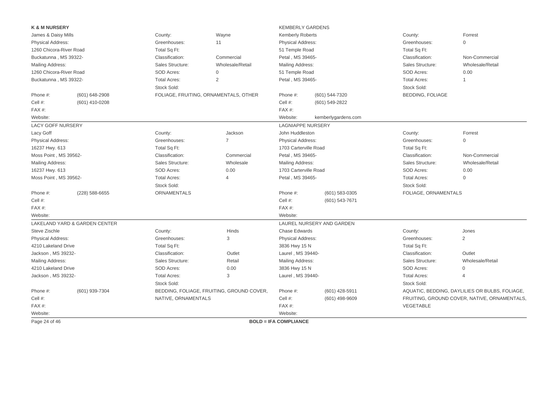| <b>K &amp; M NURSERY</b> |                                          |                     |                                           | <b>KEMBERLY GARDENS</b>      |                           |                         |                                                |
|--------------------------|------------------------------------------|---------------------|-------------------------------------------|------------------------------|---------------------------|-------------------------|------------------------------------------------|
| James & Daisy Mills      |                                          | County:             | Wayne                                     | <b>Kemberly Roberts</b>      |                           | County:                 | Forrest                                        |
| <b>Physical Address:</b> |                                          | Greenhouses:        | 11                                        | <b>Physical Address:</b>     |                           | Greenhouses:            | 0                                              |
| 1260 Chicora-River Road  |                                          | Total Sq Ft:        |                                           | 51 Temple Road               |                           | Total Sq Ft:            |                                                |
| Buckatunna, MS 39322-    |                                          | Classification:     | Commercial                                | Petal, MS 39465-             |                           | Classification:         | Non-Commercial                                 |
| Mailing Address:         |                                          | Sales Structure:    | Wholesale/Retail                          | Mailing Address:             |                           | Sales Structure:        | Wholesale/Retail                               |
| 1260 Chicora-River Road  |                                          | SOD Acres:          | $\mathbf{0}$                              | 51 Temple Road               |                           | SOD Acres:              | 0.00                                           |
| Buckatunna, MS 39322-    |                                          | <b>Total Acres:</b> | 2                                         | Petal, MS 39465-             |                           | <b>Total Acres:</b>     | $\overline{1}$                                 |
|                          |                                          | Stock Sold:         |                                           |                              |                           | Stock Sold:             |                                                |
| Phone #:                 | (601) 648-2908                           |                     | FOLIAGE, FRUITING, ORNAMENTALS, OTHER     | Phone #:                     | (601) 544-7320            | <b>BEDDING, FOLIAGE</b> |                                                |
| Cell #:                  | (601) 410-0208                           |                     |                                           | Cell #:                      | (601) 549-2822            |                         |                                                |
| FAX#:                    |                                          |                     |                                           | FAX#:                        |                           |                         |                                                |
| Website:                 |                                          |                     |                                           | Website:                     | kemberlygardens.com       |                         |                                                |
| <b>LACY GOFF NURSERY</b> |                                          |                     |                                           | <b>LAGNIAPPE NURSERY</b>     |                           |                         |                                                |
| Lacy Goff                |                                          | County:             | Jackson                                   | John Huddleston              |                           | County:                 | Forrest                                        |
| Physical Address:        |                                          | Greenhouses:        | $\overline{7}$                            | <b>Physical Address:</b>     |                           | Greenhouses:            | $\Omega$                                       |
| 16237 Hwy. 613           |                                          | Total Sq Ft:        |                                           | 1703 Carterville Road        |                           | Total Sq Ft:            |                                                |
| Moss Point, MS 39562-    |                                          | Classification:     | Commercial                                | Petal, MS 39465-             |                           | Classification:         | Non-Commercial                                 |
| <b>Mailing Address:</b>  |                                          | Sales Structure:    | Wholesale                                 | Mailing Address:             |                           | Sales Structure:        | Wholesale/Retail                               |
| 16237 Hwy. 613           |                                          | SOD Acres:          | 0.00                                      | 1703 Carterville Road        |                           | SOD Acres:              | 0.00                                           |
| Moss Point, MS 39562-    |                                          | <b>Total Acres:</b> | $\overline{4}$                            | Petal, MS 39465-             |                           | <b>Total Acres:</b>     | $\mathbf{0}$                                   |
|                          |                                          | Stock Sold:         |                                           |                              |                           | Stock Sold:             |                                                |
| Phone #:                 | $(228)$ 588-6655                         | <b>ORNAMENTALS</b>  |                                           | Phone #:                     | (601) 583-0305            | FOLIAGE, ORNAMENTALS    |                                                |
| Cell #:                  |                                          |                     |                                           | Cell #:                      | (601) 543-7671            |                         |                                                |
| FAX#:                    |                                          |                     |                                           | FAX#:                        |                           |                         |                                                |
| Website:                 |                                          |                     |                                           | Website:                     |                           |                         |                                                |
|                          | <b>LAKELAND YARD &amp; GARDEN CENTER</b> |                     |                                           |                              | LAUREL NURSERY AND GARDEN |                         |                                                |
| Steve Zischle            |                                          | County:             | Hinds                                     | <b>Chase Edwards</b>         |                           | County:                 | Jones                                          |
| <b>Physical Address:</b> |                                          | Greenhouses:        | 3                                         | <b>Physical Address:</b>     |                           | Greenhouses:            | 2                                              |
| 4210 Lakeland Drive      |                                          | Total Sq Ft:        |                                           | 3836 Hwy 15 N                |                           | Total Sq Ft:            |                                                |
| Jackson, MS 39232-       |                                          | Classification:     | Outlet                                    | Laurel, MS 39440-            |                           | Classification:         | Outlet                                         |
| Mailing Address:         |                                          | Sales Structure:    | Retail                                    | Mailing Address:             |                           | Sales Structure:        | Wholesale/Retail                               |
| 4210 Lakeland Drive      |                                          | SOD Acres:          | 0.00                                      | 3836 Hwy 15 N                |                           | SOD Acres:              | $\mathbf 0$                                    |
| Jackson, MS 39232-       |                                          | <b>Total Acres:</b> | 3                                         | Laurel, MS 39440-            |                           | <b>Total Acres:</b>     | $\overline{4}$                                 |
|                          |                                          | Stock Sold:         |                                           |                              |                           | Stock Sold:             |                                                |
| Phone #:                 | (601) 939-7304                           |                     | BEDDING, FOLIAGE, FRUITING, GROUND COVER, | Phone #:                     | (601) 428-5911            |                         | AQUATIC, BEDDING, DAYLILIES OR BULBS, FOLIAGE, |
| Cell #:                  |                                          | NATIVE, ORNAMENTALS |                                           | Cell #:                      | (601) 498-9609            |                         | FRUITING, GROUND COVER, NATIVE, ORNAMENTALS,   |
| $FAX#$ :                 |                                          |                     |                                           | FAX #:                       |                           | VEGETABLE               |                                                |
| Website:                 |                                          |                     |                                           | Website:                     |                           |                         |                                                |
| Page 24 of 46            |                                          |                     |                                           | <b>BOLD = IFA COMPLIANCE</b> |                           |                         |                                                |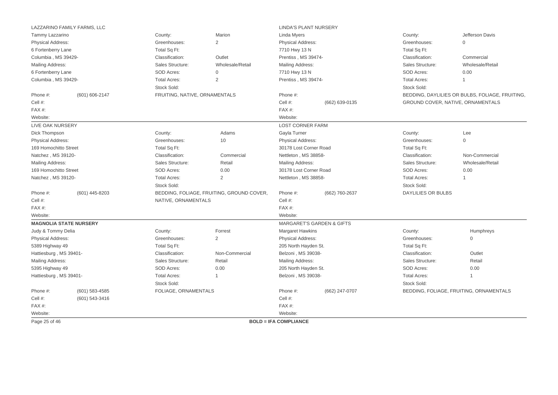|                               | LAZZARINO FAMILY FARMS, LLC |                               |                                           | <b>LINDA'S PLANT NURSERY</b> |                                      |                     |                                                 |
|-------------------------------|-----------------------------|-------------------------------|-------------------------------------------|------------------------------|--------------------------------------|---------------------|-------------------------------------------------|
| Tammy Lazzarino               |                             | County:                       | Marion                                    | Linda Myers                  |                                      | County:             | Jefferson Davis                                 |
| <b>Physical Address:</b>      |                             | Greenhouses:                  | $\overline{2}$                            | Physical Address:            |                                      | Greenhouses:        | $\mathbf{0}$                                    |
| 6 Fortenberry Lane            |                             | Total Sq Ft:                  |                                           | 7710 Hwy 13 N                |                                      | Total Sq Ft:        |                                                 |
| Columbia, MS 39429-           |                             | Classification:               | Outlet                                    | Prentiss, MS 39474-          |                                      | Classification:     | Commercial                                      |
| Mailing Address:              |                             | Sales Structure:              | Wholesale/Retail                          | <b>Mailing Address:</b>      |                                      | Sales Structure:    | Wholesale/Retail                                |
| 6 Fortenberry Lane            |                             | SOD Acres:                    | $\mathbf 0$                               | 7710 Hwy 13 N                |                                      | SOD Acres:          | 0.00                                            |
| Columbia, MS 39429-           |                             | <b>Total Acres:</b>           | 2                                         | Prentiss, MS 39474-          |                                      | <b>Total Acres:</b> | $\mathbf{1}$                                    |
|                               |                             | Stock Sold:                   |                                           |                              |                                      | Stock Sold:         |                                                 |
| Phone #:                      | (601) 606-2147              | FRUITING, NATIVE, ORNAMENTALS |                                           | Phone #:                     |                                      |                     | BEDDING, DAYLILIES OR BULBS, FOLIAGE, FRUITING. |
| Cell #:                       |                             |                               |                                           | Cell #:                      | (662) 639-0135                       |                     | GROUND COVER, NATIVE, ORNAMENTALS               |
| FAX#:                         |                             |                               |                                           | FAX#:                        |                                      |                     |                                                 |
| Website:                      |                             |                               |                                           | Website:                     |                                      |                     |                                                 |
| <b>LIVE OAK NURSERY</b>       |                             |                               |                                           | <b>LOST CORNER FARM</b>      |                                      |                     |                                                 |
| Dick Thompson                 |                             | County:                       | Adams                                     | Gayla Turner                 |                                      | County:             | Lee                                             |
| <b>Physical Address:</b>      |                             | Greenhouses:                  | 10                                        | Physical Address:            |                                      | Greenhouses:        | $\mathbf 0$                                     |
| 169 Homochitto Street         |                             | Total Sq Ft:                  |                                           | 30178 Lost Corner Road       |                                      | Total Sq Ft:        |                                                 |
| Natchez, MS 39120-            |                             | Classification:               | Commercial                                | Nettleton, MS 38858-         |                                      | Classification:     | Non-Commercial                                  |
| Mailing Address:              |                             | Sales Structure:              | Retail                                    | Mailing Address:             |                                      | Sales Structure:    | Wholesale/Retail                                |
| 169 Homochitto Street         |                             | SOD Acres:                    | 0.00                                      | 30178 Lost Corner Road       |                                      | SOD Acres:          | 0.00                                            |
| Natchez, MS 39120-            |                             | <b>Total Acres:</b>           | 2                                         | Nettleton, MS 38858-         |                                      | <b>Total Acres:</b> | $\overline{1}$                                  |
|                               |                             | Stock Sold:                   |                                           |                              |                                      | Stock Sold:         |                                                 |
| Phone #:                      | (601) 445-8203              |                               | BEDDING, FOLIAGE, FRUITING, GROUND COVER, | Phone #:                     | (662) 760-2637                       | DAYLILIES OR BULBS  |                                                 |
| Cell #:                       |                             | NATIVE, ORNAMENTALS           |                                           | Cell #:                      |                                      |                     |                                                 |
| $FAX#$ :                      |                             |                               |                                           | FAX#:                        |                                      |                     |                                                 |
| Website:                      |                             |                               |                                           | Website:                     |                                      |                     |                                                 |
| <b>MAGNOLIA STATE NURSERY</b> |                             |                               |                                           |                              | <b>MARGARET'S GARDEN &amp; GIFTS</b> |                     |                                                 |
| Judy & Tommy Delia            |                             | County:                       | Forrest                                   | Margaret Hawkins             |                                      | County:             | Humphreys                                       |
| <b>Physical Address:</b>      |                             | Greenhouses:                  | 2                                         | Physical Address:            |                                      | Greenhouses:        | $\mathbf 0$                                     |
| 5389 Highway 49               |                             | Total Sq Ft:                  |                                           | 205 North Hayden St.         |                                      | Total Sq Ft:        |                                                 |
| Hattiesburg, MS 39401-        |                             | Classification:               | Non-Commercial                            | Belzoni, MS 39038-           |                                      | Classification:     | Outlet                                          |
| Mailing Address:              |                             | Sales Structure:              | Retail                                    | Mailing Address:             |                                      | Sales Structure:    | Retail                                          |
| 5395 Highway 49               |                             | SOD Acres:                    | 0.00                                      | 205 North Hayden St.         |                                      | SOD Acres:          | 0.00                                            |
| Hattiesburg, MS 39401-        |                             | <b>Total Acres:</b>           | $\mathbf 1$                               | Belzoni, MS 39038-           |                                      | <b>Total Acres:</b> | $\mathbf{1}$                                    |
|                               |                             | Stock Sold:                   |                                           |                              |                                      | Stock Sold:         |                                                 |
| Phone #:                      | $(601)$ 583-4585            | FOLIAGE, ORNAMENTALS          |                                           | Phone #:                     | (662) 247-0707                       |                     | BEDDING, FOLIAGE, FRUITING, ORNAMENTALS         |
| Cell #:                       | (601) 543-3416              |                               |                                           | Cell #:                      |                                      |                     |                                                 |
| FAX#:                         |                             |                               |                                           | FAX#:                        |                                      |                     |                                                 |
| Website:                      |                             |                               |                                           | Website:                     |                                      |                     |                                                 |
| Page 25 of 46                 |                             |                               |                                           | <b>BOLD = IFA COMPLIANCE</b> |                                      |                     |                                                 |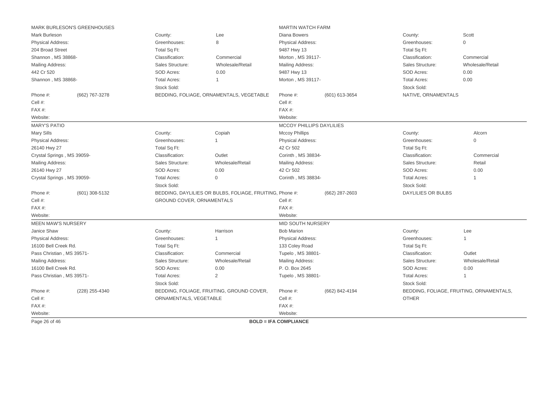| MARK BURLESON'S GREENHOUSES |                                  |                                                          | <b>MARTIN WATCH FARM</b>     |                |                     |                                          |
|-----------------------------|----------------------------------|----------------------------------------------------------|------------------------------|----------------|---------------------|------------------------------------------|
| Mark Burleson               | County:                          | Lee                                                      | <b>Diana Bowers</b>          |                | County:             | Scott                                    |
| Physical Address:           | Greenhouses:                     | 8                                                        | <b>Physical Address:</b>     |                | Greenhouses:        | $\mathbf{0}$                             |
| 204 Broad Street            | Total Sq Ft:                     |                                                          | 9487 Hwy 13                  |                | Total Sq Ft:        |                                          |
| Shannon, MS 38868-          | Classification:                  | Commercial                                               | Morton, MS 39117-            |                | Classification:     | Commercial                               |
| Mailing Address:            | Sales Structure:                 | Wholesale/Retail                                         | Mailing Address:             |                | Sales Structure:    | Wholesale/Retail                         |
| 442 Cr 520                  | SOD Acres:                       | 0.00                                                     | 9487 Hwy 13                  |                | SOD Acres:          | 0.00                                     |
| Shannon, MS 38868-          | <b>Total Acres:</b>              | $\overline{1}$                                           | Morton, MS 39117-            |                | <b>Total Acres:</b> | 0.00                                     |
|                             | Stock Sold:                      |                                                          |                              |                | Stock Sold:         |                                          |
| Phone #:<br>(662) 767-3278  |                                  | BEDDING, FOLIAGE, ORNAMENTALS, VEGETABLE                 | Phone #:                     | (601) 613-3654 | NATIVE, ORNAMENTALS |                                          |
| Cell #:                     |                                  |                                                          | Cell #:                      |                |                     |                                          |
| FAX#:                       |                                  |                                                          | FAX#:                        |                |                     |                                          |
| Website:                    |                                  |                                                          | Website:                     |                |                     |                                          |
| <b>MARY'S PATIO</b>         |                                  |                                                          | MCCOY PHILLIPS DAYLILIES     |                |                     |                                          |
| <b>Mary Sills</b>           | County:                          | Copiah                                                   | <b>Mccoy Phillips</b>        |                | County:             | Alcorn                                   |
| Physical Address:           | Greenhouses:                     |                                                          | <b>Physical Address:</b>     |                | Greenhouses:        | $\mathbf 0$                              |
| 26140 Hwy 27                | Total Sq Ft:                     |                                                          | 42 Cr 502                    |                | Total Sq Ft:        |                                          |
| Crystal Springs, MS 39059-  | Classification:                  | Outlet                                                   | Corinth, MS 38834-           |                | Classification:     | Commercial                               |
| Mailing Address:            | Sales Structure:                 | Wholesale/Retail                                         | Mailing Address:             |                | Sales Structure:    | Retail                                   |
| 26140 Hwy 27                | SOD Acres:                       | 0.00                                                     | 42 Cr 502                    |                | SOD Acres:          | 0.00                                     |
| Crystal Springs, MS 39059-  | <b>Total Acres:</b>              | $\Omega$                                                 | Corinth, MS 38834-           |                | <b>Total Acres:</b> | 1                                        |
|                             | Stock Sold:                      |                                                          |                              |                | Stock Sold:         |                                          |
| Phone #:<br>(601) 308-5132  |                                  | BEDDING, DAYLILIES OR BULBS, FOLIAGE, FRUITING, Phone #: |                              | (662) 287-2603 | DAYLILIES OR BULBS  |                                          |
| Cell #:                     | <b>GROUND COVER, ORNAMENTALS</b> |                                                          | Cell #:                      |                |                     |                                          |
| FAX#:                       |                                  |                                                          | FAX#:                        |                |                     |                                          |
| Website:                    |                                  |                                                          | Website:                     |                |                     |                                          |
| <b>MEEN MAW'S NURSERY</b>   |                                  |                                                          | MID SOUTH NURSERY            |                |                     |                                          |
| Janice Shaw                 | County:                          | Harrison                                                 | <b>Bob Marion</b>            |                | County:             | Lee                                      |
| <b>Physical Address:</b>    | Greenhouses:                     | $\overline{1}$                                           | <b>Physical Address:</b>     |                | Greenhouses:        |                                          |
| 16100 Bell Creek Rd.        | Total Sq Ft:                     |                                                          | 133 Coley Road               |                | Total Sq Ft:        |                                          |
| Pass Christian, MS 39571-   | Classification:                  | Commercial                                               | Tupelo, MS 38801-            |                | Classification:     | Outlet                                   |
| Mailing Address:            | Sales Structure:                 | Wholesale/Retail                                         | Mailing Address:             |                | Sales Structure:    | Wholesale/Retail                         |
| 16100 Bell Creek Rd.        | SOD Acres:                       | 0.00                                                     | P. O. Box 2645               |                | SOD Acres:          | 0.00                                     |
| Pass Christian, MS 39571-   | <b>Total Acres:</b>              | $\overline{2}$                                           | Tupelo, MS 38801-            |                | <b>Total Acres:</b> |                                          |
|                             | Stock Sold:                      |                                                          |                              |                | Stock Sold:         |                                          |
| Phone #:<br>(228) 255-4340  |                                  | BEDDING, FOLIAGE, FRUITING, GROUND COVER,                | Phone #:                     | (662) 842-4194 |                     | BEDDING, FOLIAGE, FRUITING, ORNAMENTALS, |
| Cell #:                     | ORNAMENTALS, VEGETABLE           |                                                          | Cell #:                      |                | <b>OTHER</b>        |                                          |
| FAX#:                       |                                  |                                                          | FAX#:                        |                |                     |                                          |
| Website:                    |                                  |                                                          | Website:                     |                |                     |                                          |
| Page 26 of 46               |                                  |                                                          | <b>BOLD = IFA COMPLIANCE</b> |                |                     |                                          |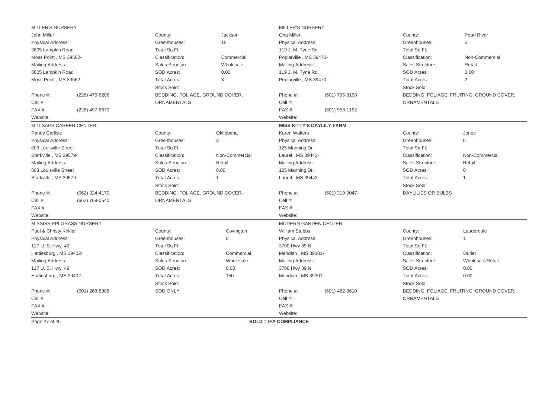| <b>MILLER'S NURSERY</b>  |                           |                                 |                | <b>MILLER'S NURSERY</b>      |                                  |                           |                                           |
|--------------------------|---------------------------|---------------------------------|----------------|------------------------------|----------------------------------|---------------------------|-------------------------------------------|
| John Miller              |                           | County:                         | Jackson        | Ona Miller                   |                                  | County:                   | Pearl River                               |
| Physical Address:        |                           | Greenhouses:                    | 15             | Physical Address:            |                                  | Greenhouses:              | 5                                         |
| 3805 Lampkin Road        |                           | Total Sq Ft:                    |                | 119 J. M. Tyne Rd.           |                                  | Total Sq Ft:              |                                           |
| Moss Point, MS 39562-    |                           | Classification:                 | Commercial     | Poplarville, MS 39470-       |                                  | Classification:           | Non-Commercial                            |
| Mailing Address:         |                           | Sales Structure:                | Wholesale      | Mailing Address:             |                                  | Sales Structure:          | Retail                                    |
| 3805 Lampkin Road        |                           | SOD Acres:                      | 0.00           | 119 J. M. Tyne Rd.           |                                  | SOD Acres:                | 0.00                                      |
| Moss Point, MS 39562-    |                           | <b>Total Acres:</b>             | 3              | Poplarville, MS 39470-       |                                  | <b>Total Acres:</b>       | 2                                         |
|                          |                           | Stock Sold:                     |                |                              |                                  | Stock Sold:               |                                           |
| Phone #:                 | (228) 475-6206            | BEDDING, FOLIAGE, GROUND COVER, |                | Phone #:<br>(601) 795-8168   |                                  |                           | BEDDING, FOLIAGE, FRUITING, GROUND COVER, |
| Cell #:                  |                           | <b>ORNAMENTALS</b>              |                | Cell #:                      |                                  | <b>ORNAMENTALS</b>        |                                           |
| FAX#:                    | (228) 497-6670            |                                 |                | FAX#:                        | (601) 958-1152                   |                           |                                           |
| Website:                 |                           |                                 |                | Website:                     |                                  |                           |                                           |
| MILLSAPS CAREER CENTER   |                           |                                 |                |                              | <b>MISS KITTY'S DAYLILY FARM</b> |                           |                                           |
| Randy Carlisle           |                           | County:                         | Oktibbeha      | <b>Karen Walters</b>         |                                  | County:                   | Jones                                     |
| Physical Address:        |                           | Greenhouses:                    | 3              | Physical Address:            |                                  | Greenhouses:              | 0                                         |
| 803 Louisville Street    |                           | Total Sq Ft:                    |                | 125 Manning Dr.              |                                  | Total Sq Ft:              |                                           |
| Starkville, MS 39579-    |                           | Classification:                 | Non-Commercial | Laurel, MS 39443-            |                                  | Classification:           | Non-Commercial                            |
| Mailing Address:         |                           | Sales Structure:                | Retail         | Mailing Address:             |                                  | Sales Structure:          | Retail                                    |
| 803 Louisville Street    |                           | SOD Acres:                      | 0.00           | 125 Manning Dr.              |                                  | SOD Acres:                | $\Omega$                                  |
| Starkville, MS 39579-    |                           | <b>Total Acres:</b>             | $\mathbf 1$    | Laurel, MS 39443-            |                                  | <b>Total Acres:</b>       | 1                                         |
|                          |                           | Stock Sold:                     |                |                              |                                  | Stock Sold:               |                                           |
| Phone #:                 | (662) 324-4170            | BEDDING, FOLIAGE, GROUND COVER, |                | Phone #:                     | (601) 319-9047                   | <b>DAYLILIES OR BULBS</b> |                                           |
| Cell #:                  | (662) 769-0540            | <b>ORNAMENTALS</b>              |                | Cell #:                      |                                  |                           |                                           |
| FAX#:                    |                           |                                 |                | FAX#:                        |                                  |                           |                                           |
| Website:                 |                           |                                 |                | Website:                     |                                  |                           |                                           |
|                          | MISSISSIPPI GRASS NURSERY |                                 |                |                              | MODERN GARDEN CENTER             |                           |                                           |
| Paul & Christy Kirkler   |                           | County:                         | Covington      | <b>William Stubbs</b>        |                                  | County:                   | Lauderdale                                |
| <b>Physical Address:</b> |                           | Greenhouses:                    | $\mathbf{0}$   | Physical Address:            |                                  | Greenhouses:              | 1                                         |
| 117 U.S. Hwy. 49         |                           | Total Sq Ft:                    |                | 3700 Hwy 39 N                |                                  | Total Sq Ft:              |                                           |
| Hattiesburg, MS 39402-   |                           | Classification:                 | Commercial     | Meridian, MS 39301-          |                                  | Classification:           | Outlet                                    |
| Mailing Address:         |                           | Sales Structure:                | Wholesale      | Mailing Address:             |                                  | Sales Structure:          | Wholesale/Retail                          |
| 117 U.S. Hwy. 49         |                           | SOD Acres:                      | 0.00           | 3700 Hwy 39 N                |                                  | SOD Acres:                | 0.00                                      |
| Hattiesburg, MS 39402-   |                           | <b>Total Acres:</b>             | 150            | Meridian, MS 39301-          |                                  | <b>Total Acres:</b>       | 0.00                                      |
|                          |                           | Stock Sold:                     |                |                              |                                  | Stock Sold:               |                                           |
| Phone #:                 | $(601)$ 268-8888          | <b>SOD ONLY</b>                 |                | Phone #:                     | (601) 482-3610                   |                           | BEDDING, FOLIAGE, FRUITING, GROUND COVER, |
| Cell #:                  |                           |                                 |                | Cell #:                      |                                  | <b>ORNAMENTALS</b>        |                                           |
| $FAX#$ :                 |                           |                                 |                | $FAX#$ :                     |                                  |                           |                                           |
| Website:                 |                           |                                 |                | Website:                     |                                  |                           |                                           |
| Page 27 of 46            |                           |                                 |                | <b>BOLD = IFA COMPLIANCE</b> |                                  |                           |                                           |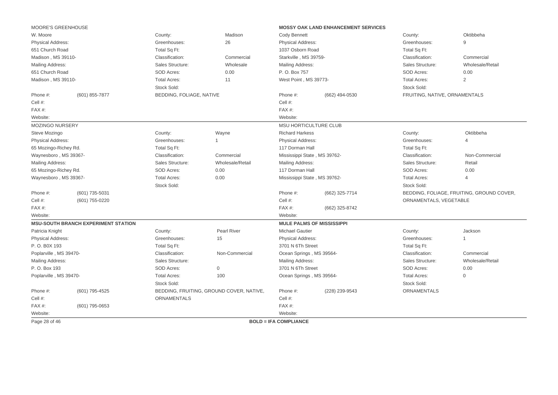| MOORE'S GREENHOUSE     |                                            |                          |                                          |                              | <b>MOSSY OAK LAND ENHANCEMENT SERVICES</b> |                               |                                           |
|------------------------|--------------------------------------------|--------------------------|------------------------------------------|------------------------------|--------------------------------------------|-------------------------------|-------------------------------------------|
| W. Moore               |                                            | County:                  | Madison                                  | Cody Bennett                 |                                            | County:                       | Oktibbeha                                 |
| Physical Address:      |                                            | Greenhouses:             | 26                                       | Physical Address:            |                                            | Greenhouses:                  | 9                                         |
| 651 Church Road        |                                            | Total Sq Ft:             |                                          | 1037 Osborn Road             |                                            | Total Sq Ft:                  |                                           |
| Madison, MS 39110-     |                                            | Classification:          | Commercial                               | Starkville, MS 39759-        |                                            | Classification:               | Commercial                                |
| Mailing Address:       |                                            | Sales Structure:         | Wholesale                                | Mailing Address:             |                                            | Sales Structure:              | Wholesale/Retail                          |
| 651 Church Road        |                                            | SOD Acres:               | 0.00                                     | P. O. Box 757                |                                            | SOD Acres:                    | 0.00                                      |
| Madison, MS 39110-     |                                            | <b>Total Acres:</b>      | 11                                       | West Point, MS 39773-        |                                            | <b>Total Acres:</b>           | 2                                         |
|                        |                                            | Stock Sold:              |                                          |                              |                                            | Stock Sold:                   |                                           |
| Phone #:               | (601) 855-7877                             | BEDDING, FOLIAGE, NATIVE |                                          | Phone #:                     | (662) 494-0530                             | FRUITING, NATIVE, ORNAMENTALS |                                           |
| Cell #:                |                                            |                          |                                          | Cell #:                      |                                            |                               |                                           |
| FAX#:                  |                                            |                          |                                          | FAX#:                        |                                            |                               |                                           |
| Website:               |                                            |                          |                                          | Website:                     |                                            |                               |                                           |
| MOZINGO NURSERY        |                                            |                          |                                          | <b>MSU HORTICULTURE CLUB</b> |                                            |                               |                                           |
| Steve Mozingo          |                                            | County:                  | Wayne                                    | <b>Richard Harkess</b>       |                                            | County:                       | Oktibbeha                                 |
| Physical Address:      |                                            | Greenhouses:             | $\mathbf 1$                              | Physical Address:            |                                            | Greenhouses:                  | $\overline{\mathcal{L}}$                  |
| 65 Mozingo-Richey Rd.  |                                            | Total Sq Ft:             |                                          | 117 Dorman Hall              |                                            | Total Sq Ft:                  |                                           |
| Waynesboro, MS 39367-  |                                            | Classification:          | Commercial                               | Mississippi State, MS 39762- |                                            | Classification:               | Non-Commercial                            |
| Mailing Address:       |                                            | Sales Structure:         | Wholesale/Retail                         | Mailing Address:             |                                            | Sales Structure:              | Retail                                    |
| 65 Mozingo-Richey Rd.  |                                            | SOD Acres:               | 0.00                                     | 117 Dorman Hall              |                                            | SOD Acres:                    | 0.00                                      |
| Waynesboro, MS 39367-  |                                            | <b>Total Acres:</b>      | 0.00                                     | Mississippi State, MS 39762- |                                            | <b>Total Acres:</b>           | $\overline{4}$                            |
|                        |                                            | Stock Sold:              |                                          |                              |                                            | Stock Sold:                   |                                           |
| Phone #:               | (601) 735-5031                             |                          |                                          | Phone #:                     | (662) 325-7714                             |                               | BEDDING, FOLIAGE, FRUITING, GROUND COVER, |
| Cell #:                | (601) 755-0220                             |                          |                                          | Cell #:                      |                                            | ORNAMENTALS, VEGETABLE        |                                           |
| FAX#:                  |                                            |                          |                                          | $FAX#$ :                     | (662) 325-8742                             |                               |                                           |
| Website:               |                                            |                          |                                          | Website:                     |                                            |                               |                                           |
|                        | <b>MSU-SOUTH BRANCH EXPERIMENT STATION</b> |                          |                                          |                              | <b>MULE PALMS OF MISSISSIPPI</b>           |                               |                                           |
| Patricia Knight        |                                            | County:                  | Pearl River                              | <b>Michael Gautier</b>       |                                            | County:                       | Jackson                                   |
| Physical Address:      |                                            | Greenhouses:             | 15                                       | <b>Physical Address:</b>     |                                            | Greenhouses:                  | $\mathbf{1}$                              |
| P.O. B0X 193           |                                            | Total Sq Ft:             |                                          | 3701 N 6Th Street            |                                            | Total Sq Ft:                  |                                           |
| Poplarville, MS 39470- |                                            | Classification:          | Non-Commercial                           | Ocean Springs, MS 39564-     |                                            | Classification:               | Commercial                                |
| Mailing Address:       |                                            | Sales Structure:         |                                          | Mailing Address:             |                                            | Sales Structure:              | Wholesale/Retail                          |
| P. O. Box 193          |                                            | SOD Acres:               | $\mathbf 0$                              | 3701 N 6Th Street            |                                            | SOD Acres:                    | 0.00                                      |
| Poplarville, MS 39470- |                                            | <b>Total Acres:</b>      | 100                                      | Ocean Springs, MS 39564-     |                                            | <b>Total Acres:</b>           | $\Omega$                                  |
|                        |                                            | Stock Sold:              |                                          |                              |                                            | Stock Sold:                   |                                           |
| Phone #:               | (601) 795-4525                             |                          | BEDDING, FRUITING, GROUND COVER, NATIVE, | Phone #:                     | (228) 239-9543                             | <b>ORNAMENTALS</b>            |                                           |
| Cell #:                |                                            | ORNAMENTALS              |                                          | Cell #:                      |                                            |                               |                                           |
| FAX#:                  | (601) 795-0653                             |                          |                                          | FAX #:                       |                                            |                               |                                           |
| Website:               |                                            |                          |                                          | Website:                     |                                            |                               |                                           |
| Page 28 of 46          |                                            |                          |                                          | <b>BOLD = IFA COMPLIANCE</b> |                                            |                               |                                           |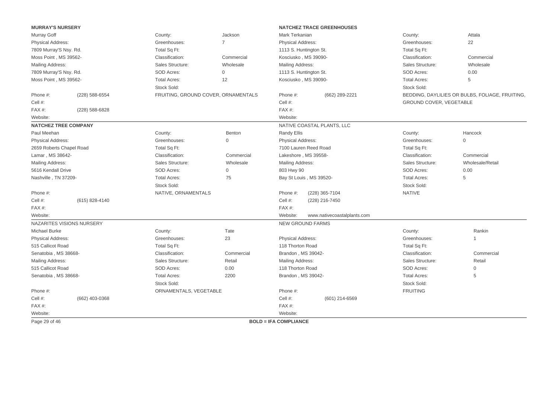| <b>MURRAY'S NURSERY</b>     |                           |                                     |                     | <b>NATCHEZ TRACE GREENHOUSES</b>        |                         |                                                 |
|-----------------------------|---------------------------|-------------------------------------|---------------------|-----------------------------------------|-------------------------|-------------------------------------------------|
| Murray Goff                 |                           | County:                             | Jackson             | Mark Terkanian                          | County:                 | Attala                                          |
| Physical Address:           |                           | Greenhouses:                        | $\overline{7}$      | <b>Physical Address:</b>                | Greenhouses:            | 22                                              |
| 7809 Murray'S Nsy. Rd.      |                           | Total Sq Ft:                        |                     | 1113 S. Huntington St.                  | Total Sq Ft:            |                                                 |
| Moss Point, MS 39562-       |                           | Classification:                     | Commercial          | Kosciusko, MS 39090-                    | Classification:         | Commercial                                      |
| Mailing Address:            |                           | Sales Structure:                    | Wholesale           | <b>Mailing Address:</b>                 | Sales Structure:        | Wholesale                                       |
| 7809 Murray'S Nsy. Rd.      |                           | SOD Acres:                          | $\mathsf{O}\xspace$ | 1113 S. Huntington St.                  | SOD Acres:              | 0.00                                            |
| Moss Point, MS 39562-       |                           | <b>Total Acres:</b>                 | 12                  | Kosciusko, MS 39090-                    | <b>Total Acres:</b>     | 5                                               |
|                             |                           | Stock Sold:                         |                     |                                         | Stock Sold:             |                                                 |
| Phone #:                    | (228) 588-6554            | FRUITING, GROUND COVER, ORNAMENTALS |                     | Phone #:<br>(662) 289-2221              |                         | BEDDING, DAYLILIES OR BULBS, FOLIAGE, FRUITING. |
| Cell #:                     |                           |                                     |                     | Cell #:                                 | GROUND COVER, VEGETABLE |                                                 |
| FAX#:                       | (228) 588-6828            |                                     |                     | FAX #:                                  |                         |                                                 |
| Website:                    |                           |                                     |                     | Website:                                |                         |                                                 |
| <b>NATCHEZ TREE COMPANY</b> |                           |                                     |                     | NATIVE COASTAL PLANTS, LLC              |                         |                                                 |
| Paul Meehan                 |                           | County:                             | Benton              | Randy Ellis                             | County:                 | Hancock                                         |
| Physical Address:           |                           | Greenhouses:                        | $\Omega$            | Physical Address:                       | Greenhouses:            | $\Omega$                                        |
| 2659 Roberts Chapel Road    |                           | Total Sq Ft:                        |                     | 7100 Lauren Reed Road                   | Total Sq Ft:            |                                                 |
| Lamar, MS 38642-            |                           | Classification:                     | Commercial          | Lakeshore, MS 39558-                    | Classification:         | Commercial                                      |
| Mailing Address:            |                           | Sales Structure:                    | Wholesale           | Mailing Address:                        | Sales Structure:        | Wholesale/Retail                                |
| 5616 Kendall Drive          |                           | SOD Acres:                          | $\mathbf 0$         | 803 Hwy 90                              | SOD Acres:              | 0.00                                            |
| Nashville, TN 37209-        |                           | <b>Total Acres:</b>                 | 75                  | Bay St Louis, MS 39520-                 | <b>Total Acres:</b>     | 5                                               |
|                             |                           | Stock Sold:                         |                     |                                         | Stock Sold:             |                                                 |
| Phone #:                    |                           | NATIVE, ORNAMENTALS                 |                     | Phone #:<br>(228) 365-7104              | <b>NATIVE</b>           |                                                 |
| Cell #:                     | (615) 828-4140            |                                     |                     | Cell #:<br>(228) 216-7450               |                         |                                                 |
| FAX#:                       |                           |                                     |                     | FAX#:                                   |                         |                                                 |
| Website:                    |                           |                                     |                     | Website:<br>www.nativecoastalplants.com |                         |                                                 |
|                             | NAZARITES VISIONS NURSERY |                                     |                     | <b>NEW GROUND FARMS</b>                 |                         |                                                 |
| <b>Michael Burke</b>        |                           | County:                             | Tate                |                                         | County:                 | Rankin                                          |
| Physical Address:           |                           | Greenhouses:                        | 23                  | Physical Address:                       | Greenhouses:            | 1                                               |
| 515 Callicot Road           |                           | Total Sq Ft:                        |                     | 118 Thorton Road                        | Total Sq Ft:            |                                                 |
| Senatobia, MS 38668-        |                           | Classification:                     | Commercial          | Brandon, MS 39042-                      | Classification:         | Commercial                                      |
| Mailing Address:            |                           | Sales Structure:                    | Retail              | Mailing Address:                        | Sales Structure:        | Retail                                          |
| 515 Callicot Road           |                           | SOD Acres:                          | 0.00                | 118 Thorton Road                        | SOD Acres:              | $\overline{0}$                                  |
| Senatobia, MS 38668-        |                           | <b>Total Acres:</b>                 | 2200                | Brandon, MS 39042-                      | <b>Total Acres:</b>     | 5                                               |
|                             |                           | Stock Sold:                         |                     |                                         | Stock Sold:             |                                                 |
| Phone #:                    |                           | ORNAMENTALS, VEGETABLE              |                     | Phone #:                                | <b>FRUITING</b>         |                                                 |
| Cell #:                     | (662) 403-0368            |                                     |                     | Cell #:<br>$(601)$ 214-6569             |                         |                                                 |
| FAX#:                       |                           |                                     |                     | FAX#:                                   |                         |                                                 |
| Website:                    |                           |                                     |                     | Website:                                |                         |                                                 |
| Page 29 of 46               |                           |                                     |                     | <b>BOLD = IFA COMPLIANCE</b>            |                         |                                                 |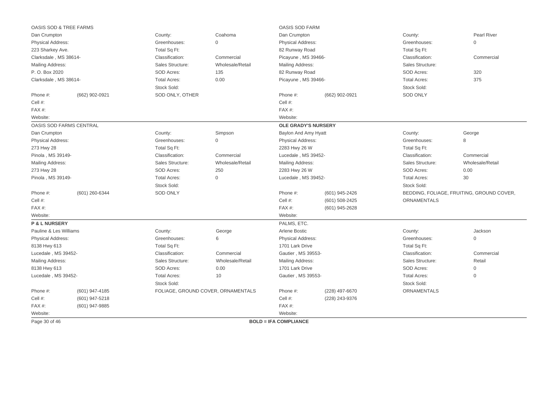| <b>OASIS SOD &amp; TREE FARMS</b>                               |                         |                                    |                                    | OASIS SOD FARM               |                     |                                    |                                           |
|-----------------------------------------------------------------|-------------------------|------------------------------------|------------------------------------|------------------------------|---------------------|------------------------------------|-------------------------------------------|
| Dan Crumpton                                                    |                         | County:                            | Coahoma                            | Dan Crumpton                 |                     | County:                            | Pearl River                               |
| Physical Address:                                               |                         | Greenhouses:                       | 0                                  | <b>Physical Address:</b>     |                     | Greenhouses:                       | $\mathbf{0}$                              |
| 223 Sharkey Ave.                                                |                         | Total Sq Ft:                       |                                    | 82 Runway Road               |                     | Total Sq Ft:                       |                                           |
| Clarksdale, MS 38614-                                           |                         | Classification:                    | Commercial                         | Picayune, MS 39466-          |                     | Classification:                    | Commercial                                |
| Mailing Address:                                                |                         | Sales Structure:                   | Wholesale/Retail                   | Mailing Address:             |                     | Sales Structure:                   |                                           |
| P. O. Box 2020                                                  |                         | SOD Acres:                         | 135                                | 82 Runway Road               |                     | SOD Acres:                         | 320                                       |
| Clarksdale, MS 38614-                                           |                         | <b>Total Acres:</b>                | 0.00                               | Picayune, MS 39466-          |                     | <b>Total Acres:</b>                | 375                                       |
|                                                                 |                         | Stock Sold:                        |                                    |                              |                     | Stock Sold:                        |                                           |
| Phone #:                                                        | (662) 902-0921          | SOD ONLY, OTHER                    |                                    | Phone #:                     | (662) 902-0921      | <b>SOD ONLY</b>                    |                                           |
| Cell #:                                                         |                         |                                    |                                    | Cell #:                      |                     |                                    |                                           |
| FAX#:                                                           |                         |                                    |                                    | FAX#:                        |                     |                                    |                                           |
| Website:                                                        | Website:                |                                    |                                    |                              |                     |                                    |                                           |
|                                                                 | OASIS SOD FARMS CENTRAL |                                    |                                    | <b>OLE GRADY'S NURSERY</b>   |                     |                                    |                                           |
| Dan Crumpton                                                    |                         | County:                            | Simpson                            | Baylon And Amy Hyatt         |                     | County:                            | George                                    |
| $\mathsf{O}\xspace$<br><b>Physical Address:</b><br>Greenhouses: |                         |                                    | <b>Physical Address:</b>           |                              | Greenhouses:        | 8                                  |                                           |
| 273 Hwy 28                                                      |                         | Total Sq Ft:                       |                                    | 2283 Hwy 26 W                |                     | Total Sq Ft:                       |                                           |
| Pinola, MS 39149-                                               |                         | Classification:                    | Commercial                         | Lucedale, MS 39452-          |                     | Classification:                    | Commercial                                |
| Mailing Address:                                                |                         | Sales Structure:                   | Wholesale/Retail                   | Mailing Address:             |                     | Sales Structure:                   | Wholesale/Retail                          |
| 273 Hwy 28                                                      |                         | SOD Acres:                         | 250                                | 2283 Hwy 26 W                |                     | SOD Acres:                         | 0.00                                      |
| Pinola, MS 39149-                                               |                         | <b>Total Acres:</b><br>Stock Sold: | $\overline{0}$                     | Lucedale, MS 39452-          |                     | <b>Total Acres:</b><br>Stock Sold: | 30                                        |
| Phone #:                                                        | (601) 260-6344          | <b>SOD ONLY</b>                    |                                    | Phone #:                     | (601) 945-2426      |                                    | BEDDING, FOLIAGE, FRUITING, GROUND COVER, |
| Cell #:                                                         |                         |                                    |                                    | Cell #:                      | (601) 508-2425      | ORNAMENTALS                        |                                           |
| FAX#:                                                           |                         |                                    |                                    | FAX#:                        | (601) 945-2628      |                                    |                                           |
| Website:                                                        |                         |                                    |                                    | Website:                     |                     |                                    |                                           |
| <b>P &amp; L NURSERY</b>                                        |                         |                                    |                                    | PALMS, ETC.                  |                     |                                    |                                           |
| Pauline & Les Williams                                          |                         | County:                            | George                             | Arlene Bostic                |                     | County:                            | Jackson                                   |
| Physical Address:                                               |                         | Greenhouses:                       | $\,6$                              | <b>Physical Address:</b>     |                     | Greenhouses:                       | $\mathbf 0$                               |
| 8138 Hwy 613                                                    |                         | Total Sq Ft:                       |                                    | 1701 Lark Drive              |                     | Total Sq Ft:                       |                                           |
| Lucedale, MS 39452-                                             |                         | Classification:                    | Commercial                         | Gautier, MS 39553-           |                     | Classification:                    | Commercial                                |
| Mailing Address:                                                |                         | Sales Structure:                   | Wholesale/Retail                   | Mailing Address:             |                     | Sales Structure:                   | Retail                                    |
| 8138 Hwy 613                                                    |                         | SOD Acres:                         | 0.00                               | 1701 Lark Drive              |                     | SOD Acres:                         | $\mathbf{0}$                              |
| Lucedale, MS 39452-<br><b>Total Acres:</b>                      |                         | 10                                 | Gautier, MS 39553-                 |                              | <b>Total Acres:</b> | $\mathsf{O}\xspace$                |                                           |
|                                                                 |                         | Stock Sold:                        |                                    |                              |                     | Stock Sold:                        |                                           |
| Phone #:                                                        | (601) 947-4185          |                                    | FOLIAGE, GROUND COVER, ORNAMENTALS | Phone #:                     | (228) 497-6670      | <b>ORNAMENTALS</b>                 |                                           |
| Cell #:                                                         | (601) 947-5218          |                                    |                                    | Cell #:                      | (228) 243-9376      |                                    |                                           |
| FAX#:                                                           | (601) 947-9885          |                                    |                                    | FAX#:                        |                     |                                    |                                           |
| Website:                                                        |                         |                                    |                                    | Website:                     |                     |                                    |                                           |
| Page 30 of 46                                                   |                         |                                    |                                    | <b>BOLD = IFA COMPLIANCE</b> |                     |                                    |                                           |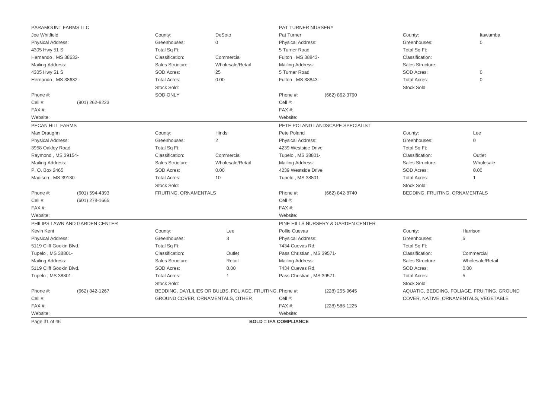| PARAMOUNT FARMS LLC     |                                |                       |                                                          | PAT TURNER NURSERY           |                                    |                                |                                             |
|-------------------------|--------------------------------|-----------------------|----------------------------------------------------------|------------------------------|------------------------------------|--------------------------------|---------------------------------------------|
| Joe Whitfield           |                                | County:               | DeSoto                                                   | Pat Turner                   |                                    | County:                        | Itawamba                                    |
| Physical Address:       |                                | Greenhouses:          | $\mathbf{0}$                                             | Physical Address:            |                                    | Greenhouses:                   | $\Omega$                                    |
| 4305 Hwy 51 S           |                                | Total Sq Ft:          |                                                          | 5 Turner Road                |                                    | Total Sq Ft:                   |                                             |
| Hernando, MS 38632-     |                                | Classification:       | Commercial                                               | Fulton, MS 38843-            |                                    | Classification:                |                                             |
| Mailing Address:        |                                | Sales Structure:      | Wholesale/Retail                                         | Mailing Address:             |                                    | Sales Structure:               |                                             |
| 4305 Hwy 51 S           |                                | SOD Acres:            | 25                                                       | 5 Turner Road                |                                    | SOD Acres:                     | 0                                           |
| Hernando, MS 38632-     |                                | <b>Total Acres:</b>   | 0.00                                                     | Fulton, MS 38843-            |                                    | <b>Total Acres:</b>            | $\mathsf{O}\xspace$                         |
|                         |                                | Stock Sold:           |                                                          |                              |                                    | Stock Sold:                    |                                             |
| Phone #:                |                                | <b>SOD ONLY</b>       |                                                          | Phone #:                     | (662) 862-3790                     |                                |                                             |
| Cell #:                 | (901) 262-8223                 |                       |                                                          | Cell #:                      |                                    |                                |                                             |
| FAX#:                   |                                |                       |                                                          | FAX #:                       |                                    |                                |                                             |
| Website:                |                                |                       |                                                          | Website:                     |                                    |                                |                                             |
| PECAN HILL FARMS        |                                |                       |                                                          |                              | PETE POLAND LANDSCAPE SPECIALIST   |                                |                                             |
| Max Draughn             |                                | County:               | Hinds                                                    | Pete Poland                  |                                    | County:                        | Lee                                         |
| Physical Address:       |                                | Greenhouses:          | $\overline{2}$                                           | <b>Physical Address:</b>     |                                    | Greenhouses:                   | $\Omega$                                    |
| 3958 Oakley Road        |                                | Total Sq Ft:          |                                                          | 4239 Westside Drive          |                                    | Total Sq Ft:                   |                                             |
| Raymond, MS 39154-      |                                | Classification:       | Commercial                                               | Tupelo, MS 38801-            |                                    | Classification:                | Outlet                                      |
| Mailing Address:        |                                | Sales Structure:      | Wholesale/Retail                                         | Mailing Address:             |                                    | Sales Structure:               | Wholesale                                   |
| P. O. Box 2465          |                                | SOD Acres:            | 0.00                                                     | 4239 Westside Drive          |                                    | SOD Acres:                     | 0.00                                        |
| Madison, MS 39130-      |                                | <b>Total Acres:</b>   | 10                                                       | Tupelo, MS 38801-            |                                    | <b>Total Acres:</b>            | $\mathbf 1$                                 |
|                         |                                | Stock Sold:           |                                                          |                              |                                    | Stock Sold:                    |                                             |
| Phone #:                | $(601) 594 - 4393$             | FRUITING, ORNAMENTALS |                                                          | Phone #:                     | (662) 842-8740                     | BEDDING, FRUITING, ORNAMENTALS |                                             |
| Cell #:                 | $(601)$ 278-1665               |                       |                                                          | Cell #:                      |                                    |                                |                                             |
| FAX#:                   |                                |                       |                                                          | FAX #:                       |                                    |                                |                                             |
| Website:                |                                |                       |                                                          | Website:                     |                                    |                                |                                             |
|                         | PHILIPS LAWN AND GARDEN CENTER |                       |                                                          |                              | PINE HILLS NURSERY & GARDEN CENTER |                                |                                             |
| Kevin Kent              |                                | County:               | Lee                                                      | Pollie Cuevas                |                                    | County:                        | Harrison                                    |
| Physical Address:       |                                | Greenhouses:          | $\sqrt{3}$                                               | Physical Address:            |                                    | Greenhouses:                   | 5                                           |
| 5119 Cliff Gookin Blvd. |                                | Total Sq Ft:          |                                                          | 7434 Cuevas Rd.              |                                    | Total Sq Ft:                   |                                             |
| Tupelo, MS 38801-       |                                | Classification:       | Outlet                                                   | Pass Christian, MS 39571-    |                                    | Classification:                | Commercial                                  |
| Mailing Address:        |                                | Sales Structure:      | Retail                                                   | Mailing Address:             |                                    | Sales Structure:               | Wholesale/Retail                            |
| 5119 Cliff Gookin Blvd. |                                | SOD Acres:            | 0.00                                                     | 7434 Cuevas Rd.              |                                    | SOD Acres:                     | 0.00                                        |
| Tupelo, MS 38801-       |                                | <b>Total Acres:</b>   | $\mathbf{1}$                                             | Pass Christian, MS 39571-    |                                    | <b>Total Acres:</b>            | 5                                           |
|                         |                                | Stock Sold:           |                                                          |                              |                                    | Stock Sold:                    |                                             |
| Phone #:                | (662) 842-1267                 |                       | BEDDING, DAYLILIES OR BULBS, FOLIAGE, FRUITING, Phone #: |                              | (228) 255-9645                     |                                | AQUATIC, BEDDING, FOLIAGE, FRUITING, GROUND |
| Cell #:                 |                                |                       | GROUND COVER, ORNAMENTALS, OTHER                         | Cell #:                      |                                    |                                | COVER, NATIVE, ORNAMENTALS, VEGETABLE       |
| FAX#:                   |                                |                       |                                                          | FAX #:                       | (228) 586-1225                     |                                |                                             |
| Website:                |                                |                       |                                                          | Website:                     |                                    |                                |                                             |
| Page 31 of 46           |                                |                       |                                                          | <b>BOLD = IFA COMPLIANCE</b> |                                    |                                |                                             |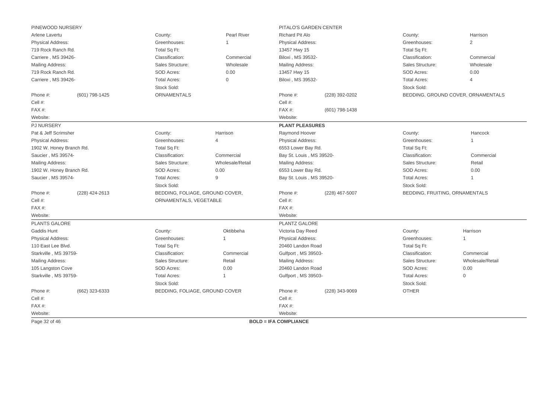| <b>Pearl River</b><br><b>Richard Pit Alo</b><br>Harrison<br>County:<br>County:<br>$\overline{2}$<br>Greenhouses:<br><b>Physical Address:</b><br>Greenhouses:<br>Total Sq Ft:<br>Total Sq Ft:<br>13457 Hwy 15<br>Classification:<br>Biloxi, MS 39532-<br>Classification:<br>Commercial<br>Commercial<br>Sales Structure:<br>Sales Structure:<br>Wholesale<br>Mailing Address:<br>Wholesale<br>SOD Acres:<br>0.00<br>SOD Acres:<br>0.00<br>13457 Hwy 15<br><b>Total Acres:</b><br>0<br>Biloxi, MS 39532-<br><b>Total Acres:</b><br>$\overline{4}$<br>Stock Sold:<br>Stock Sold:<br><b>ORNAMENTALS</b><br>(601) 798-1425<br>Phone #:<br>(228) 392-0202<br>BEDDING, GROUND COVER, ORNAMENTALS<br>Cell #:<br>FAX #:<br>(601) 798-1438<br>Website:<br><b>PLANT PLEASURES</b><br>Harrison<br>Raymond Hoover<br>County:<br>County:<br>Hancock<br>Greenhouses:<br>Physical Address:<br>Greenhouses:<br>$\overline{4}$<br>Total Sq Ft:<br>Total Sq Ft:<br>6553 Lower Bay Rd.<br>Classification:<br>Commercial<br>Bay St. Louis, MS 39520-<br>Classification:<br>Commercial<br>Wholesale/Retail<br>Sales Structure:<br>Sales Structure:<br>Retail<br>Mailing Address:<br>0.00<br>SOD Acres:<br>0.00<br>6553 Lower Bay Rd.<br>SOD Acres:<br>9<br><b>Total Acres:</b><br>Bay St. Louis, MS 39520-<br><b>Total Acres:</b><br>$\mathbf{1}$<br>Stock Sold:<br>Stock Sold:<br>BEDDING, FOLIAGE, GROUND COVER,<br>(228) 424-2613<br>Phone #:<br>(228) 467-5007<br>BEDDING, FRUITING, ORNAMENTALS<br>Cell #:<br>ORNAMENTALS, VEGETABLE<br>FAX #:<br>Website:<br>PLANTZ GALORE<br>Oktibbeha<br>Victoria Day Reed<br>Harrison<br>County:<br>County:<br>Greenhouses:<br>Greenhouses:<br><b>Physical Address:</b><br>$\mathbf 1$<br>$\mathbf 1$<br>Total Sq Ft:<br>Total Sq Ft:<br>20460 Landon Road<br>Classification:<br>Classification:<br>Commercial<br>Gulfport, MS 39503-<br>Commercial<br>Sales Structure:<br>Retail<br>Sales Structure:<br>Wholesale/Retail<br>Mailing Address:<br>SOD Acres:<br>20460 Landon Road<br>SOD Acres:<br>0.00<br>0.00<br><b>Total Acres:</b><br><b>Total Acres:</b><br>$\overline{0}$<br>Gulfport, MS 39503-<br>$\mathbf{1}$<br>Stock Sold:<br>Stock Sold:<br><b>OTHER</b><br>(662) 323-6333<br>BEDDING, FOLIAGE, GROUND COVER<br>Phone #:<br>(228) 343-9069<br>Cell #:<br>FAX #:<br>Website:<br><b>BOLD = IFA COMPLIANCE</b> | PINEWOOD NURSERY         |  | PITALO'S GARDEN CENTER |  |  |  |
|-------------------------------------------------------------------------------------------------------------------------------------------------------------------------------------------------------------------------------------------------------------------------------------------------------------------------------------------------------------------------------------------------------------------------------------------------------------------------------------------------------------------------------------------------------------------------------------------------------------------------------------------------------------------------------------------------------------------------------------------------------------------------------------------------------------------------------------------------------------------------------------------------------------------------------------------------------------------------------------------------------------------------------------------------------------------------------------------------------------------------------------------------------------------------------------------------------------------------------------------------------------------------------------------------------------------------------------------------------------------------------------------------------------------------------------------------------------------------------------------------------------------------------------------------------------------------------------------------------------------------------------------------------------------------------------------------------------------------------------------------------------------------------------------------------------------------------------------------------------------------------------------------------------------------------------------------------------------------------------------------------------------------------------------------------------------------------------------------------------------------------------------------------------------------------------------------------------------------------------------------------------------------------------------------------------------------------------------|--------------------------|--|------------------------|--|--|--|
|                                                                                                                                                                                                                                                                                                                                                                                                                                                                                                                                                                                                                                                                                                                                                                                                                                                                                                                                                                                                                                                                                                                                                                                                                                                                                                                                                                                                                                                                                                                                                                                                                                                                                                                                                                                                                                                                                                                                                                                                                                                                                                                                                                                                                                                                                                                                           | Arlene Lavertu           |  |                        |  |  |  |
|                                                                                                                                                                                                                                                                                                                                                                                                                                                                                                                                                                                                                                                                                                                                                                                                                                                                                                                                                                                                                                                                                                                                                                                                                                                                                                                                                                                                                                                                                                                                                                                                                                                                                                                                                                                                                                                                                                                                                                                                                                                                                                                                                                                                                                                                                                                                           | <b>Physical Address:</b> |  |                        |  |  |  |
|                                                                                                                                                                                                                                                                                                                                                                                                                                                                                                                                                                                                                                                                                                                                                                                                                                                                                                                                                                                                                                                                                                                                                                                                                                                                                                                                                                                                                                                                                                                                                                                                                                                                                                                                                                                                                                                                                                                                                                                                                                                                                                                                                                                                                                                                                                                                           | 719 Rock Ranch Rd.       |  |                        |  |  |  |
|                                                                                                                                                                                                                                                                                                                                                                                                                                                                                                                                                                                                                                                                                                                                                                                                                                                                                                                                                                                                                                                                                                                                                                                                                                                                                                                                                                                                                                                                                                                                                                                                                                                                                                                                                                                                                                                                                                                                                                                                                                                                                                                                                                                                                                                                                                                                           | Carriere, MS 39426-      |  |                        |  |  |  |
|                                                                                                                                                                                                                                                                                                                                                                                                                                                                                                                                                                                                                                                                                                                                                                                                                                                                                                                                                                                                                                                                                                                                                                                                                                                                                                                                                                                                                                                                                                                                                                                                                                                                                                                                                                                                                                                                                                                                                                                                                                                                                                                                                                                                                                                                                                                                           | Mailing Address:         |  |                        |  |  |  |
|                                                                                                                                                                                                                                                                                                                                                                                                                                                                                                                                                                                                                                                                                                                                                                                                                                                                                                                                                                                                                                                                                                                                                                                                                                                                                                                                                                                                                                                                                                                                                                                                                                                                                                                                                                                                                                                                                                                                                                                                                                                                                                                                                                                                                                                                                                                                           | 719 Rock Ranch Rd.       |  |                        |  |  |  |
|                                                                                                                                                                                                                                                                                                                                                                                                                                                                                                                                                                                                                                                                                                                                                                                                                                                                                                                                                                                                                                                                                                                                                                                                                                                                                                                                                                                                                                                                                                                                                                                                                                                                                                                                                                                                                                                                                                                                                                                                                                                                                                                                                                                                                                                                                                                                           | Carriere, MS 39426-      |  |                        |  |  |  |
|                                                                                                                                                                                                                                                                                                                                                                                                                                                                                                                                                                                                                                                                                                                                                                                                                                                                                                                                                                                                                                                                                                                                                                                                                                                                                                                                                                                                                                                                                                                                                                                                                                                                                                                                                                                                                                                                                                                                                                                                                                                                                                                                                                                                                                                                                                                                           |                          |  |                        |  |  |  |
|                                                                                                                                                                                                                                                                                                                                                                                                                                                                                                                                                                                                                                                                                                                                                                                                                                                                                                                                                                                                                                                                                                                                                                                                                                                                                                                                                                                                                                                                                                                                                                                                                                                                                                                                                                                                                                                                                                                                                                                                                                                                                                                                                                                                                                                                                                                                           | Phone #:                 |  |                        |  |  |  |
|                                                                                                                                                                                                                                                                                                                                                                                                                                                                                                                                                                                                                                                                                                                                                                                                                                                                                                                                                                                                                                                                                                                                                                                                                                                                                                                                                                                                                                                                                                                                                                                                                                                                                                                                                                                                                                                                                                                                                                                                                                                                                                                                                                                                                                                                                                                                           | Cell #:                  |  |                        |  |  |  |
|                                                                                                                                                                                                                                                                                                                                                                                                                                                                                                                                                                                                                                                                                                                                                                                                                                                                                                                                                                                                                                                                                                                                                                                                                                                                                                                                                                                                                                                                                                                                                                                                                                                                                                                                                                                                                                                                                                                                                                                                                                                                                                                                                                                                                                                                                                                                           | FAX #:                   |  |                        |  |  |  |
|                                                                                                                                                                                                                                                                                                                                                                                                                                                                                                                                                                                                                                                                                                                                                                                                                                                                                                                                                                                                                                                                                                                                                                                                                                                                                                                                                                                                                                                                                                                                                                                                                                                                                                                                                                                                                                                                                                                                                                                                                                                                                                                                                                                                                                                                                                                                           | Website:                 |  |                        |  |  |  |
|                                                                                                                                                                                                                                                                                                                                                                                                                                                                                                                                                                                                                                                                                                                                                                                                                                                                                                                                                                                                                                                                                                                                                                                                                                                                                                                                                                                                                                                                                                                                                                                                                                                                                                                                                                                                                                                                                                                                                                                                                                                                                                                                                                                                                                                                                                                                           | <b>PJ NURSERY</b>        |  |                        |  |  |  |
|                                                                                                                                                                                                                                                                                                                                                                                                                                                                                                                                                                                                                                                                                                                                                                                                                                                                                                                                                                                                                                                                                                                                                                                                                                                                                                                                                                                                                                                                                                                                                                                                                                                                                                                                                                                                                                                                                                                                                                                                                                                                                                                                                                                                                                                                                                                                           | Pat & Jeff Scrimsher     |  |                        |  |  |  |
|                                                                                                                                                                                                                                                                                                                                                                                                                                                                                                                                                                                                                                                                                                                                                                                                                                                                                                                                                                                                                                                                                                                                                                                                                                                                                                                                                                                                                                                                                                                                                                                                                                                                                                                                                                                                                                                                                                                                                                                                                                                                                                                                                                                                                                                                                                                                           | <b>Physical Address:</b> |  |                        |  |  |  |
|                                                                                                                                                                                                                                                                                                                                                                                                                                                                                                                                                                                                                                                                                                                                                                                                                                                                                                                                                                                                                                                                                                                                                                                                                                                                                                                                                                                                                                                                                                                                                                                                                                                                                                                                                                                                                                                                                                                                                                                                                                                                                                                                                                                                                                                                                                                                           | 1902 W. Honey Branch Rd. |  |                        |  |  |  |
|                                                                                                                                                                                                                                                                                                                                                                                                                                                                                                                                                                                                                                                                                                                                                                                                                                                                                                                                                                                                                                                                                                                                                                                                                                                                                                                                                                                                                                                                                                                                                                                                                                                                                                                                                                                                                                                                                                                                                                                                                                                                                                                                                                                                                                                                                                                                           | Saucier, MS 39574-       |  |                        |  |  |  |
|                                                                                                                                                                                                                                                                                                                                                                                                                                                                                                                                                                                                                                                                                                                                                                                                                                                                                                                                                                                                                                                                                                                                                                                                                                                                                                                                                                                                                                                                                                                                                                                                                                                                                                                                                                                                                                                                                                                                                                                                                                                                                                                                                                                                                                                                                                                                           | Mailing Address:         |  |                        |  |  |  |
|                                                                                                                                                                                                                                                                                                                                                                                                                                                                                                                                                                                                                                                                                                                                                                                                                                                                                                                                                                                                                                                                                                                                                                                                                                                                                                                                                                                                                                                                                                                                                                                                                                                                                                                                                                                                                                                                                                                                                                                                                                                                                                                                                                                                                                                                                                                                           | 1902 W. Honey Branch Rd. |  |                        |  |  |  |
|                                                                                                                                                                                                                                                                                                                                                                                                                                                                                                                                                                                                                                                                                                                                                                                                                                                                                                                                                                                                                                                                                                                                                                                                                                                                                                                                                                                                                                                                                                                                                                                                                                                                                                                                                                                                                                                                                                                                                                                                                                                                                                                                                                                                                                                                                                                                           | Saucier, MS 39574-       |  |                        |  |  |  |
|                                                                                                                                                                                                                                                                                                                                                                                                                                                                                                                                                                                                                                                                                                                                                                                                                                                                                                                                                                                                                                                                                                                                                                                                                                                                                                                                                                                                                                                                                                                                                                                                                                                                                                                                                                                                                                                                                                                                                                                                                                                                                                                                                                                                                                                                                                                                           |                          |  |                        |  |  |  |
|                                                                                                                                                                                                                                                                                                                                                                                                                                                                                                                                                                                                                                                                                                                                                                                                                                                                                                                                                                                                                                                                                                                                                                                                                                                                                                                                                                                                                                                                                                                                                                                                                                                                                                                                                                                                                                                                                                                                                                                                                                                                                                                                                                                                                                                                                                                                           | Phone #:                 |  |                        |  |  |  |
|                                                                                                                                                                                                                                                                                                                                                                                                                                                                                                                                                                                                                                                                                                                                                                                                                                                                                                                                                                                                                                                                                                                                                                                                                                                                                                                                                                                                                                                                                                                                                                                                                                                                                                                                                                                                                                                                                                                                                                                                                                                                                                                                                                                                                                                                                                                                           | Cell #:                  |  |                        |  |  |  |
|                                                                                                                                                                                                                                                                                                                                                                                                                                                                                                                                                                                                                                                                                                                                                                                                                                                                                                                                                                                                                                                                                                                                                                                                                                                                                                                                                                                                                                                                                                                                                                                                                                                                                                                                                                                                                                                                                                                                                                                                                                                                                                                                                                                                                                                                                                                                           | FAX#:                    |  |                        |  |  |  |
|                                                                                                                                                                                                                                                                                                                                                                                                                                                                                                                                                                                                                                                                                                                                                                                                                                                                                                                                                                                                                                                                                                                                                                                                                                                                                                                                                                                                                                                                                                                                                                                                                                                                                                                                                                                                                                                                                                                                                                                                                                                                                                                                                                                                                                                                                                                                           | Website:                 |  |                        |  |  |  |
|                                                                                                                                                                                                                                                                                                                                                                                                                                                                                                                                                                                                                                                                                                                                                                                                                                                                                                                                                                                                                                                                                                                                                                                                                                                                                                                                                                                                                                                                                                                                                                                                                                                                                                                                                                                                                                                                                                                                                                                                                                                                                                                                                                                                                                                                                                                                           | <b>PLANTS GALORE</b>     |  |                        |  |  |  |
|                                                                                                                                                                                                                                                                                                                                                                                                                                                                                                                                                                                                                                                                                                                                                                                                                                                                                                                                                                                                                                                                                                                                                                                                                                                                                                                                                                                                                                                                                                                                                                                                                                                                                                                                                                                                                                                                                                                                                                                                                                                                                                                                                                                                                                                                                                                                           | Gaddis Hunt              |  |                        |  |  |  |
|                                                                                                                                                                                                                                                                                                                                                                                                                                                                                                                                                                                                                                                                                                                                                                                                                                                                                                                                                                                                                                                                                                                                                                                                                                                                                                                                                                                                                                                                                                                                                                                                                                                                                                                                                                                                                                                                                                                                                                                                                                                                                                                                                                                                                                                                                                                                           | <b>Physical Address:</b> |  |                        |  |  |  |
|                                                                                                                                                                                                                                                                                                                                                                                                                                                                                                                                                                                                                                                                                                                                                                                                                                                                                                                                                                                                                                                                                                                                                                                                                                                                                                                                                                                                                                                                                                                                                                                                                                                                                                                                                                                                                                                                                                                                                                                                                                                                                                                                                                                                                                                                                                                                           | 110 East Lee Blvd.       |  |                        |  |  |  |
|                                                                                                                                                                                                                                                                                                                                                                                                                                                                                                                                                                                                                                                                                                                                                                                                                                                                                                                                                                                                                                                                                                                                                                                                                                                                                                                                                                                                                                                                                                                                                                                                                                                                                                                                                                                                                                                                                                                                                                                                                                                                                                                                                                                                                                                                                                                                           | Starkville, MS 39759-    |  |                        |  |  |  |
|                                                                                                                                                                                                                                                                                                                                                                                                                                                                                                                                                                                                                                                                                                                                                                                                                                                                                                                                                                                                                                                                                                                                                                                                                                                                                                                                                                                                                                                                                                                                                                                                                                                                                                                                                                                                                                                                                                                                                                                                                                                                                                                                                                                                                                                                                                                                           | Mailing Address:         |  |                        |  |  |  |
|                                                                                                                                                                                                                                                                                                                                                                                                                                                                                                                                                                                                                                                                                                                                                                                                                                                                                                                                                                                                                                                                                                                                                                                                                                                                                                                                                                                                                                                                                                                                                                                                                                                                                                                                                                                                                                                                                                                                                                                                                                                                                                                                                                                                                                                                                                                                           | 105 Langston Cove        |  |                        |  |  |  |
|                                                                                                                                                                                                                                                                                                                                                                                                                                                                                                                                                                                                                                                                                                                                                                                                                                                                                                                                                                                                                                                                                                                                                                                                                                                                                                                                                                                                                                                                                                                                                                                                                                                                                                                                                                                                                                                                                                                                                                                                                                                                                                                                                                                                                                                                                                                                           | Starkville, MS 39759-    |  |                        |  |  |  |
|                                                                                                                                                                                                                                                                                                                                                                                                                                                                                                                                                                                                                                                                                                                                                                                                                                                                                                                                                                                                                                                                                                                                                                                                                                                                                                                                                                                                                                                                                                                                                                                                                                                                                                                                                                                                                                                                                                                                                                                                                                                                                                                                                                                                                                                                                                                                           |                          |  |                        |  |  |  |
|                                                                                                                                                                                                                                                                                                                                                                                                                                                                                                                                                                                                                                                                                                                                                                                                                                                                                                                                                                                                                                                                                                                                                                                                                                                                                                                                                                                                                                                                                                                                                                                                                                                                                                                                                                                                                                                                                                                                                                                                                                                                                                                                                                                                                                                                                                                                           | Phone #:                 |  |                        |  |  |  |
|                                                                                                                                                                                                                                                                                                                                                                                                                                                                                                                                                                                                                                                                                                                                                                                                                                                                                                                                                                                                                                                                                                                                                                                                                                                                                                                                                                                                                                                                                                                                                                                                                                                                                                                                                                                                                                                                                                                                                                                                                                                                                                                                                                                                                                                                                                                                           | Cell #:                  |  |                        |  |  |  |
|                                                                                                                                                                                                                                                                                                                                                                                                                                                                                                                                                                                                                                                                                                                                                                                                                                                                                                                                                                                                                                                                                                                                                                                                                                                                                                                                                                                                                                                                                                                                                                                                                                                                                                                                                                                                                                                                                                                                                                                                                                                                                                                                                                                                                                                                                                                                           | FAX#:                    |  |                        |  |  |  |
|                                                                                                                                                                                                                                                                                                                                                                                                                                                                                                                                                                                                                                                                                                                                                                                                                                                                                                                                                                                                                                                                                                                                                                                                                                                                                                                                                                                                                                                                                                                                                                                                                                                                                                                                                                                                                                                                                                                                                                                                                                                                                                                                                                                                                                                                                                                                           | Website:                 |  |                        |  |  |  |
|                                                                                                                                                                                                                                                                                                                                                                                                                                                                                                                                                                                                                                                                                                                                                                                                                                                                                                                                                                                                                                                                                                                                                                                                                                                                                                                                                                                                                                                                                                                                                                                                                                                                                                                                                                                                                                                                                                                                                                                                                                                                                                                                                                                                                                                                                                                                           | Page 32 of 46            |  |                        |  |  |  |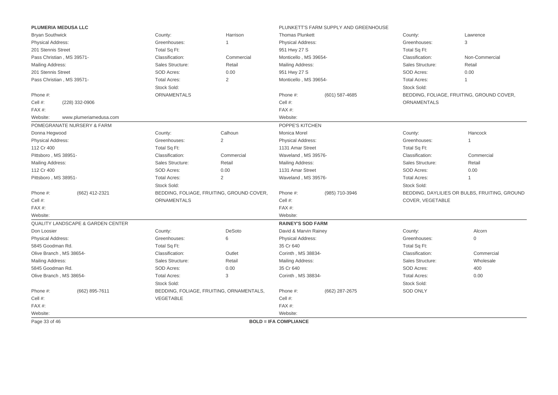|                          | PLUMERIA MEDUSA LLC                          |                     |                                           |                              | PLUNKETT'S FARM SUPPLY AND GREENHOUSE |                     |                                               |
|--------------------------|----------------------------------------------|---------------------|-------------------------------------------|------------------------------|---------------------------------------|---------------------|-----------------------------------------------|
| <b>Bryan Southwick</b>   |                                              | County:             | Harrison                                  | <b>Thomas Plunkett</b>       |                                       | County:             | Lawrence                                      |
| Physical Address:        |                                              | Greenhouses:        | 1                                         | Physical Address:            |                                       | Greenhouses:        | 3                                             |
| 201 Stennis Street       |                                              | Total Sq Ft:        |                                           | 951 Hwy 27 S                 |                                       | Total Sq Ft:        |                                               |
|                          | Pass Christian, MS 39571-                    | Classification:     | Commercial                                | Monticello, MS 39654-        |                                       | Classification:     | Non-Commercial                                |
| Mailing Address:         |                                              | Sales Structure:    | Retail                                    | Mailing Address:             |                                       | Sales Structure:    | Retail                                        |
| 201 Stennis Street       |                                              | SOD Acres:          | 0.00                                      | 951 Hwy 27 S                 |                                       | SOD Acres:          | 0.00                                          |
|                          | Pass Christian, MS 39571-                    | <b>Total Acres:</b> | 2                                         | Monticello, MS 39654-        |                                       | <b>Total Acres:</b> | $\overline{1}$                                |
|                          |                                              | Stock Sold:         |                                           |                              |                                       | Stock Sold:         |                                               |
| Phone #:                 |                                              | ORNAMENTALS         |                                           | Phone #:                     | (601) 587-4685                        |                     | BEDDING, FOLIAGE, FRUITING, GROUND COVER,     |
| Cell #:                  | (228) 332-0906                               |                     |                                           | Cell #:                      |                                       | <b>ORNAMENTALS</b>  |                                               |
| FAX#:                    |                                              |                     |                                           | FAX#:                        |                                       |                     |                                               |
| Website:                 | www.plumeriamedusa.com                       |                     |                                           | Website:                     |                                       |                     |                                               |
|                          | POMEGRANATE NURSERY & FARM                   |                     |                                           | POPPE'S KITCHEN              |                                       |                     |                                               |
| Donna Hegwood            |                                              | County:             | Calhoun                                   | Monica Morel                 |                                       | County:             | Hancock                                       |
| <b>Physical Address:</b> |                                              | Greenhouses:        | $\overline{2}$                            | Physical Address:            |                                       | Greenhouses:        | $\mathbf{1}$                                  |
| 112 Cr 400               |                                              | Total Sq Ft:        |                                           | 1131 Amar Street             |                                       | Total Sq Ft:        |                                               |
| Pittsboro, MS 38951-     |                                              | Classification:     | Commercial                                | Waveland, MS 39576-          |                                       | Classification:     | Commercial                                    |
| Mailing Address:         |                                              | Sales Structure:    | Retail                                    | Mailing Address:             |                                       | Sales Structure:    | Retail                                        |
| 112 Cr 400               |                                              | SOD Acres:          | 0.00                                      | 1131 Amar Street             |                                       | SOD Acres:          | 0.00                                          |
| Pittsboro, MS 38951-     |                                              | <b>Total Acres:</b> | $\overline{2}$                            | Waveland, MS 39576-          |                                       | <b>Total Acres:</b> | $\mathbf 1$                                   |
|                          |                                              | Stock Sold:         |                                           |                              |                                       | Stock Sold:         |                                               |
| Phone #:                 | (662) 412-2321                               |                     | BEDDING, FOLIAGE, FRUITING, GROUND COVER, | Phone #:                     | (985) 710-3946                        |                     | BEDDING, DAYLILIES OR BULBS, FRUITING, GROUND |
| Cell #:                  |                                              | ORNAMENTALS         |                                           | Cell #:                      |                                       | COVER, VEGETABLE    |                                               |
| FAX#:                    |                                              |                     |                                           | FAX#:                        |                                       |                     |                                               |
| Website:                 |                                              |                     |                                           | Website:                     |                                       |                     |                                               |
|                          | <b>QUALITY LANDSCAPE &amp; GARDEN CENTER</b> |                     |                                           | <b>RAINEY'S SOD FARM</b>     |                                       |                     |                                               |
| Don Loosier              |                                              | County:             | DeSoto                                    | David & Marvin Rainey        |                                       | County:             | Alcorn                                        |
| Physical Address:        |                                              | Greenhouses:        | 6                                         | <b>Physical Address:</b>     |                                       | Greenhouses:        | $\mathbf 0$                                   |
| 5845 Goodman Rd.         |                                              | Total Sq Ft:        |                                           | 35 Cr 640                    |                                       | Total Sq Ft:        |                                               |
| Olive Branch, MS 38654-  |                                              | Classification:     | Outlet                                    | Corinth, MS 38834-           |                                       | Classification:     | Commercial                                    |
| Mailing Address:         |                                              | Sales Structure:    | Retail                                    | Mailing Address:             |                                       | Sales Structure:    | Wholesale                                     |
| 5845 Goodman Rd.         |                                              | SOD Acres:          | 0.00                                      | 35 Cr 640                    |                                       | SOD Acres:          | 400                                           |
| Olive Branch, MS 38654-  |                                              | <b>Total Acres:</b> | 3                                         | Corinth, MS 38834-           |                                       | <b>Total Acres:</b> | 0.00                                          |
|                          |                                              | Stock Sold:         |                                           |                              |                                       | Stock Sold:         |                                               |
| Phone #:                 | (662) 895-7611                               |                     | BEDDING, FOLIAGE, FRUITING, ORNAMENTALS,  | Phone #:                     | (662) 287-2675                        | <b>SOD ONLY</b>     |                                               |
| Cell #:                  |                                              | VEGETABLE           |                                           | Cell #:                      |                                       |                     |                                               |
| $FAX#$ :                 |                                              |                     |                                           | FAX #:                       |                                       |                     |                                               |
| Website:                 |                                              |                     |                                           | Website:                     |                                       |                     |                                               |
| Page 33 of 46            |                                              |                     |                                           | <b>BOLD = IFA COMPLIANCE</b> |                                       |                     |                                               |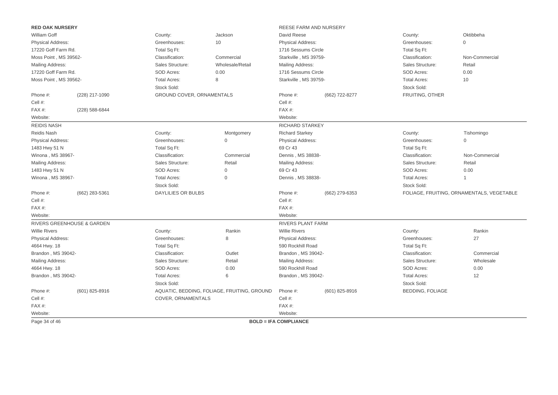| <b>RED OAK NURSERY</b>  |                                       |                           |                                             | REESE FARM AND NURSERY       |                |                         |                                           |
|-------------------------|---------------------------------------|---------------------------|---------------------------------------------|------------------------------|----------------|-------------------------|-------------------------------------------|
| William Goff            |                                       | County:                   | Jackson                                     | David Reese                  |                | County:                 | Oktibbeha                                 |
| Physical Address:       |                                       | Greenhouses:              | 10                                          | <b>Physical Address:</b>     |                | Greenhouses:            | $\mathbf 0$                               |
| 17220 Goff Farm Rd.     |                                       | Total Sq Ft:              |                                             | 1716 Sessums Circle          |                | Total Sq Ft:            |                                           |
| Moss Point, MS 39562-   |                                       | Classification:           | Commercial                                  | Starkville, MS 39759-        |                | Classification:         | Non-Commercial                            |
| Mailing Address:        |                                       | Sales Structure:          | Wholesale/Retail                            | Mailing Address:             |                | Sales Structure:        | Retail                                    |
| 17220 Goff Farm Rd.     |                                       | SOD Acres:                | 0.00                                        | 1716 Sessums Circle          |                | SOD Acres:              | 0.00                                      |
| Moss Point, MS 39562-   |                                       | <b>Total Acres:</b>       | 8                                           | Starkville, MS 39759-        |                | <b>Total Acres:</b>     | 10                                        |
|                         |                                       | Stock Sold:               |                                             |                              |                | Stock Sold:             |                                           |
| Phone #:                | (228) 217-1090                        | GROUND COVER, ORNAMENTALS |                                             | Phone #:                     | (662) 722-8277 | FRUITING, OTHER         |                                           |
| Cell #:                 |                                       |                           |                                             | Cell #:                      |                |                         |                                           |
| FAX#:                   | (228) 588-6844                        |                           |                                             | FAX#:                        |                |                         |                                           |
| Website:                |                                       |                           |                                             | Website:                     |                |                         |                                           |
| <b>REIDIS NASH</b>      |                                       |                           |                                             | <b>RICHARD STARKEY</b>       |                |                         |                                           |
| Reidis Nash             |                                       | County:                   | Montgomery                                  | <b>Richard Starkey</b>       |                | County:                 | Tishomingo                                |
| Physical Address:       |                                       | Greenhouses:              | $\mathbf{0}$                                | <b>Physical Address:</b>     |                | Greenhouses:            | $\mathbf{0}$                              |
| 1483 Hwy 51 N           |                                       | Total Sq Ft:              |                                             | 69 Cr 43                     |                | Total Sq Ft:            |                                           |
| Winona, MS 38967-       |                                       | Classification:           | Commercial                                  | Dennis, MS 38838-            |                | Classification:         | Non-Commercial                            |
| <b>Mailing Address:</b> |                                       | Sales Structure:          | Retail                                      | Mailing Address:             |                | Sales Structure:        | Retail                                    |
| 1483 Hwy 51 N           |                                       | SOD Acres:                | $\mathsf{O}\xspace$                         | 69 Cr 43                     |                | SOD Acres:              | 0.00                                      |
| Winona, MS 38967-       |                                       | <b>Total Acres:</b>       | $\mathbf 0$                                 | Dennis, MS 38838-            |                | <b>Total Acres:</b>     | 1                                         |
|                         |                                       | Stock Sold:               |                                             |                              |                | Stock Sold:             |                                           |
| Phone #:                | (662) 283-5361                        | <b>DAYLILIES OR BULBS</b> |                                             | Phone #:                     | (662) 279-6353 |                         | FOLIAGE, FRUITING, ORNAMENTALS, VEGETABLE |
| Cell #:                 |                                       |                           |                                             | Cell #:                      |                |                         |                                           |
| FAX#:                   |                                       |                           |                                             | FAX#:                        |                |                         |                                           |
| Website:                |                                       |                           |                                             | Website:                     |                |                         |                                           |
|                         | <b>RIVERS GREENHOUSE &amp; GARDEN</b> |                           |                                             | <b>RIVERS PLANT FARM</b>     |                |                         |                                           |
| <b>Willie Rivers</b>    |                                       | County:                   | Rankin                                      | <b>Willie Rivers</b>         |                | County:                 | Rankin                                    |
| Physical Address:       |                                       | Greenhouses:              | 8                                           | Physical Address:            |                | Greenhouses:            | 27                                        |
| 4664 Hwy. 18            |                                       | Total Sq Ft:              |                                             | 590 Rockhill Road            |                | Total Sq Ft:            |                                           |
| Brandon, MS 39042-      |                                       | Classification:           | Outlet                                      | Brandon, MS 39042-           |                | Classification:         | Commercial                                |
| <b>Mailing Address:</b> |                                       | Sales Structure:          | Retail                                      | Mailing Address:             |                | Sales Structure:        | Wholesale                                 |
| 4664 Hwy. 18            |                                       | SOD Acres:                | 0.00                                        | 590 Rockhill Road            |                | SOD Acres:              | 0.00                                      |
| Brandon, MS 39042-      |                                       | <b>Total Acres:</b>       | 6                                           | Brandon, MS 39042-           |                | <b>Total Acres:</b>     | 12                                        |
|                         |                                       | Stock Sold:               |                                             |                              |                | Stock Sold:             |                                           |
| Phone #:                | $(601)$ 825-8916                      |                           | AQUATIC, BEDDING, FOLIAGE, FRUITING, GROUND | Phone #:                     | (601) 825-8916 | <b>BEDDING, FOLIAGE</b> |                                           |
| Cell #:                 |                                       | COVER, ORNAMENTALS        |                                             | Cell #:                      |                |                         |                                           |
| FAX#:                   |                                       |                           |                                             | FAX#:                        |                |                         |                                           |
| Website:                |                                       |                           |                                             | Website:                     |                |                         |                                           |
| Page 34 of 46           |                                       |                           |                                             | <b>BOLD = IFA COMPLIANCE</b> |                |                         |                                           |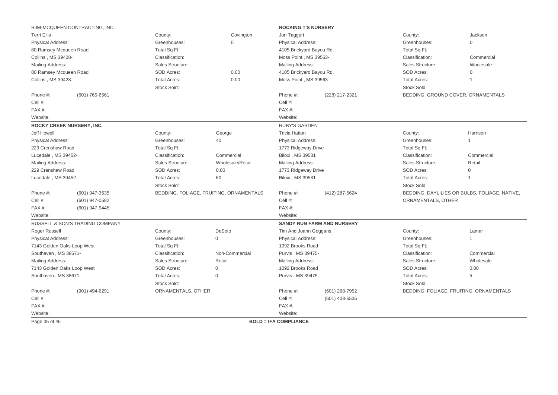|                                  | RJM-MCQUEEN CONTRACTING, INC.   |                     |                                         | <b>ROCKING T'S NURSERY</b>   |                                   |                     |                                               |
|----------------------------------|---------------------------------|---------------------|-----------------------------------------|------------------------------|-----------------------------------|---------------------|-----------------------------------------------|
| <b>Terri Ellis</b>               |                                 | County:             | Covington                               | Jon Taggert                  |                                   | County:             | Jackson                                       |
| Physical Address:                |                                 | Greenhouses:        | $\Omega$                                | Physical Address:            |                                   | Greenhouses:        | $\Omega$                                      |
| 80 Ramsey Mcqueen Road           |                                 | Total Sq Ft:        |                                         | 4105 Brickyard Bayou Rd.     |                                   | Total Sq Ft:        |                                               |
| Collins, MS 39428-               |                                 | Classification:     |                                         | Moss Point, MS 39563-        |                                   | Classification:     | Commercial                                    |
| Mailing Address:                 |                                 | Sales Structure:    |                                         | Mailing Address:             |                                   | Sales Structure:    | Wholesale                                     |
| 80 Ramsey Mcqueen Road           |                                 | SOD Acres:          | 0.00                                    | 4105 Brickyard Bayou Rd.     |                                   | SOD Acres:          | $\mathbf{0}$                                  |
| Collins, MS 39428-               |                                 | <b>Total Acres:</b> | 0.00                                    | Moss Point, MS 39563-        |                                   | <b>Total Acres:</b> | $\mathbf 1$                                   |
|                                  |                                 | Stock Sold:         |                                         |                              |                                   | Stock Sold:         |                                               |
| Phone #:                         | (601) 765-6561                  |                     |                                         | Phone #:<br>(228) 217-2321   |                                   |                     | BEDDING, GROUND COVER, ORNAMENTALS            |
| Cell #:                          |                                 |                     |                                         | Cell #:                      |                                   |                     |                                               |
| FAX#:                            |                                 |                     |                                         | FAX #:                       |                                   |                     |                                               |
| Website:                         |                                 |                     |                                         | Website:                     |                                   |                     |                                               |
| <b>ROCKY CREEK NURSERY, INC.</b> |                                 |                     |                                         | <b>RUBY'S GARDEN</b>         |                                   |                     |                                               |
| Jeff Howell                      |                                 | County:             | George                                  | <b>Tricia Hatton</b>         |                                   | County:             | Harrison                                      |
| <b>Physical Address:</b>         |                                 | Greenhouses:        | 40                                      | Physical Address:            |                                   | Greenhouses:        | $\mathbf{1}$                                  |
| 229 Crenshaw Road                |                                 | Total Sq Ft:        |                                         | 1773 Ridgeway Drive          |                                   | Total Sq Ft:        |                                               |
| Lucedale, MS 39452-              |                                 | Classification:     | Commercial                              | <b>Biloxi</b> , MS 39531     |                                   | Classification:     | Commercial                                    |
| Mailing Address:                 |                                 | Sales Structure:    | Wholesale/Retail                        | Mailing Address:             |                                   | Sales Structure:    | Retail                                        |
| 229 Crenshaw Road                |                                 | SOD Acres:          | 0.00                                    | 1773 Ridgeway Drive          |                                   | SOD Acres:          | $\Omega$                                      |
| Lucedale, MS 39452-              |                                 | <b>Total Acres:</b> | 60                                      | <b>Biloxi</b> , MS 39531     |                                   | <b>Total Acres:</b> | -1                                            |
|                                  |                                 | Stock Sold:         |                                         |                              |                                   | Stock Sold:         |                                               |
| Phone #:                         | (601) 947-3635                  |                     | BEDDING, FOLIAGE, FRUITING, ORNAMENTALS | Phone #:                     | (412) 287-5624                    |                     | BEDDING, DAYLILIES OR BULBS, FOLIAGE, NATIVE, |
| Cell #:                          | (601) 947-0582                  |                     |                                         | Cell #:                      |                                   | ORNAMENTALS, OTHER  |                                               |
| FAX#:                            | (601) 947-9445                  |                     |                                         | $FAX#$ :                     |                                   |                     |                                               |
| Website:                         |                                 |                     |                                         | Website:                     |                                   |                     |                                               |
|                                  | RUSSELL & SON'S TRADING COMPANY |                     |                                         |                              | <b>SANDY RUN FARM AND NURSERY</b> |                     |                                               |
| Roger Russell                    |                                 | County:             | <b>DeSoto</b>                           | Tim And Joann Goggans        |                                   | County:             | Lamar                                         |
| Physical Address:                |                                 | Greenhouses:        | 0                                       | <b>Physical Address:</b>     |                                   | Greenhouses:        | $\mathbf{1}$                                  |
| 7143 Golden Oaks Loop West       |                                 | Total Sq Ft:        |                                         | 1092 Brooks Road             |                                   | Total Sq Ft:        |                                               |
| Southaven, MS 38671-             |                                 | Classification:     | Non-Commercial                          | Purvis, MS 39475-            |                                   | Classification:     | Commercial                                    |
| Mailing Address:                 |                                 | Sales Structure:    | Retail                                  | Mailing Address:             |                                   | Sales Structure:    | Wholesale                                     |
| 7143 Golden Oaks Loop West       |                                 | SOD Acres:          | 0                                       | 1092 Brooks Road             |                                   | SOD Acres:          | 0.00                                          |
| Southaven, MS 38671-             |                                 | <b>Total Acres:</b> | $\Omega$                                | Purvis, MS 39475-            |                                   | <b>Total Acres:</b> | 5                                             |
|                                  |                                 | Stock Sold:         |                                         |                              |                                   | Stock Sold:         |                                               |
| Phone #:                         | (901) 494-6291                  | ORNAMENTALS, OTHER  |                                         | Phone #:                     | (601) 268-7952                    |                     | BEDDING, FOLIAGE, FRUITING, ORNAMENTALS       |
| Cell #:                          |                                 |                     |                                         | Cell #:                      | (601) 408-6535                    |                     |                                               |
| $FAX#$ :                         |                                 |                     |                                         | $FAX#$ :                     |                                   |                     |                                               |
| Website:                         |                                 |                     |                                         | Website:                     |                                   |                     |                                               |
| Page 35 of 46                    |                                 |                     |                                         | <b>BOLD = IFA COMPLIANCE</b> |                                   |                     |                                               |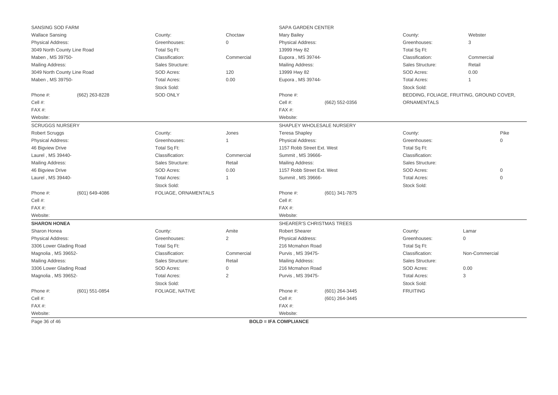| SANSING SOD FARM                  |                |                      |                          | SAPA GARDEN CENTER           |                           |                     |                                           |
|-----------------------------------|----------------|----------------------|--------------------------|------------------------------|---------------------------|---------------------|-------------------------------------------|
| <b>Wallace Sansing</b>            |                | County:              | Choctaw                  | <b>Mary Bailey</b>           |                           | County:             | Webster                                   |
| Physical Address:                 |                | Greenhouses:         | $\Omega$                 | <b>Physical Address:</b>     |                           | Greenhouses:        | 3                                         |
| 3049 North County Line Road       |                | Total Sq Ft:         |                          | 13999 Hwy 82                 |                           | Total Sq Ft:        |                                           |
| Maben, MS 39750-                  |                | Classification:      | Commercial               | Eupora, MS 39744-            |                           | Classification:     | Commercial                                |
| Mailing Address:                  |                | Sales Structure:     |                          | Mailing Address:             |                           | Sales Structure:    | Retail                                    |
| 3049 North County Line Road       |                | SOD Acres:           | 120                      | 13999 Hwy 82                 |                           | SOD Acres:          | 0.00                                      |
| Maben, MS 39750-                  |                | <b>Total Acres:</b>  | 0.00                     | Eupora, MS 39744-            |                           | <b>Total Acres:</b> | 1                                         |
|                                   |                | Stock Sold:          |                          |                              |                           | Stock Sold:         |                                           |
| Phone #:                          | (662) 263-8228 | <b>SOD ONLY</b>      |                          | Phone #:                     |                           |                     | BEDDING, FOLIAGE, FRUITING, GROUND COVER, |
| Cell #:                           |                |                      |                          | Cell #:                      | (662) 552-0356            | ORNAMENTALS         |                                           |
| FAX#:                             |                |                      |                          | $FAX#$ :                     |                           |                     |                                           |
| Website:                          |                |                      |                          | Website:                     |                           |                     |                                           |
| <b>SCRUGGS NURSERY</b>            |                |                      |                          |                              | SHAPLEY WHOLESALE NURSERY |                     |                                           |
| <b>Robert Scruggs</b>             |                | County:              | Jones                    | <b>Teresa Shapley</b>        |                           | County:             | Pike                                      |
| Physical Address:<br>Greenhouses: |                |                      | <b>Physical Address:</b> |                              | Greenhouses:              | $\mathbf 0$         |                                           |
| 46 Bigview Drive                  |                | Total Sq Ft:         |                          | 1157 Robb Street Ext. West   |                           | Total Sq Ft:        |                                           |
| Laurel, MS 39440-                 |                | Classification:      | Commercial               | Summit, MS 39666-            |                           | Classification:     |                                           |
| Mailing Address:                  |                | Sales Structure:     | Retail                   | <b>Mailing Address:</b>      |                           | Sales Structure:    |                                           |
| 46 Bigview Drive                  |                | SOD Acres:           | 0.00                     | 1157 Robb Street Ext. West   |                           | SOD Acres:          | $\mathbf{0}$                              |
| Laurel, MS 39440-                 |                | <b>Total Acres:</b>  |                          | Summit, MS 39666-            |                           | <b>Total Acres:</b> | $\mathbf 0$                               |
|                                   |                | Stock Sold:          |                          |                              |                           | Stock Sold:         |                                           |
| Phone #:                          | (601) 649-4086 | FOLIAGE, ORNAMENTALS |                          | Phone #:                     | (601) 341-7875            |                     |                                           |
| Cell #:                           |                |                      |                          | Cell #:                      |                           |                     |                                           |
| $FAX#$ :                          |                |                      |                          | $FAX#$ :                     |                           |                     |                                           |
| Website:                          |                |                      |                          | Website:                     |                           |                     |                                           |
| <b>SHARON HONEA</b>               |                |                      |                          |                              | SHEARER'S CHRISTMAS TREES |                     |                                           |
| Sharon Honea                      |                | County:              | Amite                    | <b>Robert Shearer</b>        |                           | County:             | Lamar                                     |
| Physical Address:                 |                | Greenhouses:         | 2                        | <b>Physical Address:</b>     |                           | Greenhouses:        | $\mathbf{0}$                              |
| 3306 Lower Glading Road           |                | Total Sq Ft:         |                          | 216 Mcmahon Road             |                           | Total Sq Ft:        |                                           |
| Magnolia, MS 39652-               |                | Classification:      | Commercial               | Purvis, MS 39475-            |                           | Classification:     | Non-Commercial                            |
| Mailing Address:                  |                | Sales Structure:     | Retail                   | Mailing Address:             |                           | Sales Structure:    |                                           |
| 3306 Lower Glading Road           |                | <b>SOD Acres:</b>    | $\Omega$                 | 216 Mcmahon Road             |                           | SOD Acres:          | 0.00                                      |
| Magnolia, MS 39652-               |                | <b>Total Acres:</b>  | $\mathbf{2}$             | Purvis, MS 39475-            |                           | <b>Total Acres:</b> | 3                                         |
|                                   |                | Stock Sold:          |                          |                              |                           | Stock Sold:         |                                           |
| Phone #:                          | (601) 551-0854 | FOLIAGE, NATIVE      |                          | Phone #:                     | (601) 264-3445            | <b>FRUITING</b>     |                                           |
| Cell #:                           |                |                      |                          | Cell #:                      | (601) 264-3445            |                     |                                           |
| FAX#:                             |                |                      |                          | $FAX#$ :                     |                           |                     |                                           |
| Website:                          |                |                      |                          | Website:                     |                           |                     |                                           |
| Page 36 of 46                     |                |                      |                          | <b>BOLD = IFA COMPLIANCE</b> |                           |                     |                                           |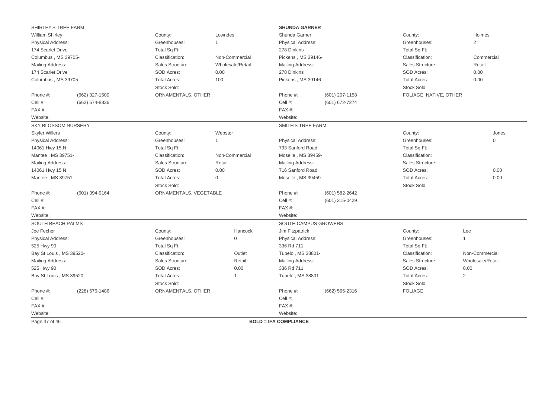| SHIRLEY'S TREE FARM      |                |                        |                     | <b>SHUNDA GARNER</b>                 |                |                                       |                  |
|--------------------------|----------------|------------------------|---------------------|--------------------------------------|----------------|---------------------------------------|------------------|
| <b>William Shirley</b>   |                | County:                | Lowndes             | Shunda Garner                        |                | County:                               | Holmes           |
| Physical Address:        |                | Greenhouses:           | $\mathbf{1}$        | <b>Physical Address:</b>             |                | Greenhouses:                          | $\mathbf{2}$     |
| 174 Scarlet Drive        |                | Total Sq Ft:           |                     | 278 Dinkins                          |                | Total Sq Ft:                          |                  |
| Columbus, MS 39705-      |                | Classification:        | Non-Commercial      | Pickens, MS 39146-                   |                | Classification:                       | Commercial       |
| Mailing Address:         |                | Sales Structure:       | Wholesale/Retail    | Mailing Address:                     |                | Sales Structure:                      | Retail           |
| 174 Scarlet Drive        |                | SOD Acres:             | 0.00                | 278 Dinkins                          |                | SOD Acres:                            | 0.00             |
| Columbus, MS 39705-      |                | <b>Total Acres:</b>    | 100                 | Pickens, MS 39146-                   |                | <b>Total Acres:</b>                   | 0.00             |
|                          |                | Stock Sold:            |                     |                                      |                | Stock Sold:                           |                  |
| Phone #:                 | (662) 327-1500 | ORNAMENTALS, OTHER     |                     | Phone #:                             | (601) 207-1158 | FOLIAGE, NATIVE, OTHER                |                  |
| Cell #:                  | (662) 574-8836 |                        |                     | Cell #:                              | (601) 672-7274 |                                       |                  |
| FAX#:                    |                |                        |                     | FAX#:                                |                |                                       |                  |
| Website:                 |                |                        |                     | Website:                             |                |                                       |                  |
| SKY BLOSSOM NURSERY      |                |                        |                     | <b>SMITH'S TREE FARM</b>             |                |                                       |                  |
| <b>Skyler Willers</b>    |                | County:                | Webster             |                                      |                | County:                               | Jones            |
| <b>Physical Address:</b> |                | Greenhouses:           | $\mathbf{1}$        | <b>Physical Address:</b>             |                | Greenhouses:                          | $\mathbf 0$      |
| 14061 Hwy 15 N           |                | Total Sq Ft:           |                     | 793 Sanford Road                     |                | Total Sq Ft:                          |                  |
| Mantee, MS 39751-        |                | Classification:        | Non-Commercial      | Moselle, MS 39459-                   |                | Classification:                       |                  |
| Mailing Address:         |                | Sales Structure:       | Retail              | Mailing Address:<br>716 Sanford Road |                | Sales Structure:                      |                  |
| 14061 Hwy 15 N           |                | SOD Acres:             | 0.00                |                                      |                | SOD Acres:                            | 0.00             |
| Mantee, MS 39751-        |                | <b>Total Acres:</b>    | $\mathsf{O}\xspace$ | Moselle, MS 39459-                   |                | <b>Total Acres:</b><br>0.00           |                  |
|                          |                | Stock Sold:            |                     |                                      |                | Stock Sold:                           |                  |
| Phone #:                 | (601) 394-9164 | ORNAMENTALS, VEGETABLE |                     | Phone #:                             | (601) 582-2642 |                                       |                  |
| Cell #:                  |                |                        |                     | Cell #:                              | (601) 315-0429 |                                       |                  |
| FAX#:                    |                |                        |                     | $FAX#$ :                             |                |                                       |                  |
| Website:                 |                |                        |                     | Website:                             |                |                                       |                  |
| SOUTH BEACH PALMS        |                |                        |                     | SOUTH CAMPUS GROWERS                 |                |                                       |                  |
| Joe Fecher               |                | County:                | Hancock             | Jim Fitzpatrick                      |                | County:                               | Lee              |
| <b>Physical Address:</b> |                | Greenhouses:           | $\mathbf{0}$        | <b>Physical Address:</b>             |                | Greenhouses:                          | $\overline{1}$   |
| 525 Hwy 90               |                | Total Sq Ft:           |                     | 336 Rd 711                           |                | Total Sq Ft:                          |                  |
| Bay St Louis, MS 39520-  |                | Classification:        | Outlet              | Tupelo, MS 38801-                    |                | Classification:                       | Non-Commercial   |
| Mailing Address:         |                | Sales Structure:       | Retail              | Mailing Address:                     |                | Sales Structure:                      | Wholesale/Retail |
| 525 Hwy 90               |                | SOD Acres:             | 0.00                | 336 Rd 711                           |                | SOD Acres:                            | 0.00             |
| Bay St Louis, MS 39520-  |                | <b>Total Acres:</b>    | $\overline{1}$      | Tupelo, MS 38801-                    |                | <b>Total Acres:</b><br>$\overline{2}$ |                  |
|                          |                | Stock Sold:            |                     |                                      |                | Stock Sold:                           |                  |
| Phone #:                 | (228) 676-1486 | ORNAMENTALS, OTHER     |                     | Phone #:                             | (662) 566-2316 | <b>FOLIAGE</b>                        |                  |
| Cell #:                  |                |                        |                     | Cell #:                              |                |                                       |                  |
| FAX#:                    |                |                        |                     | FAX#:                                |                |                                       |                  |
| Website:                 |                |                        |                     | Website:                             |                |                                       |                  |
| Page 37 of 46            |                |                        |                     | <b>BOLD = IFA COMPLIANCE</b>         |                |                                       |                  |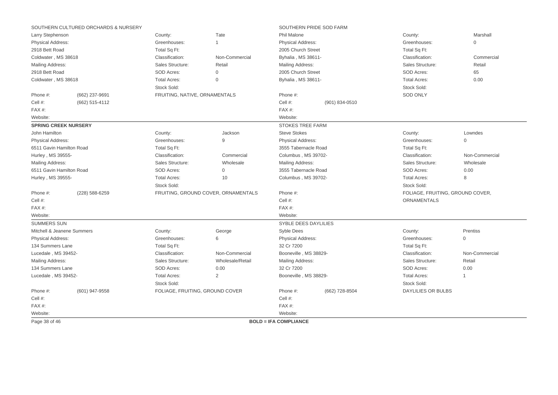|                             | SOUTHERN CULTURED ORCHARDS & NURSERY |                                 |                                     | SOUTHERN PRIDE SOD FARM                      |                |                                  |                |  |
|-----------------------------|--------------------------------------|---------------------------------|-------------------------------------|----------------------------------------------|----------------|----------------------------------|----------------|--|
| Larry Stephenson            |                                      | County:                         | Tate                                | Phil Malone                                  |                | County:                          | Marshall       |  |
| <b>Physical Address:</b>    |                                      | Greenhouses:                    | -1                                  | Physical Address:                            |                | Greenhouses:                     | $\mathbf 0$    |  |
| 2918 Bett Road              |                                      | Total Sq Ft:                    |                                     | 2005 Church Street                           |                | Total Sq Ft:                     |                |  |
| Coldwater, MS 38618         |                                      | Classification:                 | Non-Commercial                      | Byhalia, MS 38611-                           |                | Classification:                  | Commercial     |  |
| Mailing Address:            |                                      | Sales Structure:                | Retail                              | Mailing Address:                             |                | Sales Structure:                 | Retail         |  |
| 2918 Bett Road              |                                      | <b>SOD Acres:</b>               | $\mathbf 0$                         | 2005 Church Street                           |                | SOD Acres:                       | 65             |  |
| Coldwater, MS 38618         |                                      | <b>Total Acres:</b>             | $\mathbf 0$                         | Byhalia, MS 38611-                           |                | <b>Total Acres:</b>              | 0.00           |  |
|                             |                                      | Stock Sold:                     |                                     |                                              |                | Stock Sold:                      |                |  |
| Phone #:                    | (662) 237-9691                       | FRUITING, NATIVE, ORNAMENTALS   |                                     | Phone #:                                     |                | <b>SOD ONLY</b>                  |                |  |
| Cell #:                     | (662) 515-4112                       |                                 |                                     | Cell #:                                      | (901) 834-0510 |                                  |                |  |
| FAX#:                       |                                      |                                 |                                     | FAX#:                                        |                |                                  |                |  |
| Website:                    |                                      |                                 |                                     | Website:                                     |                |                                  |                |  |
| <b>SPRING CREEK NURSERY</b> |                                      |                                 |                                     | <b>STOKES TREE FARM</b>                      |                |                                  |                |  |
| John Hamilton               |                                      | County:                         | Jackson                             | <b>Steve Stokes</b>                          |                | County:                          | Lowndes        |  |
| <b>Physical Address:</b>    |                                      | Greenhouses:                    | 9                                   | <b>Physical Address:</b>                     |                | Greenhouses:                     | $\mathbf{0}$   |  |
| 6511 Gavin Hamilton Road    |                                      | Total Sq Ft:                    |                                     | 3555 Tabernacle Road                         |                | Total Sq Ft:                     |                |  |
| Hurley, MS 39555-           |                                      | Classification:                 | Commercial                          | Columbus, MS 39702-                          |                | Classification:                  | Non-Commercial |  |
| Mailing Address:            |                                      | Sales Structure:                | Wholesale                           | Mailing Address:                             |                | Sales Structure:                 | Wholesale      |  |
| 6511 Gavin Hamilton Road    |                                      | SOD Acres:                      | $\mathbf{0}$                        | 3555 Tabernacle Road                         |                | SOD Acres:                       | 0.00           |  |
| Hurley, MS 39555-           |                                      | <b>Total Acres:</b>             | 10                                  | Columbus, MS 39702-<br><b>Total Acres:</b>   |                |                                  | 8              |  |
|                             |                                      | Stock Sold:                     |                                     |                                              |                | Stock Sold:                      |                |  |
| Phone #:                    | (228) 588-6259                       |                                 | FRUITING, GROUND COVER, ORNAMENTALS | Phone #:                                     |                | FOLIAGE, FRUITING, GROUND COVER, |                |  |
| Cell #:                     |                                      |                                 |                                     | Cell #:                                      |                | ORNAMENTALS                      |                |  |
| FAX#:                       |                                      |                                 |                                     | FAX#:                                        |                |                                  |                |  |
| Website:                    |                                      |                                 |                                     | Website:                                     |                |                                  |                |  |
| <b>SUMMERS SUN</b>          |                                      |                                 |                                     | SYBLE DEES DAYLILIES                         |                |                                  |                |  |
| Mitchell & Jeanene Summers  |                                      | County:                         | George                              | <b>Syble Dees</b>                            |                | County:                          | Prentiss       |  |
| Physical Address:           |                                      | Greenhouses:                    | 6                                   | <b>Physical Address:</b>                     |                | Greenhouses:                     | $\mathbf{0}$   |  |
| 134 Summers Lane            |                                      | Total Sq Ft:                    |                                     | 32 Cr 7200                                   |                | Total Sq Ft:                     |                |  |
| Lucedale, MS 39452-         |                                      | Classification:                 | Non-Commercial                      | Booneville, MS 38829-                        |                | Classification:                  | Non-Commercial |  |
| Mailing Address:            |                                      | Sales Structure:                | Wholesale/Retail                    | Mailing Address:                             |                | Sales Structure:                 | Retail         |  |
| 134 Summers Lane            |                                      | SOD Acres:                      | 0.00                                | 32 Cr 7200                                   |                | SOD Acres:                       | 0.00           |  |
| Lucedale, MS 39452-         |                                      | <b>Total Acres:</b>             | 2                                   | Booneville, MS 38829-<br><b>Total Acres:</b> |                |                                  | 1              |  |
|                             |                                      | Stock Sold:                     |                                     |                                              |                | Stock Sold:                      |                |  |
| Phone #:                    | (601) 947-9558                       | FOLIAGE, FRUITING, GROUND COVER |                                     | Phone #:                                     | (662) 728-8504 | <b>DAYLILIES OR BULBS</b>        |                |  |
| Cell #:                     |                                      |                                 |                                     | Cell #:                                      |                |                                  |                |  |
| FAX#:                       |                                      |                                 |                                     | FAX#:                                        |                |                                  |                |  |
| Website:                    |                                      |                                 |                                     | Website:                                     |                |                                  |                |  |
| Page 38 of 46               |                                      |                                 |                                     | <b>BOLD = IFA COMPLIANCE</b>                 |                |                                  |                |  |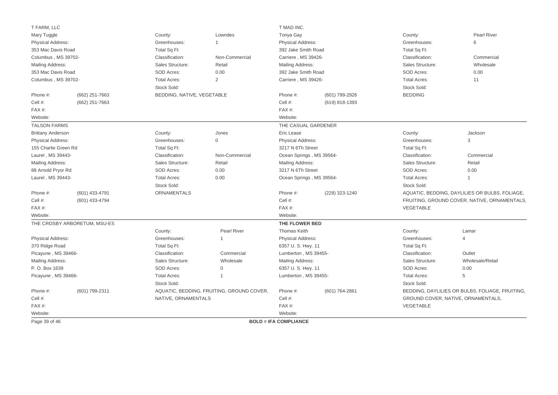| T FARM, LLC              |                              |                            |                                           | T MAD INC.                   |                |                     |                                                 |  |
|--------------------------|------------------------------|----------------------------|-------------------------------------------|------------------------------|----------------|---------------------|-------------------------------------------------|--|
| Mary Tuggle              |                              | County:                    | Lowndes                                   | Tonya Gay                    |                | County:             | Pearl River                                     |  |
| Physical Address:        |                              | Greenhouses:               | 1                                         | <b>Physical Address:</b>     |                | Greenhouses:        | 6                                               |  |
| 353 Mac Davis Road       |                              | Total Sq Ft:               |                                           | 392 Jake Smith Road          |                | Total Sq Ft:        |                                                 |  |
| Columbus, MS 39702-      |                              | Classification:            | Non-Commercial                            | Carriere, MS 39426-          |                | Classification:     | Commercial                                      |  |
| Mailing Address:         |                              | Sales Structure:           | Retail                                    | Mailing Address:             |                | Sales Structure:    | Wholesale                                       |  |
| 353 Mac Davis Road       |                              | SOD Acres:                 | 0.00                                      | 392 Jake Smith Road          |                | SOD Acres:<br>0.00  |                                                 |  |
| Columbus, MS 39702-      |                              | <b>Total Acres:</b>        | $\overline{2}$                            | Carriere, MS 39426-          |                | <b>Total Acres:</b> | 11                                              |  |
|                          |                              | Stock Sold:                |                                           |                              |                | Stock Sold:         |                                                 |  |
| Phone #:                 | (662) 251-7663               | BEDDING, NATIVE, VEGETABLE |                                           | Phone #:                     | (601) 799-2926 | <b>BEDDING</b>      |                                                 |  |
| Cell #:                  | (662) 251-7663               |                            |                                           | Cell #:                      | (619) 818-1393 |                     |                                                 |  |
| FAX#:                    |                              |                            |                                           | FAX #:                       |                |                     |                                                 |  |
| Website:                 |                              |                            |                                           | Website:                     |                |                     |                                                 |  |
| <b>TALSON FARMS</b>      |                              |                            |                                           | THE CASUAL GARDENER          |                |                     |                                                 |  |
| <b>Brittany Anderson</b> |                              | County:                    | Jones                                     | Eric Lease                   |                | County:             | Jackson                                         |  |
| <b>Physical Address:</b> |                              | Greenhouses:               | $\mathbf 0$                               | <b>Physical Address:</b>     |                | Greenhouses:        | 3                                               |  |
| 155 Charlie Green Rd     |                              | Total Sq Ft:               |                                           | 3217 N 6Th Street            |                | Total Sq Ft:        |                                                 |  |
| Laurel, MS 39443-        |                              | Classification:            | Non-Commercial                            | Ocean Springs, MS 39564-     |                | Classification:     | Commercial                                      |  |
| Mailing Address:         |                              | Sales Structure:           | Retail                                    | Mailing Address:             |                | Sales Structure:    | Retail                                          |  |
| 88 Arnold Pryor Rd       |                              | SOD Acres:                 | 0.00                                      | 3217 N 6Th Street            |                | SOD Acres:          | 0.00                                            |  |
| Laurel, MS 39443-        |                              | <b>Total Acres:</b>        | 0.00                                      | Ocean Springs, MS 39564-     |                | <b>Total Acres:</b> | $\mathbf{1}$                                    |  |
|                          |                              | Stock Sold:                |                                           |                              |                | Stock Sold:         |                                                 |  |
| Phone #:                 | (601) 433-4791               | ORNAMENTALS                |                                           | Phone #:                     | (228) 323-1240 |                     | AQUATIC, BEDDING, DAYLILIES OR BULBS, FOLIAGE,  |  |
| Cell #:                  | (601) 433-4794               |                            |                                           | Cell #:                      |                |                     | FRUITING, GROUND COVER, NATIVE, ORNAMENTALS,    |  |
| FAX#:                    |                              |                            |                                           | FAX#:                        |                | VEGETABLE           |                                                 |  |
| Website:                 |                              |                            |                                           | Website:                     |                |                     |                                                 |  |
|                          | THE CROSBY ARBORETUM, MSU-ES |                            |                                           | THE FLOWER BED               |                |                     |                                                 |  |
|                          |                              | County:                    | <b>Pearl River</b>                        | Thomas Keith                 |                | County:             | Lamar                                           |  |
| Physical Address:        |                              | Greenhouses:               | $\mathbf{1}$                              | Physical Address:            |                | Greenhouses:        | $\overline{4}$                                  |  |
| 370 Ridge Road           |                              | Total Sq Ft:               |                                           | 6357 U.S. Hwy. 11            |                | Total Sq Ft:        |                                                 |  |
| Picayune, MS 39466-      |                              | Classification:            | Commercial                                | Lumberton, MS 39455-         |                | Classification:     | Outlet                                          |  |
| Mailing Address:         |                              | Sales Structure:           | Wholesale                                 | Mailing Address:             |                | Sales Structure:    | Wholesale/Retail                                |  |
| P. O. Box 1639           |                              | SOD Acres:                 | 0                                         | 6357 U.S. Hwy. 11            |                | SOD Acres:          | 0.00                                            |  |
| Picayune, MS 39466-      |                              | <b>Total Acres:</b>        |                                           | Lumberton, MS 39455-         |                | <b>Total Acres:</b> | 5                                               |  |
|                          |                              | Stock Sold:                |                                           |                              |                | Stock Sold:         |                                                 |  |
| Phone #:                 | (601) 799-2311               |                            | AQUATIC, BEDDING, FRUITING, GROUND COVER, | Phone #:                     | (601) 764-2861 |                     | BEDDING, DAYLILIES OR BULBS, FOLIAGE, FRUITING, |  |
| Cell #:                  |                              | NATIVE, ORNAMENTALS        |                                           | Cell #:                      |                |                     | GROUND COVER, NATIVE, ORNAMENTALS,              |  |
| FAX#:                    |                              |                            |                                           | FAX #:                       |                | VEGETABLE           |                                                 |  |
| Website:                 |                              |                            |                                           | Website:                     |                |                     |                                                 |  |
| Page 39 of 46            |                              |                            |                                           | <b>BOLD = IFA COMPLIANCE</b> |                |                     |                                                 |  |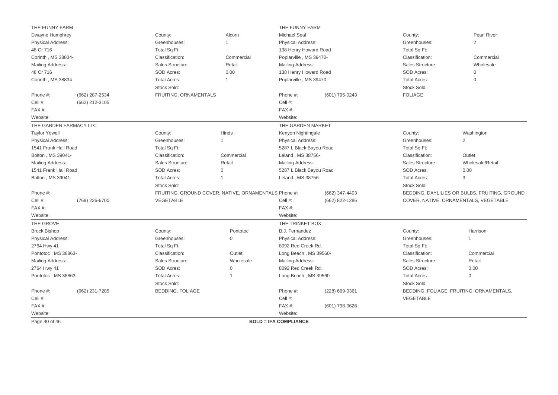| THE FUNNY FARM           |                        |                         |                                                       | THE FUNNY FARM               |                |                                                     |                                               |
|--------------------------|------------------------|-------------------------|-------------------------------------------------------|------------------------------|----------------|-----------------------------------------------------|-----------------------------------------------|
| Dwayne Humphrey          |                        | County:                 | Alcorn                                                | <b>Michael Seal</b>          |                | County:                                             | Pearl River                                   |
| <b>Physical Address:</b> |                        | Greenhouses:            | -1                                                    | <b>Physical Address:</b>     |                | Greenhouses:                                        | $\overline{2}$                                |
| 48 Cr 716                |                        | Total Sq Ft:            |                                                       | 138 Henry Howard Road        |                | Total Sq Ft:<br>Classification:<br>Sales Structure: |                                               |
| Corinth, MS 38834-       |                        | Classification:         | Commercial                                            | Poplarville, MS 39470-       |                |                                                     | Commercial                                    |
| <b>Mailing Address:</b>  |                        | Sales Structure:        | Retail                                                | Mailing Address:             |                |                                                     | Wholesale                                     |
| 48 Cr 716                |                        | SOD Acres:              | 0.00                                                  | 138 Henry Howard Road        |                | SOD Acres:<br>$\mathbf{0}$                          |                                               |
| Corinth, MS 38834-       |                        | <b>Total Acres:</b>     | $\overline{1}$                                        | Poplarville, MS 39470-       |                | <b>Total Acres:</b>                                 | $\mathbf{0}$                                  |
|                          |                        | Stock Sold:             |                                                       |                              |                | Stock Sold:                                         |                                               |
| Phone #:                 | (662) 287-2534         | FRUITING, ORNAMENTALS   |                                                       | Phone #:                     | (601) 795-0243 | <b>FOLIAGE</b>                                      |                                               |
| Cell #:                  | (662) 212-3105         |                         |                                                       | Cell #:                      |                |                                                     |                                               |
| FAX#:                    |                        |                         |                                                       | FAX#:                        |                |                                                     |                                               |
| Website:                 |                        |                         |                                                       | Website:                     |                |                                                     |                                               |
|                          | THE GARDEN FARMACY LLC |                         |                                                       | THE GARDEN MARKET            |                |                                                     |                                               |
| <b>Taylor Yowell</b>     |                        | County:                 | Hinds                                                 | Kenyon Nightingale           |                | County:                                             | Washington                                    |
| <b>Physical Address:</b> |                        | Greenhouses:            | $\mathbf{1}$                                          | <b>Physical Address:</b>     |                | Greenhouses:                                        | 2                                             |
| 1541 Frank Hall Road     |                        | Total Sq Ft:            |                                                       | 5287 L Black Bayou Road      |                | Total Sq Ft:                                        |                                               |
| Bolton, MS 39041-        |                        | Classification:         | Commercial                                            | Leland, MS 38756-            |                | Classification:                                     | Outlet                                        |
| Mailing Address:         |                        | Sales Structure:        | Retail                                                | Mailing Address:             |                | Sales Structure:                                    | Wholesale/Retail                              |
| 1541 Frank Hall Road     |                        | SOD Acres:              | $\Omega$                                              | 5287 L Black Bayou Road      |                | SOD Acres:                                          | 0.00                                          |
| Bolton, MS 39041-        |                        | <b>Total Acres:</b>     | $\mathbf{1}$                                          | Leland, MS 38756-            |                | <b>Total Acres:</b><br>3                            |                                               |
|                          |                        | Stock Sold:             |                                                       |                              |                | Stock Sold:                                         |                                               |
| Phone #:                 |                        |                         | FRUITING, GROUND COVER, NATIVE, ORNAMENTALS, Phone #: |                              | (662) 347-4403 |                                                     | BEDDING, DAYLILIES OR BULBS, FRUITING, GROUND |
| Cell #:                  | (769) 226-6700         | VEGETABLE               |                                                       | Cell #:                      | (662) 822-1286 |                                                     | COVER, NATIVE, ORNAMENTALS, VEGETABLE         |
| FAX#:                    |                        |                         |                                                       | FAX#:                        |                |                                                     |                                               |
| Website:                 |                        |                         |                                                       | Website:                     |                |                                                     |                                               |
| THE GROVE                |                        |                         |                                                       | THE TRINKET BOX              |                |                                                     |                                               |
| <b>Brock Bishop</b>      |                        | County:                 | Pontotoc                                              | B.J. Fernandez               |                | County:                                             | Harrison                                      |
| Physical Address:        |                        | Greenhouses:            | $\mathsf{O}$                                          | <b>Physical Address:</b>     |                | Greenhouses:                                        | 1                                             |
| 2764 Hwy 41              |                        | Total Sq Ft:            |                                                       | 8092 Red Creek Rd.           |                | Total Sq Ft:                                        |                                               |
| Pontotoc, MS 38863-      |                        | Classification:         | Outlet                                                | Long Beach, MS 39560-        |                | Classification:                                     | Commercial                                    |
| <b>Mailing Address:</b>  |                        | Sales Structure:        | Wholesale                                             | Mailing Address:             |                | Sales Structure:                                    | Retail                                        |
| 2764 Hwy 41              |                        | SOD Acres:              | 0                                                     | 8092 Red Creek Rd.           |                | SOD Acres:                                          | 0.00                                          |
| Pontotoc, MS 38863-      |                        | <b>Total Acres:</b>     | $\mathbf 1$                                           | Long Beach, MS 39560-        |                | <b>Total Acres:</b>                                 | $\mathbf 0$                                   |
|                          |                        | Stock Sold:             |                                                       |                              |                | Stock Sold:                                         |                                               |
| Phone #:                 | (662) 231-7285         | <b>BEDDING, FOLIAGE</b> |                                                       | Phone #:                     | (228) 669-0361 |                                                     | BEDDING, FOLIAGE, FRUITING, ORNAMENTALS,      |
| Cell #:                  |                        |                         |                                                       | Cell #:                      |                | VEGETABLE                                           |                                               |
| FAX#:                    |                        |                         |                                                       | $FAX#$ :                     | (601) 798-0626 |                                                     |                                               |
| Website:                 |                        |                         |                                                       | Website:                     |                |                                                     |                                               |
| Page 40 of 46            |                        |                         |                                                       | <b>BOLD = IFA COMPLIANCE</b> |                |                                                     |                                               |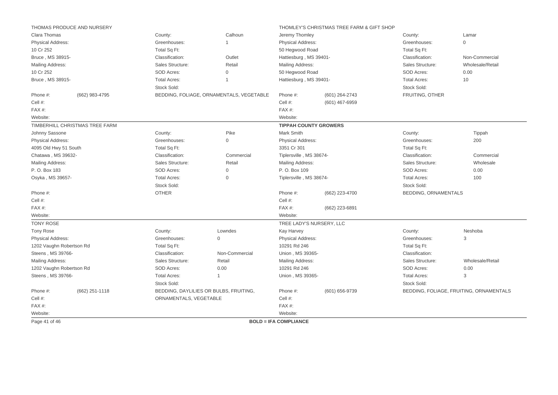|                          | THOMAS PRODUCE AND NURSERY     |                        |                                          |                              | THOMLEY'S CHRISTMAS TREE FARM & GIFT SHOP |                      |                                         |
|--------------------------|--------------------------------|------------------------|------------------------------------------|------------------------------|-------------------------------------------|----------------------|-----------------------------------------|
| Clara Thomas             |                                | County:                | Calhoun                                  | Jeremy Thomley               |                                           | County:              | Lamar                                   |
| Physical Address:        |                                | Greenhouses:           | $\mathbf{1}$                             | Physical Address:            |                                           | Greenhouses:         | $\Omega$                                |
| 10 Cr 252                |                                | Total Sq Ft:           |                                          | 50 Hegwood Road              |                                           | Total Sq Ft:         |                                         |
| Bruce, MS 38915-         |                                | Classification:        | Outlet                                   | Hattiesburg, MS 39401-       |                                           | Classification:      | Non-Commercial                          |
| Mailing Address:         |                                | Sales Structure:       | Retail                                   | Mailing Address:             |                                           | Sales Structure:     | Wholesale/Retail                        |
| 10 Cr 252                |                                | SOD Acres:             | $\mathbf 0$                              | 50 Hegwood Road              |                                           | SOD Acres:           | 0.00                                    |
| Bruce, MS 38915-         |                                | <b>Total Acres:</b>    | $\mathbf{1}$                             | Hattiesburg, MS 39401-       |                                           | <b>Total Acres:</b>  | 10                                      |
|                          |                                | Stock Sold:            |                                          |                              |                                           | Stock Sold:          |                                         |
| Phone #:                 | (662) 983-4795                 |                        | BEDDING, FOLIAGE, ORNAMENTALS, VEGETABLE | Phone #:                     | (601) 264-2743                            | FRUITING, OTHER      |                                         |
| Cell #:                  |                                |                        |                                          | Cell #:                      | (601) 467-6959                            |                      |                                         |
| FAX#:                    |                                |                        |                                          | FAX#:                        |                                           |                      |                                         |
| Website:                 |                                |                        |                                          | Website:                     |                                           |                      |                                         |
|                          | TIMBERHILL CHRISTMAS TREE FARM |                        |                                          | <b>TIPPAH COUNTY GROWERS</b> |                                           |                      |                                         |
| Johnny Sassone           |                                | County:                | Pike                                     | Mark Smith                   |                                           | County:              | Tippah                                  |
| <b>Physical Address:</b> |                                | Greenhouses:           | $\mathbf{0}$                             | Physical Address:            |                                           | Greenhouses:         | 200                                     |
| 4095 Old Hwy 51 South    |                                | Total Sq Ft:           |                                          | 3351 Cr 301                  |                                           | Total Sq Ft:         |                                         |
| Chatawa, MS 39632-       |                                | Classification:        | Commercial                               | Tiplersville, MS 38674-      |                                           | Classification:      | Commercial                              |
| Mailing Address:         |                                | Sales Structure:       | Retail                                   | Mailing Address:             |                                           | Sales Structure:     | Wholesale                               |
| P. O. Box 183            |                                | SOD Acres:             | $\Omega$                                 | P. O. Box 109                |                                           | SOD Acres:           | 0.00                                    |
| Osyka, MS 39657-         |                                | <b>Total Acres:</b>    | $\mathbf{0}$                             | Tiplersville, MS 38674-      |                                           | <b>Total Acres:</b>  | 100                                     |
|                          |                                | Stock Sold:            |                                          |                              |                                           | Stock Sold:          |                                         |
| Phone #:                 |                                | <b>OTHER</b>           |                                          | Phone #:                     | (662) 223-4700                            | BEDDING, ORNAMENTALS |                                         |
| Cell #:                  |                                |                        |                                          | Cell #:                      |                                           |                      |                                         |
| FAX#:                    |                                |                        |                                          | FAX #:                       | (662) 223-6891                            |                      |                                         |
| Website:                 |                                |                        |                                          | Website:                     |                                           |                      |                                         |
| <b>TONY ROSE</b>         |                                |                        |                                          |                              | TREE LADY'S NURSERY, LLC                  |                      |                                         |
| <b>Tony Rose</b>         |                                | County:                | Lowndes                                  | <b>Kay Harvey</b>            |                                           | County:              | Neshoba                                 |
| Physical Address:        |                                | Greenhouses:           | $\mathsf{O}\xspace$                      | Physical Address:            |                                           | Greenhouses:         | 3                                       |
| 1202 Vaughn Robertson Rd |                                | Total Sq Ft:           |                                          | 10291 Rd 246                 |                                           | Total Sq Ft:         |                                         |
| Steens, MS 39766-        |                                | Classification:        | Non-Commercial                           | Union, MS 39365-             |                                           | Classification:      |                                         |
| Mailing Address:         |                                | Sales Structure:       | Retail                                   | Mailing Address:             |                                           | Sales Structure:     | Wholesale/Retail                        |
| 1202 Vaughn Robertson Rd |                                | SOD Acres:             | 0.00                                     | 10291 Rd 246                 |                                           | SOD Acres:           | 0.00                                    |
| Steens, MS 39766-        |                                | <b>Total Acres:</b>    | $\mathbf{1}$                             | Union, MS 39365-             |                                           | <b>Total Acres:</b>  | 3                                       |
|                          |                                | Stock Sold:            |                                          |                              |                                           | Stock Sold:          |                                         |
| Phone #:                 | $(662)$ 251-1118               |                        | BEDDING, DAYLILIES OR BULBS, FRUITING,   | Phone #:                     | (601) 656-9739                            |                      | BEDDING, FOLIAGE, FRUITING, ORNAMENTALS |
| Cell #:                  |                                | ORNAMENTALS, VEGETABLE |                                          | Cell #:                      |                                           |                      |                                         |
| FAX#:                    |                                |                        |                                          | FAX #:                       |                                           |                      |                                         |
| Website:                 |                                |                        |                                          | Website:                     |                                           |                      |                                         |
| Page 41 of 46            |                                |                        |                                          | <b>BOLD = IFA COMPLIANCE</b> |                                           |                      |                                         |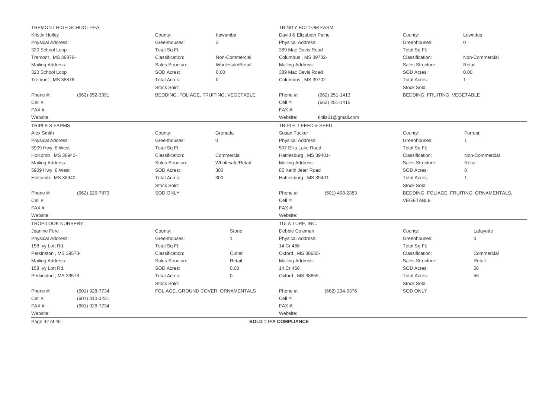|                          | TREMONT HIGH SCHOOL FFA |                     |                                       | <b>TRINITY BOTTOM FARM</b>   |                    |                              |                                          |
|--------------------------|-------------------------|---------------------|---------------------------------------|------------------------------|--------------------|------------------------------|------------------------------------------|
| <b>Kristin Holley</b>    |                         | County:             | Itawamba                              | David & Elizabeth Paine      |                    | County:                      | Lowndes                                  |
| Physical Address:        |                         | Greenhouses:        | $\overline{2}$                        | Physical Address:            |                    | Greenhouses:                 | $\mathbf 0$                              |
| 320 School Loop          |                         | Total Sq Ft:        |                                       | 389 Mac Davis Road           |                    | Total Sq Ft:                 |                                          |
| Tremont, MS 38876-       |                         | Classification:     | Non-Commercial                        | Columbus, MS 39702-          |                    | Classification:              | Non-Commercial                           |
| Mailing Address:         |                         | Sales Structure:    | Wholesale/Retail                      | <b>Mailing Address:</b>      |                    | Sales Structure:             | Retail                                   |
| 320 School Loop          |                         | SOD Acres:          | 0.00                                  | 389 Mac Davis Road           |                    | SOD Acres:                   | 0.00                                     |
| Tremont, MS 38876-       |                         | <b>Total Acres:</b> | $\mathbf 0$                           | Columbus, MS 39702-          |                    | <b>Total Acres:</b>          | $\overline{1}$                           |
|                          |                         | Stock Sold:         |                                       |                              |                    | Stock Sold:                  |                                          |
| Phone #:                 | (662) 652-3391          |                     | BEDDING, FOLIAGE, FRUITING, VEGETABLE | Phone #:                     | (662) 251-1413     | BEDDING, FRUITING, VEGETABLE |                                          |
| Cell #:                  |                         |                     |                                       | Cell #:                      | (662) 251-1415     |                              |                                          |
| FAX#:                    |                         |                     |                                       | FAX#:                        |                    |                              |                                          |
| Website:                 |                         |                     |                                       | Website:                     | tinliz61@gmail.com |                              |                                          |
| <b>TRIPLE S FARMS</b>    |                         |                     |                                       | TRIPLE T FEED & SEED         |                    |                              |                                          |
| Alex Smith               |                         | County:             | Grenada                               | Susan Tucker                 |                    | County:                      | Forrest                                  |
| Physical Address:        |                         | Greenhouses:        | $\Omega$                              | <b>Physical Address:</b>     |                    | Greenhouses:                 |                                          |
| 5909 Hwy. 8 West         |                         | Total Sq Ft:        |                                       | 507 Elks Lake Road           |                    | Total Sq Ft:                 |                                          |
| Holcomb, MS 38940-       |                         | Classification:     | Commercial                            | Hattiesburg, MS 39401-       |                    | Classification:              | Non-Commercial                           |
| Mailing Address:         |                         | Sales Structure:    | Wholesale/Retail                      | <b>Mailing Address:</b>      |                    | Sales Structure:             | Retail                                   |
| 5909 Hwy. 8 West         |                         | SOD Acres:          | 300                                   | 85 Keith Jeter Road          |                    | SOD Acres:                   | $\Omega$                                 |
| Holcomb, MS 38940-       |                         | <b>Total Acres:</b> | 300                                   | Hattiesburg, MS 39401-       |                    | <b>Total Acres:</b>          |                                          |
|                          |                         | Stock Sold:         |                                       |                              |                    | Stock Sold:                  |                                          |
| Phone #:                 | (662) 226-7873          | <b>SOD ONLY</b>     |                                       | Phone #:                     | $(601)$ 408-2383   |                              | BEDDING, FOLIAGE, FRUITING, ORNAMENTALS, |
| Cell #:                  |                         |                     |                                       | Cell #:                      |                    | VEGETABLE                    |                                          |
| FAX#:                    |                         |                     |                                       | FAX #:                       |                    |                              |                                          |
| Website:                 |                         |                     |                                       | Website:                     |                    |                              |                                          |
| <b>TROPILOOK NURSERY</b> |                         |                     |                                       | TULA TURF, INC.              |                    |                              |                                          |
| Jeanine Fore             |                         | County:             | Stone                                 | Debbie Coleman               |                    | County:                      | Lafayette                                |
| Physical Address:        |                         | Greenhouses:        | $\overline{1}$                        | Physical Address:            |                    | Greenhouses:                 | $\mathbf 0$                              |
| 158 Ivy Lott Rd.         |                         | Total Sq Ft:        |                                       | 14 Cr 466                    |                    | Total Sq Ft:                 |                                          |
| Perkinston, MS 39573-    |                         | Classification:     | Outlet                                | Oxford, MS 38655-            |                    | Classification:              | Commercial                               |
| Mailing Address:         |                         | Sales Structure:    | Retail                                | <b>Mailing Address:</b>      |                    | Sales Structure:             | Retail                                   |
| 158 lvy Lott Rd.         |                         | SOD Acres:          | 0.00                                  | 14 Cr 466                    |                    | SOD Acres:                   | 56                                       |
| Perkinston, MS 39573-    |                         | <b>Total Acres:</b> | $\mathbf 0$                           | Oxford, MS 38655-            |                    | <b>Total Acres:</b>          | 56                                       |
|                          |                         | Stock Sold:         |                                       |                              |                    | Stock Sold:                  |                                          |
| Phone #:                 | (601) 928-7734          |                     | FOLIAGE, GROUND COVER, ORNAMENTALS    | Phone #:                     | (662) 234-0376     | <b>SOD ONLY</b>              |                                          |
| Cell #:                  | (601) 310-3221          |                     |                                       | Cell #:                      |                    |                              |                                          |
| FAX#:                    | (601) 928-7734          |                     |                                       | FAX#:                        |                    |                              |                                          |
| Website:                 |                         |                     |                                       | Website:                     |                    |                              |                                          |
| Page 42 of 46            |                         |                     |                                       | <b>BOLD = IFA COMPLIANCE</b> |                    |                              |                                          |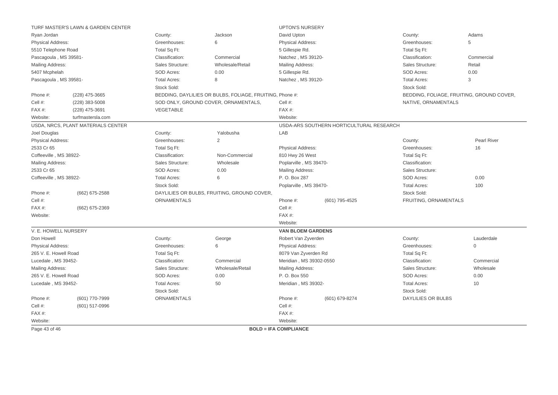|                         | TURF MASTER'S LAWN & GARDEN CENTER |                     |                                                          | <b>UPTON'S NURSERY</b>                                                       |                                          |                           |                                           |
|-------------------------|------------------------------------|---------------------|----------------------------------------------------------|------------------------------------------------------------------------------|------------------------------------------|---------------------------|-------------------------------------------|
| Ryan Jordan             |                                    | County:             | Jackson                                                  | David Upton                                                                  |                                          | County:                   | Adams                                     |
| Physical Address:       |                                    | Greenhouses:        | 6                                                        | Physical Address:                                                            |                                          | Greenhouses:              | 5                                         |
| 5510 Telephone Road     |                                    | Total Sq Ft:        |                                                          | 5 Gillespie Rd.                                                              |                                          | Total Sq Ft:              |                                           |
| Pascagoula, MS 39581-   |                                    | Classification:     | Commercial                                               | Natchez, MS 39120-                                                           |                                          | Classification:           | Commercial                                |
| Mailing Address:        |                                    | Sales Structure:    | Wholesale/Retail                                         | Sales Structure:<br>Mailing Address:                                         |                                          |                           | Retail                                    |
| 5407 Mcphelah           |                                    | SOD Acres:          | 0.00                                                     | 5 Gillespie Rd.                                                              |                                          | SOD Acres:                | 0.00                                      |
| Pascagoula, MS 39581-   |                                    | <b>Total Acres:</b> | 8                                                        | Natchez, MS 39120-                                                           |                                          | <b>Total Acres:</b>       | 3                                         |
|                         |                                    | Stock Sold:         |                                                          | Stock Sold:                                                                  |                                          |                           |                                           |
| Phone #:                | (228) 475-3665                     |                     | BEDDING, DAYLILIES OR BULBS, FOLIAGE, FRUITING, Phone #: |                                                                              |                                          |                           | BEDDING, FOLIAGE, FRUITING, GROUND COVER, |
| Cell #:                 | (228) 383-5008                     |                     | SOD ONLY, GROUND COVER, ORNAMENTALS,                     | Cell #:                                                                      |                                          | NATIVE, ORNAMENTALS       |                                           |
| FAX#:                   | (228) 475-3691                     | VEGETABLE           |                                                          | FAX #:                                                                       |                                          |                           |                                           |
| Website:                | turfmastersla.com                  |                     |                                                          | Website:                                                                     |                                          |                           |                                           |
|                         | USDA, NRCS, PLANT MATERIALS CENTER |                     |                                                          |                                                                              | USDA-ARS SOUTHERN HORTICULTURAL RESEARCH |                           |                                           |
| Joel Douglas            |                                    | County:             | Yalobusha                                                | LAB                                                                          |                                          |                           |                                           |
| Physical Address:       |                                    | Greenhouses:        | 2                                                        |                                                                              |                                          | County:                   | <b>Pearl River</b>                        |
| 2533 Cr 65              |                                    | Total Sq Ft:        |                                                          | Physical Address:                                                            |                                          | Greenhouses:              | 16                                        |
| Coffeeville, MS 38922-  |                                    | Classification:     | Non-Commercial                                           | 810 Hwy 26 West                                                              |                                          | Total Sq Ft:              |                                           |
| <b>Mailing Address:</b> |                                    | Sales Structure:    | Wholesale                                                | Poplarville, MS 39470-                                                       |                                          | Classification:           |                                           |
| 2533 Cr 65              |                                    | SOD Acres:          | 0.00                                                     | <b>Mailing Address:</b>                                                      |                                          | Sales Structure:          |                                           |
| Coffeeville, MS 38922-  |                                    | <b>Total Acres:</b> | 6                                                        | P. O. Box 287<br>SOD Acres:<br>Poplarville, MS 39470-<br><b>Total Acres:</b> |                                          |                           | 0.00                                      |
|                         |                                    | Stock Sold:         |                                                          |                                                                              |                                          |                           | 100                                       |
| Phone #:                | (662) 675-2588                     |                     | DAYLILIES OR BULBS, FRUITING, GROUND COVER,              |                                                                              |                                          | Stock Sold:               |                                           |
| Cell #:                 |                                    | <b>ORNAMENTALS</b>  |                                                          | Phone #:                                                                     | (601) 795-4525                           | FRUITING, ORNAMENTALS     |                                           |
| FAX#:                   | (662) 675-2369                     |                     |                                                          | Cell #:                                                                      |                                          |                           |                                           |
| Website:                |                                    |                     |                                                          | FAX #:                                                                       |                                          |                           |                                           |
|                         |                                    |                     |                                                          | Website:                                                                     |                                          |                           |                                           |
| V. E. HOWELL NURSERY    |                                    |                     |                                                          | <b>VAN BLOEM GARDENS</b>                                                     |                                          |                           |                                           |
| Don Howell              |                                    | County:             | George                                                   | Robert Van Zyverden                                                          |                                          | County:                   | Lauderdale                                |
| Physical Address:       |                                    | Greenhouses:        | 6                                                        | <b>Physical Address:</b>                                                     |                                          | Greenhouses:              | $\mathbf 0$                               |
| 265 V. E. Howell Road   |                                    | Total Sq Ft:        |                                                          | 8079 Van Zyverden Rd                                                         |                                          | Total Sq Ft:              |                                           |
| Lucedale, MS 39452-     |                                    | Classification:     | Commercial                                               | Meridian, MS 39302-0550                                                      |                                          | Classification:           | Commercial                                |
| Mailing Address:        |                                    | Sales Structure:    | Wholesale/Retail                                         | <b>Mailing Address:</b>                                                      |                                          | Sales Structure:          | Wholesale                                 |
| 265 V. E. Howell Road   |                                    | SOD Acres:          | 0.00                                                     | P. O. Box 550                                                                |                                          | SOD Acres:                | 0.00                                      |
| Lucedale, MS 39452-     |                                    | <b>Total Acres:</b> | 50<br>Meridian, MS 39302-                                |                                                                              | <b>Total Acres:</b>                      | 10                        |                                           |
|                         |                                    | Stock Sold:         |                                                          |                                                                              |                                          | Stock Sold:               |                                           |
| Phone #:                | (601) 770-7999                     | ORNAMENTALS         |                                                          | Phone #:                                                                     | (601) 679-8274                           | <b>DAYLILIES OR BULBS</b> |                                           |
| Cell #:                 | (601) 517-0996                     |                     |                                                          | Cell #:                                                                      |                                          |                           |                                           |
| FAX#:                   |                                    |                     |                                                          | FAX#:                                                                        |                                          |                           |                                           |
| Website:                |                                    |                     |                                                          | Website:                                                                     |                                          |                           |                                           |
| Page 43 of 46           |                                    |                     |                                                          | <b>BOLD = IFA COMPLIANCE</b>                                                 |                                          |                           |                                           |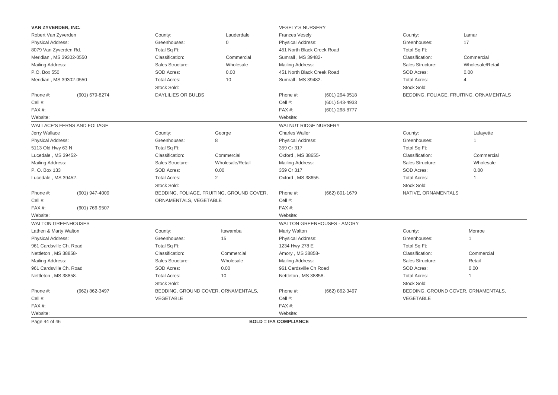| VAN ZYVERDEN, INC.        |                             |                           |                                           | <b>VESELY'S NURSERY</b>      |                            |                     |                                         |  |  |
|---------------------------|-----------------------------|---------------------------|-------------------------------------------|------------------------------|----------------------------|---------------------|-----------------------------------------|--|--|
| Robert Van Zyverden       |                             | County:                   | Lauderdale                                | <b>Frances Vesely</b>        |                            | County:             | Lamar                                   |  |  |
| <b>Physical Address:</b>  |                             | Greenhouses:              | $\mathbf 0$                               | <b>Physical Address:</b>     |                            | Greenhouses:        | 17                                      |  |  |
| 8079 Van Zyverden Rd.     |                             | Total Sq Ft:              |                                           | 451 North Black Creek Road   |                            | Total Sq Ft:        |                                         |  |  |
| Meridian, MS 39302-0550   |                             | Classification:           | Commercial                                | Sumrall, MS 39482-           |                            | Classification:     | Commercial                              |  |  |
| Mailing Address:          |                             | Sales Structure:          | Wholesale                                 | Mailing Address:             |                            | Sales Structure:    | Wholesale/Retail                        |  |  |
| P.O. Box 550              |                             | SOD Acres:                | 0.00                                      | 451 North Black Creek Road   |                            | SOD Acres:<br>0.00  |                                         |  |  |
| Meridian, MS 39302-0550   |                             | <b>Total Acres:</b>       | 10                                        | Sumrall, MS 39482-           |                            | <b>Total Acres:</b> | $\overline{4}$                          |  |  |
|                           |                             | Stock Sold:               |                                           |                              |                            | Stock Sold:         |                                         |  |  |
| Phone #:                  | (601) 679-8274              | <b>DAYLILIES OR BULBS</b> |                                           | Phone #:                     | (601) 264-9518             |                     | BEDDING, FOLIAGE, FRUITING, ORNAMENTALS |  |  |
| Cell #:                   |                             |                           |                                           | Cell #:                      | (601) 543-4933             |                     |                                         |  |  |
| FAX#:                     |                             |                           |                                           | FAX #:                       | $(601)$ 268-8777           |                     |                                         |  |  |
| Website:                  |                             |                           |                                           | Website:                     |                            |                     |                                         |  |  |
|                           | WALLACE'S FERNS AND FOLIAGE |                           |                                           | WALNUT RIDGE NURSERY         |                            |                     |                                         |  |  |
| Jerry Wallace             |                             | County:                   | George                                    | <b>Charles Waller</b>        |                            | County:             | Lafayette                               |  |  |
| <b>Physical Address:</b>  |                             | Greenhouses:              | 8                                         | Physical Address:            |                            | Greenhouses:        | 1                                       |  |  |
| 5113 Old Hwy 63 N         |                             | Total Sq Ft:              |                                           | 359 Cr 317                   |                            | Total Sq Ft:        |                                         |  |  |
| Lucedale, MS 39452-       |                             | Classification:           | Commercial                                | Oxford, MS 38655-            |                            | Classification:     | Commercial                              |  |  |
| Mailing Address:          |                             | Sales Structure:          | Wholesale/Retail                          | Mailing Address:             |                            | Sales Structure:    | Wholesale                               |  |  |
| P. O. Box 133             |                             | SOD Acres:                | 0.00                                      | 359 Cr 317                   |                            | SOD Acres:          | 0.00                                    |  |  |
| Lucedale, MS 39452-       |                             | <b>Total Acres:</b>       | $\overline{2}$                            | Oxford, MS 38655-            |                            | <b>Total Acres:</b> | $\mathbf{1}$                            |  |  |
|                           |                             | Stock Sold:               |                                           |                              |                            | Stock Sold:         |                                         |  |  |
| Phone #:                  | (601) 947-4009              |                           | BEDDING, FOLIAGE, FRUITING, GROUND COVER, | Phone #:                     | (662) 801-1679             | NATIVE, ORNAMENTALS |                                         |  |  |
| Cell #:                   |                             | ORNAMENTALS, VEGETABLE    |                                           | Cell #:                      |                            |                     |                                         |  |  |
| FAX#:                     | (601) 766-9507              |                           |                                           | FAX#:                        |                            |                     |                                         |  |  |
| Website:                  |                             |                           |                                           | Website:                     |                            |                     |                                         |  |  |
| <b>WALTON GREENHOUSES</b> |                             |                           |                                           |                              | WALTON GREENHOUSES - AMORY |                     |                                         |  |  |
| Lathen & Marty Walton     |                             | County:                   | Itawamba                                  | Marty Walton                 |                            | County:             | Monroe                                  |  |  |
| <b>Physical Address:</b>  |                             | Greenhouses:              | 15                                        | <b>Physical Address:</b>     |                            | Greenhouses:        | $\mathbf{1}$                            |  |  |
| 961 Cardsville Ch. Road   |                             | Total Sq Ft:              |                                           | 1234 Hwy 278 E               |                            | Total Sq Ft:        |                                         |  |  |
| Nettleton, MS 38858-      |                             | Classification:           | Commercial                                | Amory, MS 38858-             |                            | Classification:     | Commercial                              |  |  |
| Mailing Address:          |                             | Sales Structure:          | Wholesale                                 | Mailing Address:             |                            | Sales Structure:    | Retail                                  |  |  |
| 961 Cardsville Ch. Road   |                             | SOD Acres:                | 0.00                                      | 961 Cardsville Ch Road       |                            | SOD Acres:          | 0.00                                    |  |  |
| Nettleton, MS 38858-      |                             | <b>Total Acres:</b>       | 10                                        | Nettleton, MS 38858-         |                            | <b>Total Acres:</b> | $\overline{1}$                          |  |  |
|                           |                             | Stock Sold:               |                                           |                              |                            | Stock Sold:         |                                         |  |  |
| Phone #:                  | (662) 862-3497              |                           | BEDDING, GROUND COVER, ORNAMENTALS,       | Phone #:                     | (662) 862-3497             |                     | BEDDING, GROUND COVER, ORNAMENTALS,     |  |  |
| Cell #:                   |                             | VEGETABLE                 |                                           | Cell #:                      |                            | <b>VEGETABLE</b>    |                                         |  |  |
| $FAX#$ :                  |                             |                           |                                           | FAX #:                       |                            |                     |                                         |  |  |
| Website:                  |                             |                           |                                           | Website:                     |                            |                     |                                         |  |  |
| Page 44 of 46             |                             |                           |                                           | <b>BOLD = IFA COMPLIANCE</b> |                            |                     |                                         |  |  |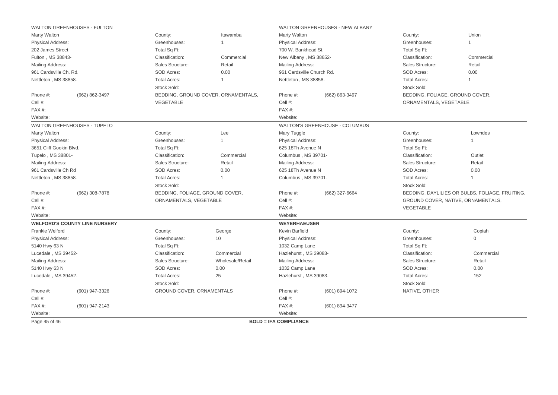| <b>WALTON GREENHOUSES - FULTON</b>   |                                 |                                     |                                      | WALTON GREENHOUSES - NEW ALBANY |                                    |                                                 |
|--------------------------------------|---------------------------------|-------------------------------------|--------------------------------------|---------------------------------|------------------------------------|-------------------------------------------------|
| <b>Marty Walton</b>                  | County:                         | Itawamba                            | <b>Marty Walton</b>                  |                                 | County:                            | Union                                           |
| <b>Physical Address:</b>             | Greenhouses:                    | 1                                   | <b>Physical Address:</b>             |                                 | Greenhouses:                       |                                                 |
| 202 James Street                     | Total Sq Ft:                    |                                     | 700 W. Bankhead St.                  |                                 | Total Sq Ft:                       |                                                 |
| Fulton, MS 38843-                    | Classification:                 | Commercial                          | New Albany, MS 38652-                |                                 | Classification:                    | Commercial                                      |
| <b>Mailing Address:</b>              | Sales Structure:                | Retail                              | <b>Mailing Address:</b>              |                                 | Sales Structure:                   | Retail                                          |
| 961 Cardsville Ch. Rd.               | SOD Acres:                      | 0.00                                | 961 Cardsville Church Rd.            |                                 | SOD Acres:                         | 0.00                                            |
| Nettleton, MS 38858-                 | <b>Total Acres:</b>             | $\overline{1}$                      | Nettleton, MS 38858-                 |                                 | <b>Total Acres:</b>                |                                                 |
|                                      | Stock Sold:                     |                                     |                                      |                                 | Stock Sold:                        |                                                 |
| Phone #:<br>(662) 862-3497           |                                 | BEDDING, GROUND COVER, ORNAMENTALS, | Phone #:                             | (662) 863-3497                  |                                    | BEDDING, FOLIAGE, GROUND COVER,                 |
| Cell #:                              | <b>VEGETABLE</b>                |                                     | Cell #:                              |                                 | ORNAMENTALS, VEGETABLE             |                                                 |
| FAX#:                                |                                 |                                     | FAX#:                                |                                 |                                    |                                                 |
| Website:                             |                                 |                                     | Website:                             |                                 |                                    |                                                 |
| WALTON GREENHOUSES - TUPELO          |                                 |                                     |                                      | WALTON'S GREENHOUSE - COLUMBUS  |                                    |                                                 |
| <b>Marty Walton</b>                  | County:                         | Lee                                 | Mary Tuggle                          |                                 | County:                            | Lowndes                                         |
| Physical Address:                    | Greenhouses:                    | $\overline{1}$                      | <b>Physical Address:</b>             |                                 | Greenhouses:                       |                                                 |
| 3651 Cliff Gookin Blvd.              | Total Sq Ft:                    |                                     | 625 18Th Avenue N                    |                                 | Total Sq Ft:                       |                                                 |
| Tupelo, MS 38801-                    | Classification:                 | Commercial                          | Columbus, MS 39701-                  |                                 | Classification:                    | Outlet                                          |
| Mailing Address:                     | Sales Structure:                | Retail                              | Sales Structure:<br>Mailing Address: |                                 | Retail                             |                                                 |
| 961 Cardsville Ch Rd                 | SOD Acres:                      | 0.00                                | 625 18Th Avenue N                    |                                 | SOD Acres:<br>0.00                 |                                                 |
| Nettleton, MS 38858-                 | <b>Total Acres:</b>             | $\overline{1}$                      | Columbus, MS 39701-                  |                                 | <b>Total Acres:</b>                | 1                                               |
|                                      | Stock Sold:                     |                                     |                                      |                                 | Stock Sold:                        |                                                 |
| Phone #:<br>(662) 308-7878           | BEDDING, FOLIAGE, GROUND COVER, |                                     | Phone #:                             | (662) 327-6664                  |                                    | BEDDING, DAYLILIES OR BULBS, FOLIAGE, FRUITING, |
| Cell #:                              | ORNAMENTALS, VEGETABLE          |                                     | Cell #:                              |                                 | GROUND COVER, NATIVE, ORNAMENTALS, |                                                 |
| FAX#:                                |                                 |                                     | FAX #:                               |                                 | <b>VEGETABLE</b>                   |                                                 |
| Website:                             |                                 |                                     | Website:                             |                                 |                                    |                                                 |
| <b>WELFORD'S COUNTY LINE NURSERY</b> |                                 |                                     | <b>WEYERHAEUSER</b>                  |                                 |                                    |                                                 |
| Frankie Welford                      | County:                         | George                              | Kevin Barfield                       |                                 | County:                            | Copiah                                          |
| <b>Physical Address:</b>             | Greenhouses:                    | 10                                  | <b>Physical Address:</b>             |                                 | Greenhouses:                       | $\mathbf 0$                                     |
| 5140 Hwy 63 N                        | Total Sq Ft:                    |                                     | 1032 Camp Lane                       |                                 | Total Sq Ft:                       |                                                 |
| Lucedale, MS 39452-                  | Classification:                 | Commercial                          | Hazlehurst, MS 39083-                |                                 | Classification:                    | Commercial                                      |
| Mailing Address:                     | Sales Structure:                | Wholesale/Retail                    | Mailing Address:                     |                                 | Sales Structure:                   | Retail                                          |
| 5140 Hwy 63 N                        | SOD Acres:                      | 0.00                                | 1032 Camp Lane                       |                                 | SOD Acres:                         | 0.00                                            |
| Lucedale, MS 39452-                  | <b>Total Acres:</b>             | 25                                  | Hazlehurst, MS 39083-                |                                 | <b>Total Acres:</b>                | 152                                             |
|                                      | Stock Sold:                     |                                     |                                      |                                 | Stock Sold:                        |                                                 |
| Phone #:<br>(601) 947-3326           | GROUND COVER, ORNAMENTALS       |                                     | Phone #:                             | (601) 894-1072                  | NATIVE, OTHER                      |                                                 |
|                                      |                                 |                                     | Cell #:                              |                                 |                                    |                                                 |
| Cell #:                              |                                 |                                     |                                      |                                 |                                    |                                                 |
| FAX#:<br>(601) 947-2143              |                                 |                                     | FAX #:                               | (601) 894-3477                  |                                    |                                                 |